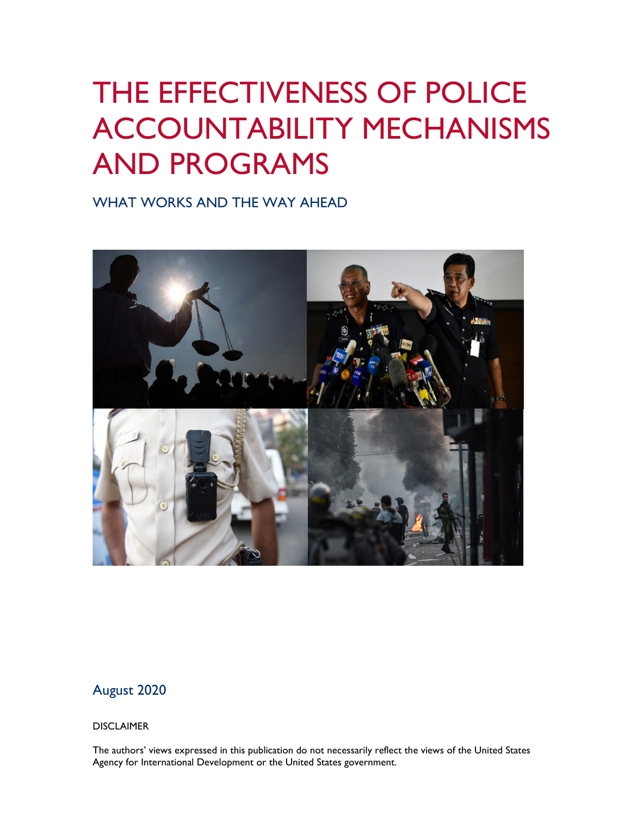# THE EFFECTIVENESS OF POLICE ACCOUNTABILITY MECHANISMS AND PROGRAMS

WHAT WORKS AND THE WAY AHEAD



# August 2020

#### DISCLAIMER

The authors' views expressed in this publication do not necessarily reflect the views of the United States Agency for International Development or the United States government.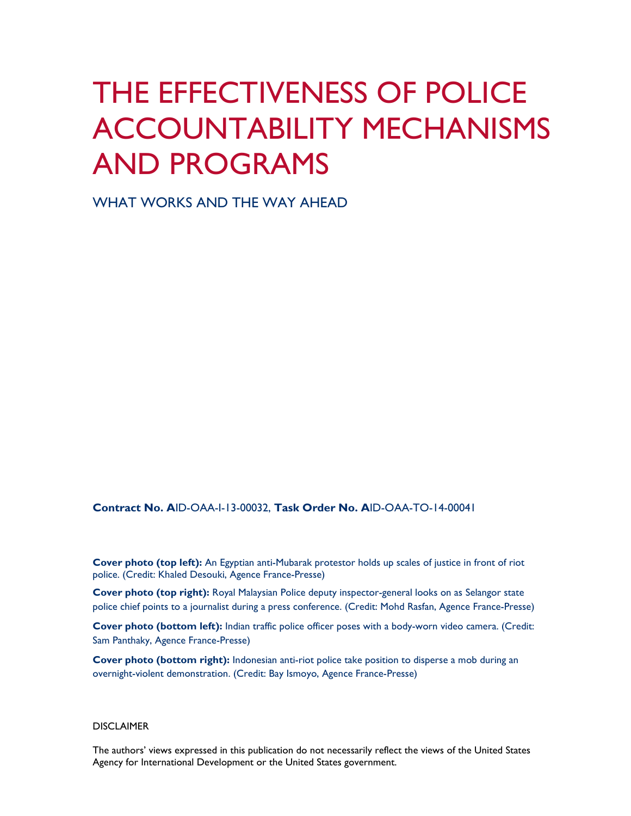# THE EFFECTIVENESS OF POLICE ACCOUNTABILITY MECHANISMS AND PROGRAMS

WHAT WORKS AND THE WAY AHEAD

**Contract No. A**ID-OAA-I-13-00032, **Task Order No. A**ID-OAA-TO-14-00041

**Cover photo (top left):** An Egyptian anti-Mubarak protestor holds up scales of justice in front of riot police. (Credit: Khaled Desouki, Agence France-Presse)

 **Cover photo (top right):** Royal Malaysian Police deputy inspector-general looks on as Selangor state police chief points to a journalist during a press conference. (Credit: Mohd Rasfan, Agence France-Presse)

 **Cover photo (bottom left):** Indian traffic police officer poses with a body-worn video camera. (Credit: Sam Panthaky, Agence France-Presse)

**Cover photo (bottom right):** Indonesian anti-riot police take position to disperse a mob during an overnight-violent demonstration. (Credit: Bay Ismoyo, Agence France-Presse)

#### **DISCLAIMER**

The authors' views expressed in this publication do not necessarily reflect the views of the United States Agency for International Development or the United States government.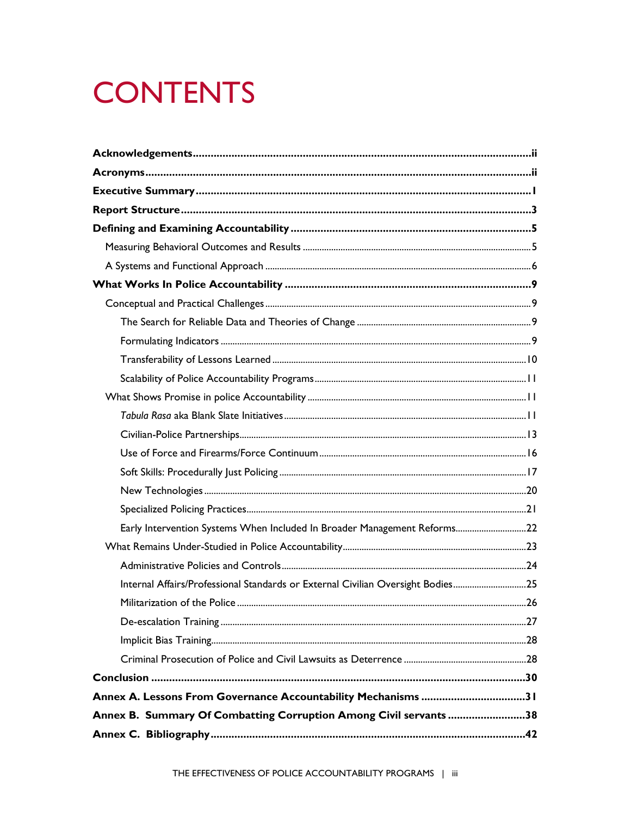# **CONTENTS**

| Early Intervention Systems When Included In Broader Management Reforms22        |  |
|---------------------------------------------------------------------------------|--|
|                                                                                 |  |
|                                                                                 |  |
| Internal Affairs/Professional Standards or External Civilian Oversight Bodies25 |  |
|                                                                                 |  |
|                                                                                 |  |
|                                                                                 |  |
|                                                                                 |  |
|                                                                                 |  |
| Annex A. Lessons From Governance Accountability Mechanisms 31                   |  |
| Annex B. Summary Of Combatting Corruption Among Civil servants 38               |  |
|                                                                                 |  |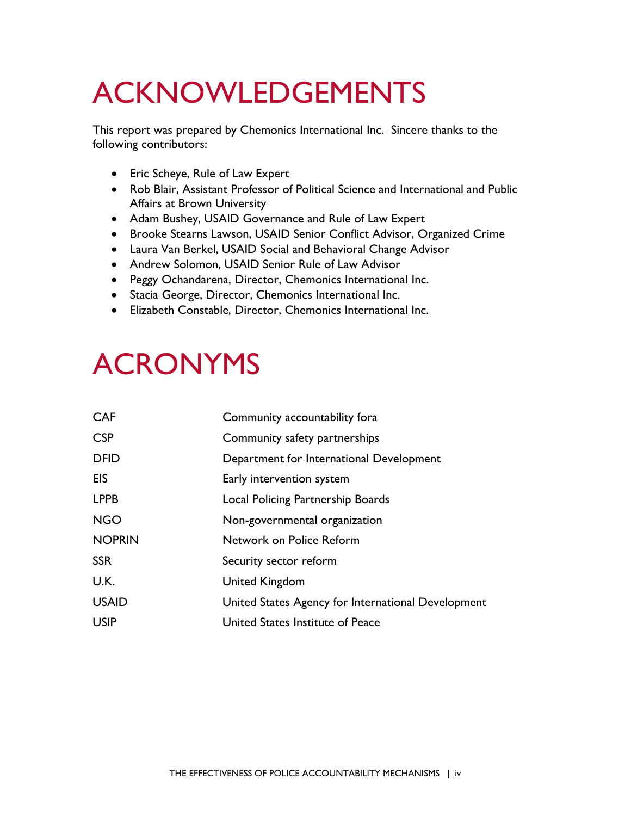# <span id="page-3-0"></span>ACKNOWLEDGEMENTS

This report was prepared by Chemonics International Inc. Sincere thanks to the following contributors:

- Eric Scheye, Rule of Law Expert
- • Rob Blair, Assistant Professor of Political Science and International and Public Affairs at Brown University
- Adam Bushey, USAID Governance and Rule of Law Expert
- Brooke Stearns Lawson, USAID Senior Conflict Advisor, Organized Crime
- Laura Van Berkel, USAID Social and Behavioral Change Advisor
- Andrew Solomon, USAID Senior Rule of Law Advisor
- Peggy Ochandarena, Director, Chemonics International Inc.
- Stacia George, Director, Chemonics International Inc.
- Elizabeth Constable, Director, Chemonics International Inc.

# <span id="page-3-1"></span>ACRONYMS

| <b>CAF</b>    | Community accountability fora                      |
|---------------|----------------------------------------------------|
| <b>CSP</b>    | Community safety partnerships                      |
| <b>DFID</b>   | Department for International Development           |
| <b>EIS</b>    | Early intervention system                          |
| <b>LPPB</b>   | Local Policing Partnership Boards                  |
| <b>NGO</b>    | Non-governmental organization                      |
| <b>NOPRIN</b> | Network on Police Reform                           |
| <b>SSR</b>    | Security sector reform                             |
| U.K.          | United Kingdom                                     |
| <b>USAID</b>  | United States Agency for International Development |
| <b>USIP</b>   | United States Institute of Peace                   |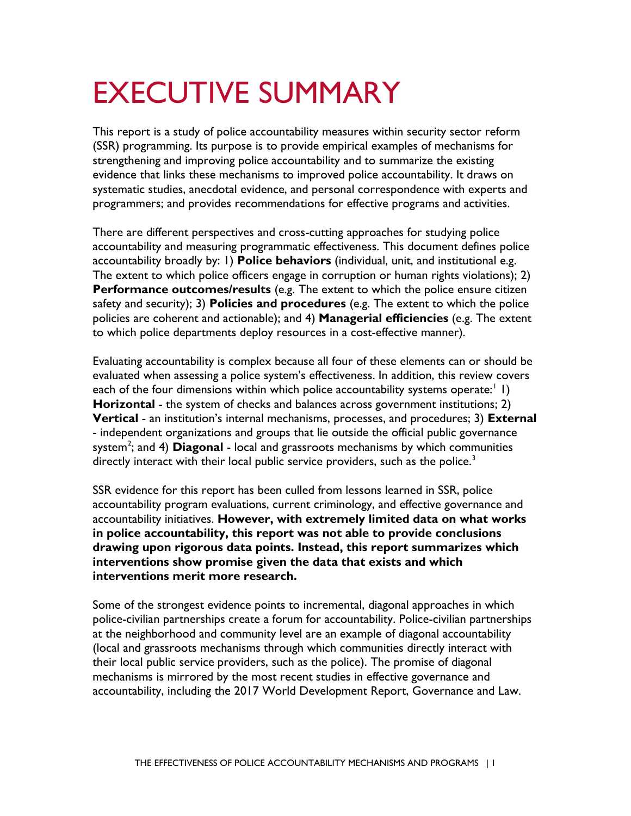# <span id="page-4-0"></span>EXECUTIVE SUMMARY

 This report is a study of police accountability measures within security sector reform (SSR) programming. Its purpose is to provide empirical examples of mechanisms for strengthening and improving police accountability and to summarize the existing evidence that links these mechanisms to improved police accountability. It draws on systematic studies, anecdotal evidence, and personal correspondence with experts and programmers; and provides recommendations for effective programs and activities.

 accountability and measuring programmatic effectiveness. This document defines police There are different perspectives and cross-cutting approaches for studying police accountability broadly by: 1) **Police behaviors** (individual, unit, and institutional e.g. The extent to which police officers engage in corruption or human rights violations); 2) **Performance outcomes/results** (e.g. The extent to which the police ensure citizen safety and security); 3) **Policies and procedures** (e.g. The extent to which the police policies are coherent and actionable); and 4) **Managerial efficiencies** (e.g. The extent to which police departments deploy resources in a cost-effective manner).

 evaluated when assessing a police system's effectiveness. In addition, this review covers each of the four dimensions within which police accountability systems operate:<sup>[1](#page-62-0)</sup> 1) **Horizontal** - the system of checks and balances across government institutions; 2) **Vertical** - an institution's internal mechanisms, processes, and procedures; 3) **External**  system<sup>[2](#page-62-1)</sup>; and 4) **Diagonal** - local and grassroots mechanisms by which communities Evaluating accountability is complex because all four of these elements can or should be - independent organizations and groups that lie outside the official public governance directly interact with their local public service providers, such as the police.<sup>3</sup>

 SSR evidence for this report has been culled from lessons learned in SSR, police  **in police accountability, this report was not able to provide conclusions drawing upon rigorous data points. Instead, this report summarizes which interventions merit more research.**  accountability program evaluations, current criminology, and effective governance and accountability initiatives. **However, with extremely limited data on what works interventions show promise given the data that exists and which** 

 Some of the strongest evidence points to incremental, diagonal approaches in which at the neighborhood and community level are an example of diagonal accountability (local and grassroots mechanisms through which communities directly interact with police-civilian partnerships create a forum for accountability. Police-civilian partnerships their local public service providers, such as the police). The promise of diagonal mechanisms is mirrored by the most recent studies in effective governance and accountability, including the 2017 World Development Report, Governance and Law.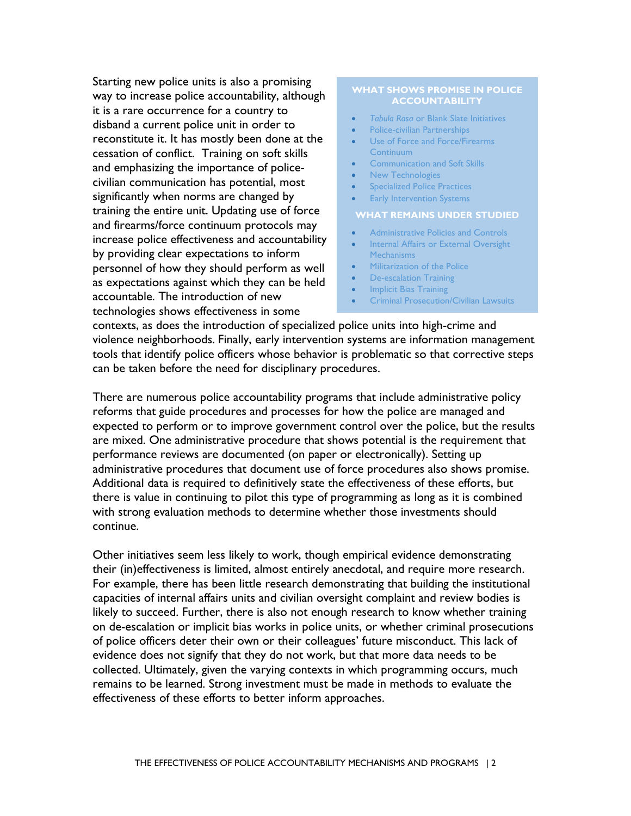disband a current police unit in order to reconstitute it. It has mostly been done at the cessation of conflict. Training on soft skills and firearms/force continuum protocols may increase police effectiveness and accountability Starting new police units is also a promising way to increase police accountability, although it is a rare occurrence for a country to and emphasizing the importance of policecivilian communication has potential, most significantly when norms are changed by training the entire unit. Updating use of force by providing clear expectations to inform personnel of how they should perform as well as expectations against which they can be held accountable. The introduction of new technologies shows effectiveness in some

#### **WHAT SHOWS PROMISE IN POLICE ACCOUNTABILITY**

- *Tabula Rasa* [or Blank Slate Initiatives](#page-14-2)
- [Police-civilian Partnerships](#page-16-0)
- [Use of Force and Force/Firearms](#page-19-0)  [Continuum](#page-19-0)
- **Communication and Soft Skills**
- New Technologies
- [Specialized Police Practices](#page-24-0)
- **Early Intervention Systems**

#### **- WHAT REMAINS UNDER STUDIED**

- [Administrative Policies and Controls](#page-27-0)
- [Internal Affairs or External Oversight](#page-28-0)  **Mechanisms**
- Militarization of the Police
- [De-escalation Training](#page-30-1)
- Implicit Bias Training
- [Criminal Prosecution/Civilian Lawsuits](#page-31-2)

 tools that identify police officers whose behavior is problematic so that corrective steps can be taken before the need for disciplinary procedures. contexts, as does the introduction of specialized police units into high-crime and violence neighborhoods. Finally, early intervention systems are information management

 are mixed. One administrative procedure that shows potential is the requirement that with strong evaluation methods to determine whether those investments should continue. There are numerous police accountability programs that include administrative policy reforms that guide procedures and processes for how the police are managed and expected to perform or to improve government control over the police, but the results performance reviews are documented (on paper or electronically). Setting up administrative procedures that document use of force procedures also shows promise. Additional data is required to definitively state the effectiveness of these efforts, but there is value in continuing to pilot this type of programming as long as it is combined

 likely to succeed. Further, there is also not enough research to know whether training on de-escalation or implicit bias works in police units, or whether criminal prosecutions Other initiatives seem less likely to work, though empirical evidence demonstrating their (in)effectiveness is limited, almost entirely anecdotal, and require more research. For example, there has been little research demonstrating that building the institutional capacities of internal affairs units and civilian oversight complaint and review bodies is of police officers deter their own or their colleagues' future misconduct. This lack of evidence does not signify that they do not work, but that more data needs to be collected. Ultimately, given the varying contexts in which programming occurs, much remains to be learned. Strong investment must be made in methods to evaluate the effectiveness of these efforts to better inform approaches.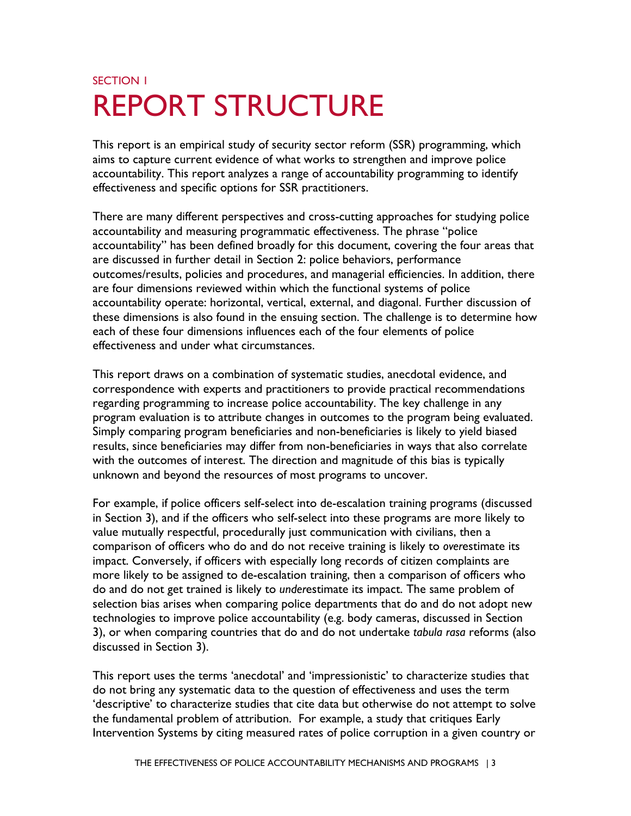# <span id="page-6-0"></span>SECTION 1 REPORT STRUCTURE

 This report is an empirical study of security sector reform (SSR) programming, which accountability. This report analyzes a range of accountability programming to identify aims to capture current evidence of what works to strengthen and improve police effectiveness and specific options for SSR practitioners.

There are many different perspectives and cross-cutting approaches for studying police accountability and measuring programmatic effectiveness. The phrase "police accountability" has been defined broadly for this document, covering the four areas that are discussed in further detail in Section 2: police behaviors, performance outcomes/results, policies and procedures, and managerial efficiencies. In addition, there are four dimensions reviewed within which the functional systems of police accountability operate: horizontal, vertical, external, and diagonal. Further discussion of these dimensions is also found in the ensuing section. The challenge is to determine how each of these four dimensions influences each of the four elements of police effectiveness and under what circumstances.

 with the outcomes of interest. The direction and magnitude of this bias is typically This report draws on a combination of systematic studies, anecdotal evidence, and correspondence with experts and practitioners to provide practical recommendations regarding programming to increase police accountability. The key challenge in any program evaluation is to attribute changes in outcomes to the program being evaluated. Simply comparing program beneficiaries and non-beneficiaries is likely to yield biased results, since beneficiaries may differ from non-beneficiaries in ways that also correlate unknown and beyond the resources of most programs to uncover.

 3), or when comparing countries that do and do not undertake *tabula rasa* reforms (also For example, if police officers self-select into de-escalation training programs (discussed in Section 3), and if the officers who self-select into these programs are more likely to value mutually respectful, procedurally just communication with civilians, then a comparison of officers who do and do not receive training is likely to *over*estimate its impact. Conversely, if officers with especially long records of citizen complaints are more likely to be assigned to de-escalation training, then a comparison of officers who do and do not get trained is likely to *under*estimate its impact. The same problem of selection bias arises when comparing police departments that do and do not adopt new technologies to improve police accountability (e.g. body cameras, discussed in Section discussed in Section 3).

 do not bring any systematic data to the question of effectiveness and uses the term This report uses the terms 'anecdotal' and 'impressionistic' to characterize studies that 'descriptive' to characterize studies that cite data but otherwise do not attempt to solve the fundamental problem of attribution. For example, a study that critiques Early Intervention Systems by citing measured rates of police corruption in a given country or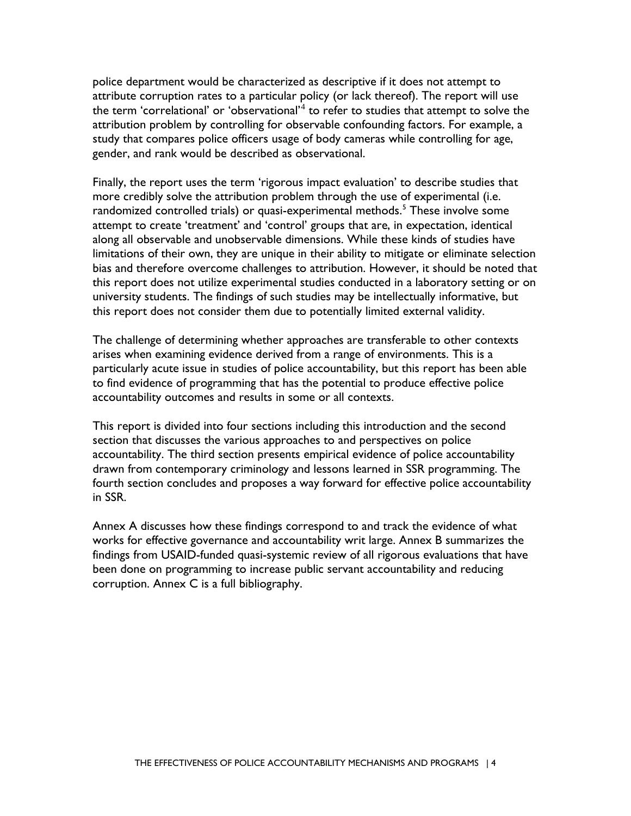police department would be characterized as descriptive if it does not attempt to attribute corruption rates to a particular policy (or lack thereof). The report will use the term 'correlational' or 'observational' $4$  to refer to studies that attempt to solve the attribution problem by controlling for observable confounding factors. For example, a study that compares police officers usage of body cameras while controlling for age, gender, and rank would be described as observational.

Finally, the report uses the term 'rigorous impact evaluation' to describe studies that more credibly solve the attribution problem through the use of experimental (i.e. randomized controlled trials) or quasi-experimental methods.<sup>[5](#page-62-4)</sup> These involve some attempt to create 'treatment' and 'control' groups that are, in expectation, identical along all observable and unobservable dimensions. While these kinds of studies have limitations of their own, they are unique in their ability to mitigate or eliminate selection bias and therefore overcome challenges to attribution. However, it should be noted that this report does not utilize experimental studies conducted in a laboratory setting or on university students. The findings of such studies may be intellectually informative, but this report does not consider them due to potentially limited external validity.

The challenge of determining whether approaches are transferable to other contexts arises when examining evidence derived from a range of environments. This is a particularly acute issue in studies of police accountability, but this report has been able to find evidence of programming that has the potential to produce effective police accountability outcomes and results in some or all contexts.

 This report is divided into four sections including this introduction and the second section that discusses the various approaches to and perspectives on police accountability. The third section presents empirical evidence of police accountability drawn from contemporary criminology and lessons learned in SSR programming. The fourth section concludes and proposes a way forward for effective police accountability in SSR.

Annex A discusses how these findings correspond to and track the evidence of what works for effective governance and accountability writ large. Annex B summarizes the findings from USAID-funded quasi-systemic review of all rigorous evaluations that have been done on programming to increase public servant accountability and reducing corruption. Annex C is a full bibliography.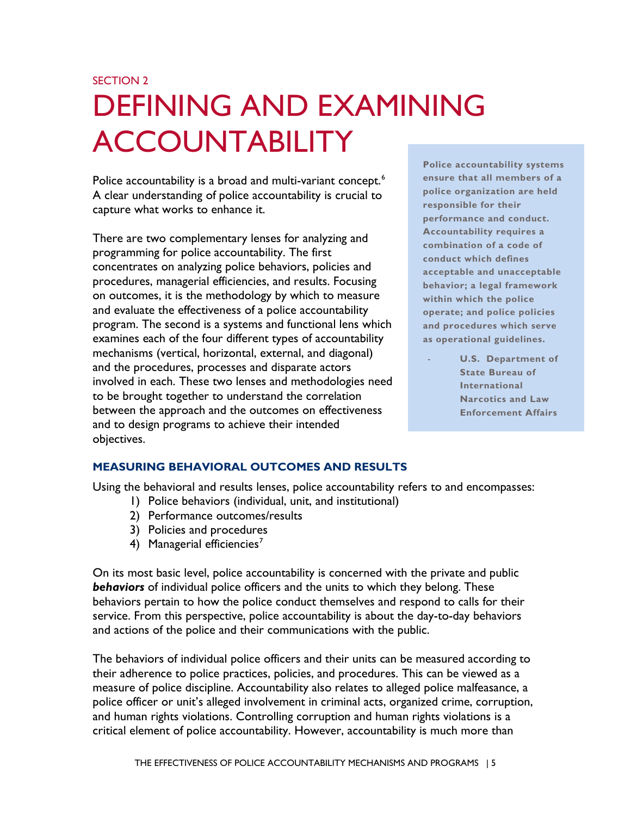# <span id="page-8-0"></span>SECTION 2 DEFINING AND EXAMINING ACCOUNTABILITY

Police accountability is a broad and multi-variant concept.<sup>6</sup> Police ansure that all members of a A clear understanding of police accountability is crucial to **replice organization are held**<br> **capture what works to enhance it. performance and conduct. performance and conduct.** 

 on outcomes, it is the methodology by which to measure **within which the police**  program. The second is a systems and functional lens which **and procedures which serve**  and the procedures, processes and disparate actors **State Bureau of** *State Bureau* of There are two complementary lenses for analyzing and programming for police accountability. The first **conduct which defines** concentrates on analyzing police behaviors, policies and **acceptable and unacceptable**  procedures, managerial efficiencies, and results. Focusing and evaluate the effectiveness of a police accountability examines each of the four different types of accountability **as operational guidelines.**  mechanisms (vertical, horizontal, external, and diagonal) involved in each. These two lenses and methodologies need **International** to be brought together to understand the correlation between the approach and the outcomes on effectiveness **Enforcement Affairs**  and to design programs to achieve their intended objectives.

 **Police accountability systems**  ensure that all members of a police organization are held responsible for their **Accountability requires a** combination of a code of **behavior; a legal framework** within which the police operate; and police policies

**U.S.** Department of **State Bureau of Narcotics and Law** 

## <span id="page-8-1"></span>**MEASURING BEHAVIORAL OUTCOMES AND RESULTS**

Using the behavioral and results lenses, police accountability refers to and encompasses:

- 1) Police behaviors (individual, unit, and institutional)
- 2) Performance outcomes/results
- 3) Policies and procedures
- 4) Managerial efficiencies<sup>[7](#page-62-6)</sup>

 *behaviors* of individual police officers and the units to which they belong. These On its most basic level, police accountability is concerned with the private and public behaviors pertain to how the police conduct themselves and respond to calls for their service. From this perspective, police accountability is about the day-to-day behaviors and actions of the police and their communications with the public.

 measure of police discipline. Accountability also relates to alleged police malfeasance, a and human rights violations. Controlling corruption and human rights violations is a critical element of police accountability. However, accountability is much more than The behaviors of individual police officers and their units can be measured according to their adherence to police practices, policies, and procedures. This can be viewed as a police officer or unit's alleged involvement in criminal acts, organized crime, corruption,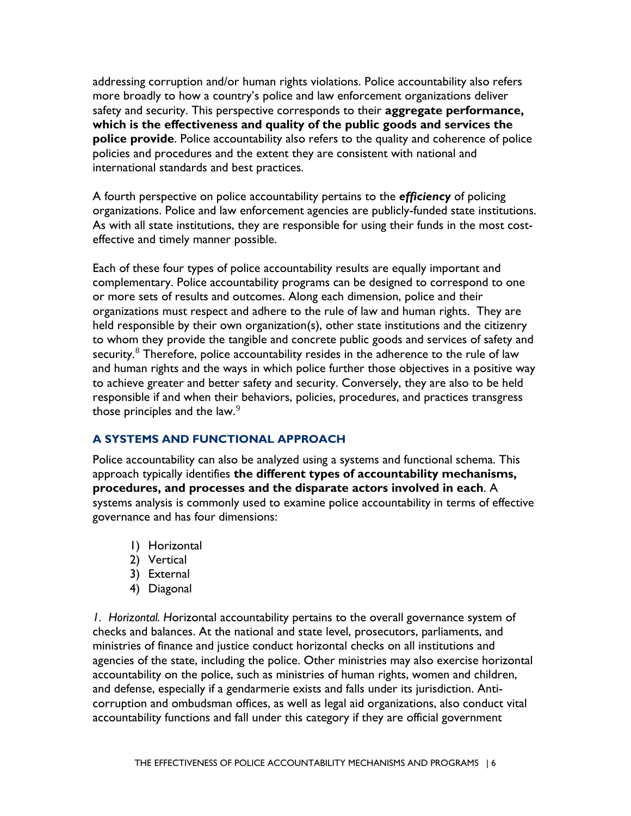international standards and best practices. addressing corruption and/or human rights violations. Police accountability also refers more broadly to how a country's police and law enforcement organizations deliver safety and security. This perspective corresponds to their **aggregate performance, which is the effectiveness and quality of the public goods and services the police provide**. Police accountability also refers to the quality and coherence of police policies and procedures and the extent they are consistent with national and

 organizations. Police and law enforcement agencies are publicly-funded state institutions. A fourth perspective on police accountability pertains to the *efficiency* of policing As with all state institutions, they are responsible for using their funds in the most costeffective and timely manner possible.

security. $^8$  $^8$  Therefore, police accountability resides in the adherence to the rule of law Each of these four types of police accountability results are equally important and complementary. Police accountability programs can be designed to correspond to one or more sets of results and outcomes. Along each dimension, police and their organizations must respect and adhere to the rule of law and human rights. They are held responsible by their own organization(s), other state institutions and the citizenry to whom they provide the tangible and concrete public goods and services of safety and and human rights and the ways in which police further those objectives in a positive way to achieve greater and better safety and security. Conversely, they are also to be held responsible if and when their behaviors, policies, procedures, and practices transgress those principles and the law. $9$ 

### <span id="page-9-0"></span>**A SYSTEMS AND FUNCTIONAL APPROACH**

 Police accountability can also be analyzed using a systems and functional schema. This approach typically identifies **the different types of accountability mechanisms, procedures, and processes and the disparate actors involved in each**. A systems analysis is commonly used to examine police accountability in terms of effective governance and has four dimensions:

- 1) Horizontal
- 2) Vertical
- 3) External
- 4) Diagonal

 corruption and ombudsman offices, as well as legal aid organizations, also conduct vital *1. Horizontal. H*orizontal accountability pertains to the overall governance system of checks and balances. At the national and state level, prosecutors, parliaments, and ministries of finance and justice conduct horizontal checks on all institutions and agencies of the state, including the police. Other ministries may also exercise horizontal accountability on the police, such as ministries of human rights, women and children, and defense, especially if a gendarmerie exists and falls under its jurisdiction. Antiaccountability functions and fall under this category if they are official government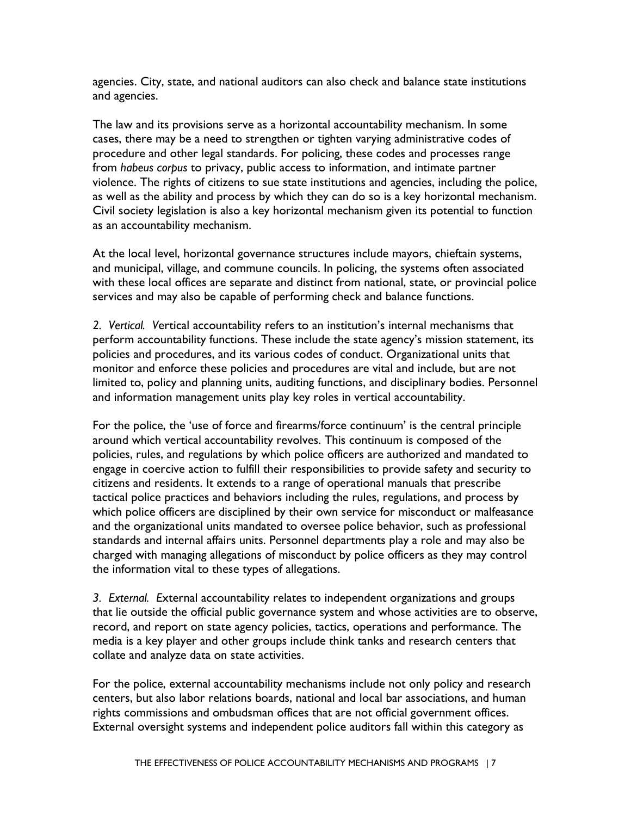agencies. City, state, and national auditors can also check and balance state institutions and agencies.

 procedure and other legal standards. For policing, these codes and processes range as well as the ability and process by which they can do so is a key horizontal mechanism. The law and its provisions serve as a horizontal accountability mechanism. In some cases, there may be a need to strengthen or tighten varying administrative codes of from *habeus corpus* to privacy, public access to information, and intimate partner violence. The rights of citizens to sue state institutions and agencies, including the police, Civil society legislation is also a key horizontal mechanism given its potential to function as an accountability mechanism.

 services and may also be capable of performing check and balance functions. At the local level, horizontal governance structures include mayors, chieftain systems, and municipal, village, and commune councils. In policing, the systems often associated with these local offices are separate and distinct from national, state, or provincial police

 policies and procedures, and its various codes of conduct. Organizational units that *2. Vertical. V*ertical accountability refers to an institution's internal mechanisms that perform accountability functions. These include the state agency's mission statement, its monitor and enforce these policies and procedures are vital and include, but are not limited to, policy and planning units, auditing functions, and disciplinary bodies. Personnel and information management units play key roles in vertical accountability.

 policies, rules, and regulations by which police officers are authorized and mandated to tactical police practices and behaviors including the rules, regulations, and process by For the police, the 'use of force and firearms/force continuum' is the central principle around which vertical accountability revolves. This continuum is composed of the engage in coercive action to fulfill their responsibilities to provide safety and security to citizens and residents. It extends to a range of operational manuals that prescribe which police officers are disciplined by their own service for misconduct or malfeasance and the organizational units mandated to oversee police behavior, such as professional standards and internal affairs units. Personnel departments play a role and may also be charged with managing allegations of misconduct by police officers as they may control the information vital to these types of allegations.

*3. External. E*xternal accountability relates to independent organizations and groups that lie outside the official public governance system and whose activities are to observe, record, and report on state agency policies, tactics, operations and performance. The media is a key player and other groups include think tanks and research centers that collate and analyze data on state activities.

For the police, external accountability mechanisms include not only policy and research centers, but also labor relations boards, national and local bar associations, and human rights commissions and ombudsman offices that are not official government offices. External oversight systems and independent police auditors fall within this category as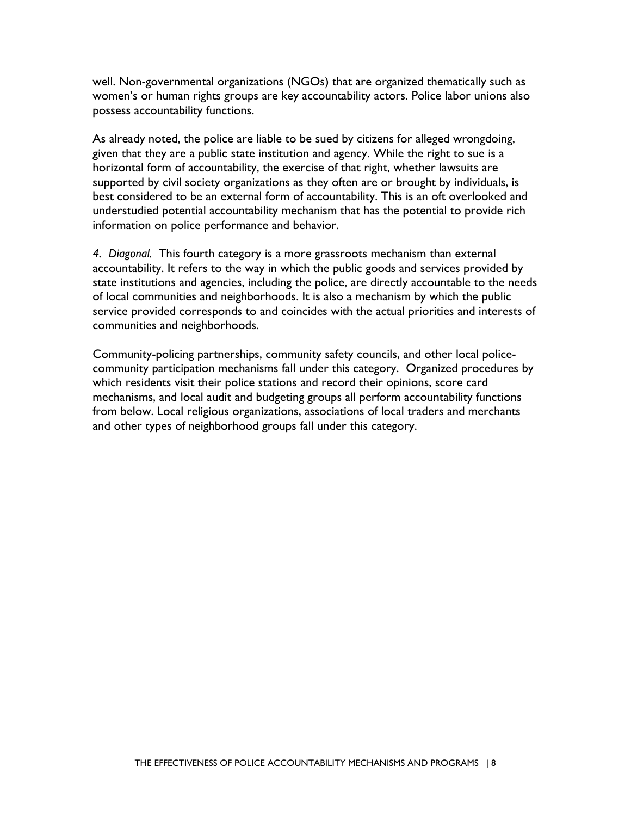well. Non-governmental organizations (NGOs) that are organized thematically such as women's or human rights groups are key accountability actors. Police labor unions also possess accountability functions.

 understudied potential accountability mechanism that has the potential to provide rich As already noted, the police are liable to be sued by citizens for alleged wrongdoing, given that they are a public state institution and agency. While the right to sue is a horizontal form of accountability, the exercise of that right, whether lawsuits are supported by civil society organizations as they often are or brought by individuals, is best considered to be an external form of accountability. This is an oft overlooked and information on police performance and behavior.

 accountability. It refers to the way in which the public goods and services provided by *4. Diagonal.* This fourth category is a more grassroots mechanism than external state institutions and agencies, including the police, are directly accountable to the needs of local communities and neighborhoods. It is also a mechanism by which the public service provided corresponds to and coincides with the actual priorities and interests of communities and neighborhoods.

 from below. Local religious organizations, associations of local traders and merchants and other types of neighborhood groups fall under this category. Community-policing partnerships, community safety councils, and other local policecommunity participation mechanisms fall under this category. Organized procedures by which residents visit their police stations and record their opinions, score card mechanisms, and local audit and budgeting groups all perform accountability functions and other types of neighborhood groups fall under this category.<br>THE EFFECTIVENESS OF POLICE ACCOUNTABILITY MECHANISMS AND PROGRAMS | 8<br>THE EFFECTIVENESS OF POLICE ACCOUNTABILITY MECHANISMS AND PROGRAMS | 8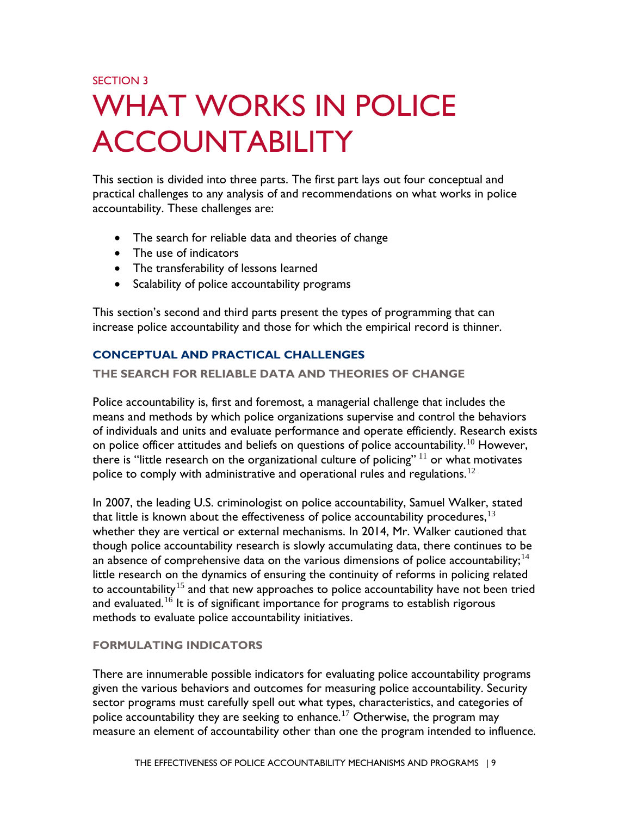# <span id="page-12-0"></span>SECTION 3 WHAT WORKS IN POLICE ACCOUNTABILITY

This section is divided into three parts. The first part lays out four conceptual and practical challenges to any analysis of and recommendations on what works in police accountability. These challenges are:

- The search for reliable data and theories of change
- The use of indicators
- The transferability of lessons learned
- Scalability of police accountability programs

This section's second and third parts present the types of programming that can increase police accountability and those for which the empirical record is thinner.

## <span id="page-12-1"></span>**CONCEPTUAL AND PRACTICAL CHALLENGES**

## <span id="page-12-2"></span> **THE SEARCH FOR RELIABLE DATA AND THEORIES OF CHANGE**

Police accountability is, first and foremost, a managerial challenge that includes the means and methods by which police organizations supervise and control the behaviors of individuals and units and evaluate performance and operate efficiently. Research exists on police officer attitudes and beliefs on questions of police accountability.<sup>10</sup> However, there is "little research on the organizational culture of policing"  $11$  or what motivates police to comply with administrative and operational rules and regulations.<sup>12</sup>

 though police accountability research is slowly accumulating data, there continues to be In 2007, the leading U.S. criminologist on police accountability, Samuel Walker, stated that little is known about the effectiveness of police accountability procedures,  $13$ whether they are vertical or external mechanisms. In 2014, Mr. Walker cautioned that an absence of comprehensive data on the various dimensions of police accountability;<sup>14</sup> little research on the dynamics of ensuring the continuity of reforms in policing related to accountability<sup>[15](#page-63-3)</sup> and that new approaches to police accountability have not been tried and evaluated.<sup>16</sup> It is of significant importance for programs to establish rigorous methods to evaluate police accountability initiatives.

## <span id="page-12-3"></span>**FORMULATING INDICATORS**

police accountability they are seeking to enhance.<sup>[17](#page-63-5)</sup> Otherwise, the program may<br>measure an element of accountability other than one the program intended to influence.<br>THE EFFECTIVENESS OF POLICE ACCOUNTABILITY MECHANISM measure an element of accountability other than one the program intended to influence. There are innumerable possible indicators for evaluating police accountability programs given the various behaviors and outcomes for measuring police accountability. Security sector programs must carefully spell out what types, characteristics, and categories of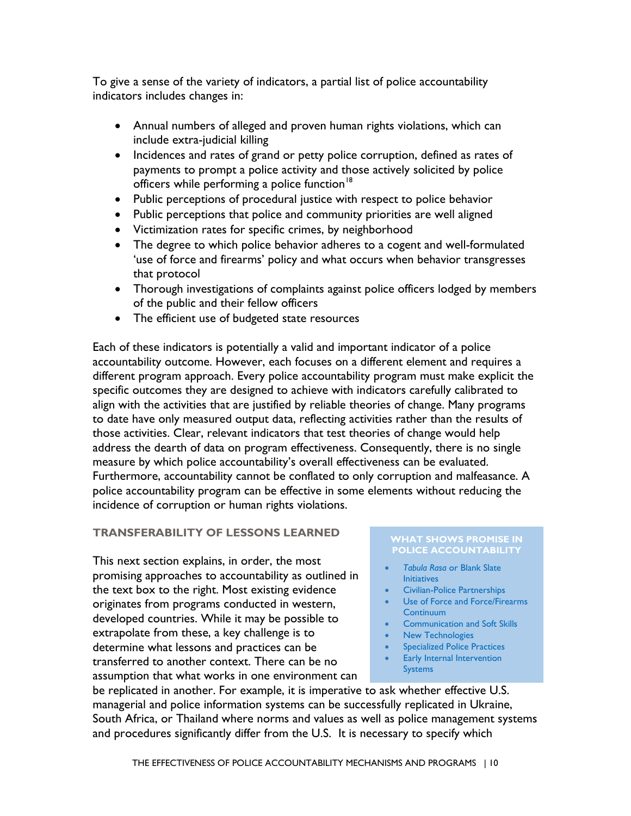To give a sense of the variety of indicators, a partial list of police accountability indicators includes changes in:

- Annual numbers of alleged and proven human rights violations, which can include extra-judicial killing
- • Incidences and rates of grand or petty police corruption, defined as rates of payments to prompt a police activity and those actively solicited by police officers while performing a police function<sup>[18](#page-63-6)</sup>
- Public perceptions of procedural justice with respect to police behavior
- Public perceptions that police and community priorities are well aligned
- Victimization rates for specific crimes, by neighborhood
- The degree to which police behavior adheres to a cogent and well-formulated 'use of force and firearms' policy and what occurs when behavior transgresses that protocol
- Thorough investigations of complaints against police officers lodged by members of the public and their fellow officers
- The efficient use of budgeted state resources

 Each of these indicators is potentially a valid and important indicator of a police Furthermore, accountability cannot be conflated to only corruption and malfeasance. A accountability outcome. However, each focuses on a different element and requires a different program approach. Every police accountability program must make explicit the specific outcomes they are designed to achieve with indicators carefully calibrated to align with the activities that are justified by reliable theories of change. Many programs to date have only measured output data, reflecting activities rather than the results of those activities. Clear, relevant indicators that test theories of change would help address the dearth of data on program effectiveness. Consequently, there is no single measure by which police accountability's overall effectiveness can be evaluated. police accountability program can be effective in some elements without reducing the incidence of corruption or human rights violations.

# <span id="page-13-0"></span>**TRANSFERABILITY OF LESSONS LEARNED WHAT SHOWS PROMISE IN**

transferred to another context. There can be no This next section explains, in order, the most<br> **Tabula Rasa or Blank Slate** promising approaches to accountability as outlined in Initiatives the text box to the right. Most existing evidence<br>
originates from programs conducted in western<br>
Use of Force and Force/Firearms **•** [Use of Force and Force/Firearms](#page-19-0) originates from programs conducted in western,  $\begin{array}{ccc}\n & \text{Use of Force and Force/Firearr\n} \\
\text{developed countries. While it may be possible to\n} & \text{Communization and Soft Skills\n} \\
\text{extrapolate from these, a key challenge is to\n} & \text{New Technologies\n}\end{array}$ extrapolate from these, a key challenge is to<br>
determine what lessons and practices can be<br>
entity of the Specialized Police Practices determine what lessons and practices can be **•** Specialized Police Practices<br> **Example 2008** Franchise Context There can be no **Factulate** Early Internal Intervention examption that what works in one environment can be systems systems

# **POLICE ACCOUNTABILITY**

- 
- 
- 
- 
- 
- 
- 

be replicated in another. For example, it is imperative to ask whether effective U.S. managerial and police information systems can be successfully replicated in Ukraine, South Africa, or Thailand where norms and values as well as police management systems and procedures significantly differ from the U.S. It is necessary to specify which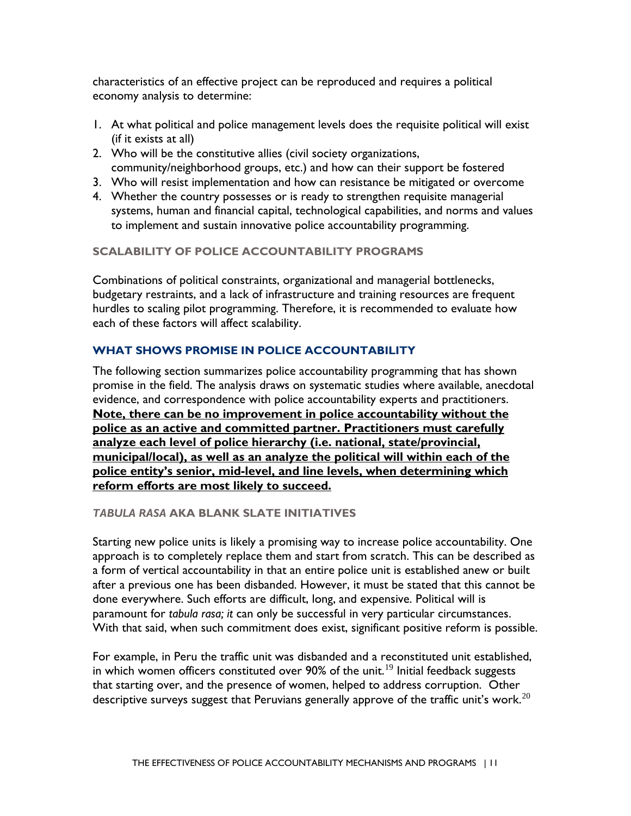characteristics of an effective project can be reproduced and requires a political economy analysis to determine:

- 1. At what political and police management levels does the requisite political will exist (if it exists at all)
- community/neighborhood groups, etc.) and how can their support be fostered 2. Who will be the constitutive allies (civil society organizations,
- 3. Who will resist implementation and how can resistance be mitigated or overcome
- 4. Whether the country possesses or is ready to strengthen requisite managerial systems, human and financial capital, technological capabilities, and norms and values to implement and sustain innovative police accountability programming.

### <span id="page-14-0"></span>**SCALABILITY OF POLICE ACCOUNTABILITY PROGRAMS**

 budgetary restraints, and a lack of infrastructure and training resources are frequent hurdles to scaling pilot programming. Therefore, it is recommended to evaluate how Combinations of political constraints, organizational and managerial bottlenecks, each of these factors will affect scalability.

## <span id="page-14-1"></span>**WHAT SHOWS PROMISE IN POLICE ACCOUNTABILITY**

 The following section summarizes police accountability programming that has shown promise in the field. The analysis draws on systematic studies where available, anecdotal evidence, and correspondence with police accountability experts and practitioners. **Note, there can be no improvement in police accountability without the police as an active and committed partner. Practitioners must carefully analyze each level of police hierarchy (i.e. national, state/provincial, municipal/local), as well as an analyze the political will within each of the police entity's senior, mid-level, and line levels, when determining which reform efforts are most likely to succeed.** 

### <span id="page-14-2"></span>*TABULA RASA* **AKA BLANK SLATE INITIATIVES**

Starting new police units is likely a promising way to increase police accountability. One approach is to completely replace them and start from scratch. This can be described as a form of vertical accountability in that an entire police unit is established anew or built after a previous one has been disbanded. However, it must be stated that this cannot be done everywhere. Such efforts are difficult, long, and expensive. Political will is paramount for *tabula rasa; it* can only be successful in very particular circumstances.

With that said, when such commitment does exist, significant positive reform is possible.<br>For example, in Peru the traffic unit was disbanded and a reconstituted unit established, descriptive surveys suggest that Peruvians generally approve of the traffic unit's work. $^{20}$ in which women officers constituted over 90% of the unit.<sup>19</sup> Initial feedback suggests that starting over, and the presence of women, helped to address corruption. Other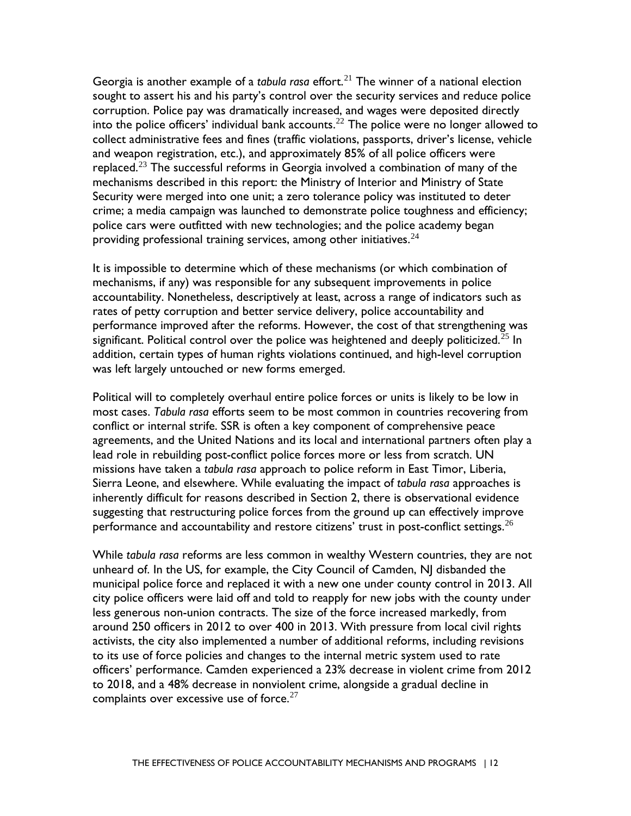Georgia is another example of a *tabula rasa* effort.<sup>[21](#page-63-9)</sup> The winner of a national election police cars were outfitted with new technologies; and the police academy began sought to assert his and his party's control over the security services and reduce police corruption. Police pay was dramatically increased, and wages were deposited directly into the police officers' individual bank accounts.<sup>[22](#page-63-10)</sup> The police were no longer allowed to collect administrative fees and fines (traffic violations, passports, driver's license, vehicle and weapon registration, etc.), and approximately 85% of all police officers were replaced.<sup>23</sup> The successful reforms in Georgia involved a combination of many of the mechanisms described in this report: the Ministry of Interior and Ministry of State Security were merged into one unit; a zero tolerance policy was instituted to deter crime; a media campaign was launched to demonstrate police toughness and efficiency; providing professional training services, among other initiatives.  $24$ 

It is impossible to determine which of these mechanisms (or which combination of mechanisms, if any) was responsible for any subsequent improvements in police accountability. Nonetheless, descriptively at least, across a range of indicators such as rates of petty corruption and better service delivery, police accountability and performance improved after the reforms. However, the cost of that strengthening was significant. Political control over the police was heightened and deeply politicized.<sup>[25](#page-63-13)</sup> In addition, certain types of human rights violations continued, and high-level corruption was left largely untouched or new forms emerged.

 agreements, and the United Nations and its local and international partners often play a Political will to completely overhaul entire police forces or units is likely to be low in most cases. *Tabula rasa* efforts seem to be most common in countries recovering from conflict or internal strife. SSR is often a key component of comprehensive peace lead role in rebuilding post-conflict police forces more or less from scratch. UN missions have taken a *tabula rasa* approach to police reform in East Timor, Liberia, Sierra Leone, and elsewhere. While evaluating the impact of *tabula rasa* approaches is inherently difficult for reasons described in Section 2, there is observational evidence suggesting that restructuring police forces from the ground up can effectively improve performance and accountability and restore citizens' trust in post-conflict settings.  $26$ 

 around 250 officers in 2012 to over 400 in 2013. With pressure from local civil rights While *tabula rasa* reforms are less common in wealthy Western countries, they are not unheard of. In the US, for example, the City Council of Camden, NJ disbanded the municipal police force and replaced it with a new one under county control in 2013. All city police officers were laid off and told to reapply for new jobs with the county under less generous non-union contracts. The size of the force increased markedly, from activists, the city also implemented a number of additional reforms, including revisions to its use of force policies and changes to the internal metric system used to rate officers' performance. Camden experienced a 23% decrease in violent crime from 2012 to 2018, and a 48% decrease in nonviolent crime, alongside a gradual decline in complaints over excessive use of force. $27$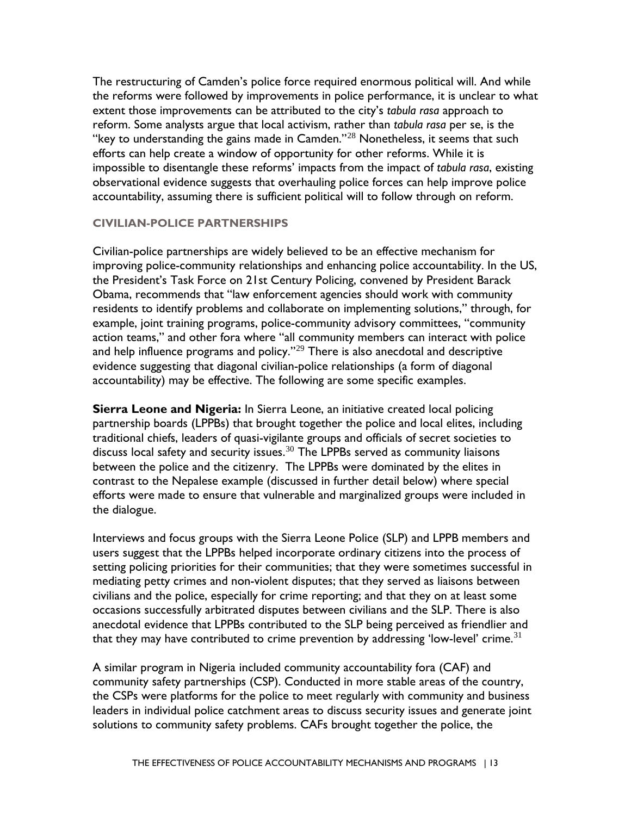accountability, assuming there is sufficient political will to follow through on reform. The restructuring of Camden's police force required enormous political will. And while the reforms were followed by improvements in police performance, it is unclear to what extent those improvements can be attributed to the city's *tabula rasa* approach to reform. Some analysts argue that local activism, rather than *tabula rasa* per se, is the "key to understanding the gains made in Camden."[28](#page-63-16) Nonetheless, it seems that such efforts can help create a window of opportunity for other reforms. While it is impossible to disentangle these reforms' impacts from the impact of *tabula rasa*, existing observational evidence suggests that overhauling police forces can help improve police

### <span id="page-16-0"></span>**CIVILIAN-POLICE PARTNERSHIPS**

 Obama, recommends that "law enforcement agencies should work with community Civilian-police partnerships are widely believed to be an effective mechanism for improving police-community relationships and enhancing police accountability. In the US, the President's Task Force on 21st Century Policing, convened by President Barack residents to identify problems and collaborate on implementing solutions," through, for example, joint training programs, police-community advisory committees, "community action teams," and other fora where "all community members can interact with police and help influence programs and policy."<sup>29</sup> There is also anecdotal and descriptive evidence suggesting that diagonal civilian-police relationships (a form of diagonal accountability) may be effective. The following are some specific examples.

 traditional chiefs, leaders of quasi-vigilante groups and officials of secret societies to **Sierra Leone and Nigeria:** In Sierra Leone, an initiative created local policing partnership boards (LPPBs) that brought together the police and local elites, including discuss local safety and security issues.<sup>30</sup> The LPPBs served as community liaisons between the police and the citizenry. The LPPBs were dominated by the elites in contrast to the Nepalese example (discussed in further detail below) where special efforts were made to ensure that vulnerable and marginalized groups were included in the dialogue.

 users suggest that the LPPBs helped incorporate ordinary citizens into the process of anecdotal evidence that LPPBs contributed to the SLP being perceived as friendlier and that they may have contributed to crime prevention by addressing 'low-level' crime. $^{\rm 31}$ Interviews and focus groups with the Sierra Leone Police (SLP) and LPPB members and setting policing priorities for their communities; that they were sometimes successful in mediating petty crimes and non-violent disputes; that they served as liaisons between civilians and the police, especially for crime reporting; and that they on at least some occasions successfully arbitrated disputes between civilians and the SLP. There is also

A similar program in Nigeria included community accountability fora (CAF) and community safety partnerships (CSP). Conducted in more stable areas of the country, the CSPs were platforms for the police to meet regularly with community and business leaders in individual police catchment areas to discuss security issues and generate joint solutions to community safety problems. CAFs brought together the police, the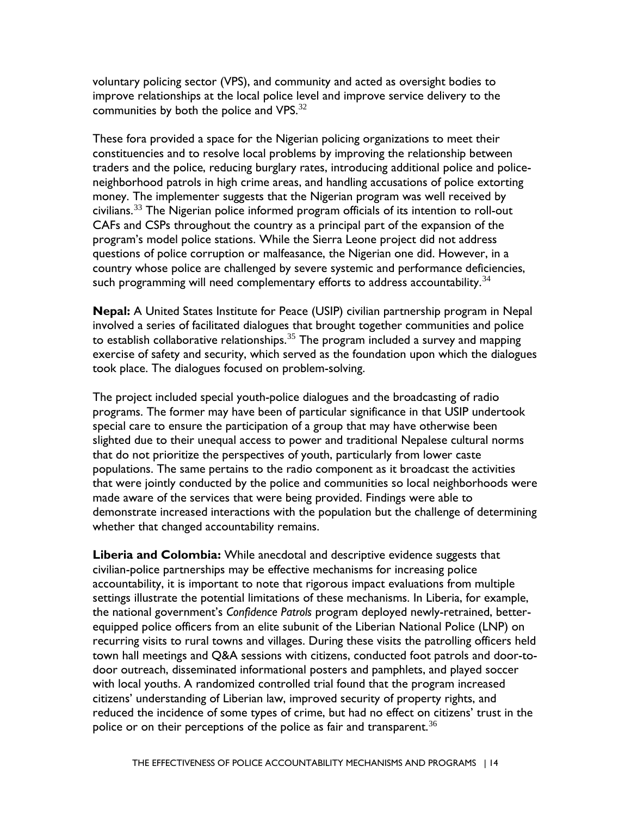voluntary policing sector (VPS), and community and acted as oversight bodies to improve relationships at the local police level and improve service delivery to the communities by both the police and VPS. $32$ 

 neighborhood patrols in high crime areas, and handling accusations of police extorting questions of police corruption or malfeasance, the Nigerian one did. However, in a These fora provided a space for the Nigerian policing organizations to meet their constituencies and to resolve local problems by improving the relationship between traders and the police, reducing burglary rates, introducing additional police and policemoney. The implementer suggests that the Nigerian program was well received by civilians.<sup>[33](#page-63-21)</sup> The Nigerian police informed program officials of its intention to roll-out CAFs and CSPs throughout the country as a principal part of the expansion of the program's model police stations. While the Sierra Leone project did not address country whose police are challenged by severe systemic and performance deficiencies, such programming will need complementary efforts to address accountability.<sup>[34](#page-63-22)</sup>

 involved a series of facilitated dialogues that brought together communities and police **Nepal:** A United States Institute for Peace (USIP) civilian partnership program in Nepal to establish collaborative relationships.<sup>[35](#page-63-23)</sup> The program included a survey and mapping exercise of safety and security, which served as the foundation upon which the dialogues took place. The dialogues focused on problem-solving.

 The project included special youth-police dialogues and the broadcasting of radio demonstrate increased interactions with the population but the challenge of determining programs. The former may have been of particular significance in that USIP undertook special care to ensure the participation of a group that may have otherwise been slighted due to their unequal access to power and traditional Nepalese cultural norms that do not prioritize the perspectives of youth, particularly from lower caste populations. The same pertains to the radio component as it broadcast the activities that were jointly conducted by the police and communities so local neighborhoods were made aware of the services that were being provided. Findings were able to whether that changed accountability remains.

police or on their perceptions of the police as fair and transparent.  $36$ **Liberia and Colombia:** While anecdotal and descriptive evidence suggests that civilian-police partnerships may be effective mechanisms for increasing police accountability, it is important to note that rigorous impact evaluations from multiple settings illustrate the potential limitations of these mechanisms. In Liberia, for example, the national government's *Confidence Patrols* program deployed newly-retrained, betterequipped police officers from an elite subunit of the Liberian National Police (LNP) on recurring visits to rural towns and villages. During these visits the patrolling officers held town hall meetings and Q&A sessions with citizens, conducted foot patrols and door-todoor outreach, disseminated informational posters and pamphlets, and played soccer with local youths. A randomized controlled trial found that the program increased citizens' understanding of Liberian law, improved security of property rights, and reduced the incidence of some types of crime, but had no effect on citizens' trust in the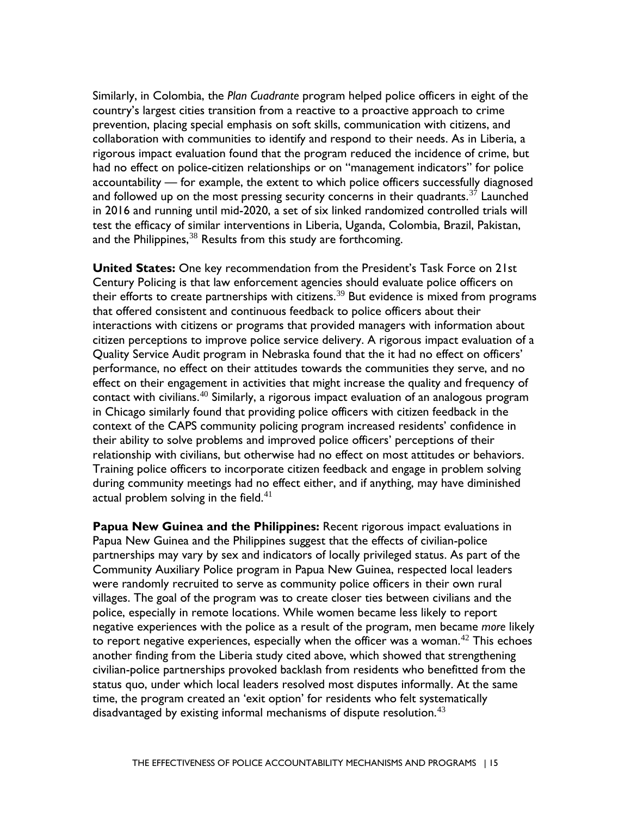accountability — for example, the extent to which police officers successfully diagnosed Similarly, in Colombia, the *Plan Cuadrante* program helped police officers in eight of the country's largest cities transition from a reactive to a proactive approach to crime prevention, placing special emphasis on soft skills, communication with citizens, and collaboration with communities to identify and respond to their needs. As in Liberia, a rigorous impact evaluation found that the program reduced the incidence of crime, but had no effect on police-citizen relationships or on "management indicators" for police and followed up on the most pressing security concerns in their quadrants.<sup>37</sup> Launched in 2016 and running until mid-2020, a set of six linked randomized controlled trials will test the efficacy of similar interventions in Liberia, Uganda, Colombia, Brazil, Pakistan, and the Philippines,  $38$  Results from this study are forthcoming.

 their ability to solve problems and improved police officers' perceptions of their **United States:** One key recommendation from the President's Task Force on 21st Century Policing is that law enforcement agencies should evaluate police officers on their efforts to create partnerships with citizens.<sup>39</sup> But evidence is mixed from programs that offered consistent and continuous feedback to police officers about their interactions with citizens or programs that provided managers with information about citizen perceptions to improve police service delivery. A rigorous impact evaluation of a Quality Service Audit program in Nebraska found that the it had no effect on officers' performance, no effect on their attitudes towards the communities they serve, and no effect on their engagement in activities that might increase the quality and frequency of contact with civilians.<sup>[40](#page-64-3)</sup> Similarly, a rigorous impact evaluation of an analogous program in Chicago similarly found that providing police officers with citizen feedback in the context of the CAPS community policing program increased residents' confidence in relationship with civilians, but otherwise had no effect on most attitudes or behaviors. Training police officers to incorporate citizen feedback and engage in problem solving during community meetings had no effect either, and if anything, may have diminished actual problem solving in the field. $41$ 

 partnerships may vary by sex and indicators of locally privileged status. As part of the police, especially in remote locations. While women became less likely to report another finding from the Liberia study cited above, which showed that strengthening disadvantaged by existing informal mechanisms of dispute resolution. $43$ **Papua New Guinea and the Philippines:** Recent rigorous impact evaluations in Papua New Guinea and the Philippines suggest that the effects of civilian-police Community Auxiliary Police program in Papua New Guinea, respected local leaders were randomly recruited to serve as community police officers in their own rural villages. The goal of the program was to create closer ties between civilians and the negative experiences with the police as a result of the program, men became *more* likely to report negative experiences, especially when the officer was a woman. $42$  This echoes civilian-police partnerships provoked backlash from residents who benefitted from the status quo, under which local leaders resolved most disputes informally. At the same time, the program created an 'exit option' for residents who felt systematically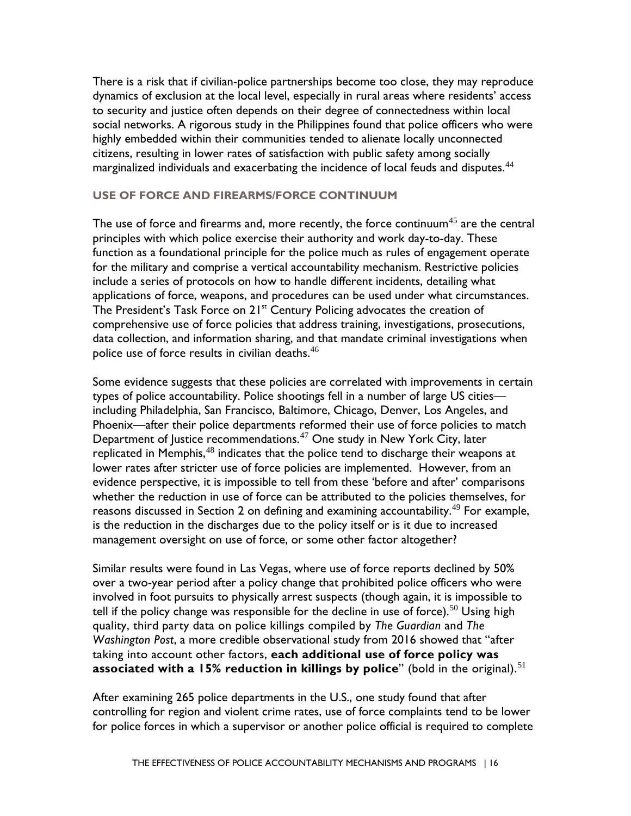citizens, resulting in lower rates of satisfaction with public safety among socially There is a risk that if civilian-police partnerships become too close, they may reproduce dynamics of exclusion at the local level, especially in rural areas where residents' access to security and justice often depends on their degree of connectedness within local social networks. A rigorous study in the Philippines found that police officers who were highly embedded within their communities tended to alienate locally unconnected marginalized individuals and exacerbating the incidence of local feuds and disputes.<sup>44</sup>

#### <span id="page-19-1"></span><span id="page-19-0"></span>**USE OF FORCE AND FIREARMS/FORCE CONTINUUM**

The use of force and firearms and, more recently, the force continuum $^{45}$  $^{45}$  $^{45}$  are the central function as a foundational principle for the police much as rules of engagement operate principles with which police exercise their authority and work day-to-day. These for the military and comprise a vertical accountability mechanism. Restrictive policies include a series of protocols on how to handle different incidents, detailing what applications of force, weapons, and procedures can be used under what circumstances. The President's Task Force on  $21^{st}$  Century Policing advocates the creation of comprehensive use of force policies that address training, investigations, prosecutions, data collection, and information sharing, and that mandate criminal investigations when police use of force results in civilian deaths.<sup>46</sup>

Some evidence suggests that these policies are correlated with improvements in certain types of police accountability. Police shootings fell in a number of large US cities including Philadelphia, San Francisco, Baltimore, Chicago, Denver, Los Angeles, and Phoenix—after their police departments reformed their use of force policies to match Department of Justice recommendations.[47](#page-64-10) One study in New York City, later replicated in Memphis, $48$  indicates that the police tend to discharge their weapons at lower rates after stricter use of force policies are implemented. However, from an evidence perspective, it is impossible to tell from these 'before and after' comparisons whether the reduction in use of force can be attributed to the policies themselves, for reasons discussed in Section 2 on defining and examining accountability. [49](#page-64-12) For example, is the reduction in the discharges due to the policy itself or is it due to increased management oversight on use of force, or some other factor altogether?

 quality, third party data on police killings compiled by *The Guardian* and *The*  **associated with a 15% reduction in killings by police**" (bold in the original).<sup>51</sup> Similar results were found in Las Vegas, where use of force reports declined by 50% over a two-year period after a policy change that prohibited police officers who were involved in foot pursuits to physically arrest suspects (though again, it is impossible to tell if the policy change was responsible for the decline in use of force).<sup>50</sup> Using high *Washington Post*, a more credible observational study from 2016 showed that "after taking into account other factors, **each additional use of force policy was** 

 After examining 265 police departments in the U.S., one study found that after controlling for region and violent crime rates, use of force complaints tend to be lower for police forces in which a supervisor or another police official is required to complete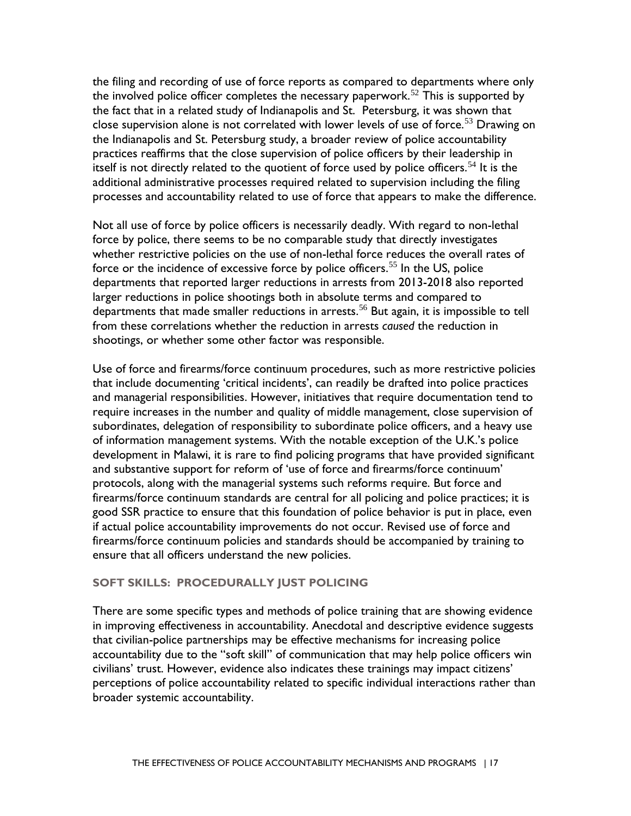the fact that in a related study of Indianapolis and St. Petersburg, it was shown that the Indianapolis and St. Petersburg study, a broader review of police accountability the filing and recording of use of force reports as compared to departments where only the involved police officer completes the necessary paperwork.<sup>52</sup> This is supported by close supervision alone is not correlated with lower levels of use of force.<sup>[53](#page-64-16)</sup> Drawing on practices reaffirms that the close supervision of police officers by their leadership in itself is not directly related to the quotient of force used by police officers.<sup>[54](#page-64-17)</sup> It is the additional administrative processes required related to supervision including the filing processes and accountability related to use of force that appears to make the difference.

 shootings, or whether some other factor was responsible. Not all use of force by police officers is necessarily deadly. With regard to non-lethal force by police, there seems to be no comparable study that directly investigates whether restrictive policies on the use of non-lethal force reduces the overall rates of force or the incidence of excessive force by police officers.<sup>55</sup> In the US, police departments that reported larger reductions in arrests from 2013-2018 also reported larger reductions in police shootings both in absolute terms and compared to departments that made smaller reductions in arrests.<sup>56</sup> But again, it is impossible to tell from these correlations whether the reduction in arrests *caused* the reduction in

 require increases in the number and quality of middle management, close supervision of Use of force and firearms/force continuum procedures, such as more restrictive policies that include documenting 'critical incidents', can readily be drafted into police practices and managerial responsibilities. However, initiatives that require documentation tend to subordinates, delegation of responsibility to subordinate police officers, and a heavy use of information management systems. With the notable exception of the U.K.'s police development in Malawi, it is rare to find policing programs that have provided significant and substantive support for reform of 'use of force and firearms/force continuum' protocols, along with the managerial systems such reforms require. But force and firearms/force continuum standards are central for all policing and police practices; it is good SSR practice to ensure that this foundation of police behavior is put in place, even if actual police accountability improvements do not occur. Revised use of force and firearms/force continuum policies and standards should be accompanied by training to ensure that all officers understand the new policies.

## <span id="page-20-0"></span> **SOFT SKILLS: PROCEDURALLY JUST POLICING**

broader systemic accountability.<br>THE EFFECTIVENESS OF POLICE ACCOUNTABILITY MECHANISMS AND PROGRAMS | 17 broader systemic accountability. There are some specific types and methods of police training that are showing evidence in improving effectiveness in accountability. Anecdotal and descriptive evidence suggests that civilian-police partnerships may be effective mechanisms for increasing police accountability due to the "soft skill" of communication that may help police officers win civilians' trust. However, evidence also indicates these trainings may impact citizens' perceptions of police accountability related to specific individual interactions rather than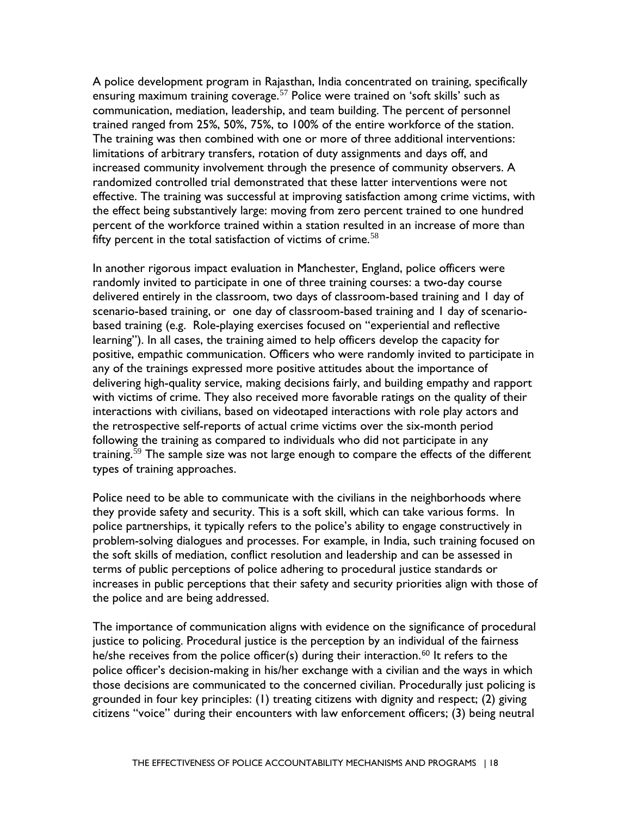trained ranged from 25%, 50%, 75%, to 100% of the entire workforce of the station. randomized controlled trial demonstrated that these latter interventions were not fifty percent in the total satisfaction of victims of crime. $58$ A police development program in Rajasthan, India concentrated on training, specifically ensuring maximum training coverage.<sup>57</sup> Police were trained on 'soft skills' such as communication, mediation, leadership, and team building. The percent of personnel The training was then combined with one or more of three additional interventions: limitations of arbitrary transfers, rotation of duty assignments and days off, and increased community involvement through the presence of community observers. A effective. The training was successful at improving satisfaction among crime victims, with the effect being substantively large: moving from zero percent trained to one hundred percent of the workforce trained within a station resulted in an increase of more than

 interactions with civilians, based on videotaped interactions with role play actors and In another rigorous impact evaluation in Manchester, England, police officers were randomly invited to participate in one of three training courses: a two-day course delivered entirely in the classroom, two days of classroom-based training and 1 day of scenario-based training, or one day of classroom-based training and 1 day of scenariobased training (e.g. Role-playing exercises focused on "experiential and reflective learning"). In all cases, the training aimed to help officers develop the capacity for positive, empathic communication. Officers who were randomly invited to participate in any of the trainings expressed more positive attitudes about the importance of delivering high-quality service, making decisions fairly, and building empathy and rapport with victims of crime. They also received more favorable ratings on the quality of their the retrospective self-reports of actual crime victims over the six-month period following the training as compared to individuals who did not participate in any training.<sup>59</sup> The sample size was not large enough to compare the effects of the different types of training approaches.

Police need to be able to communicate with the civilians in the neighborhoods where they provide safety and security. This is a soft skill, which can take various forms. In police partnerships, it typically refers to the police's ability to engage constructively in problem-solving dialogues and processes. For example, in India, such training focused on the soft skills of mediation, conflict resolution and leadership and can be assessed in terms of public perceptions of police adhering to procedural justice standards or increases in public perceptions that their safety and security priorities align with those of the police and are being addressed.

 justice to policing. Procedural justice is the perception by an individual of the fairness he/she receives from the police officer(s) during their interaction. $^{60}$  $^{60}$  $^{60}$  It refers to the those decisions are communicated to the concerned civilian. Procedurally just policing is The importance of communication aligns with evidence on the significance of procedural police officer's decision-making in his/her exchange with a civilian and the ways in which grounded in four key principles: (1) treating citizens with dignity and respect; (2) giving citizens "voice" during their encounters with law enforcement officers; (3) being neutral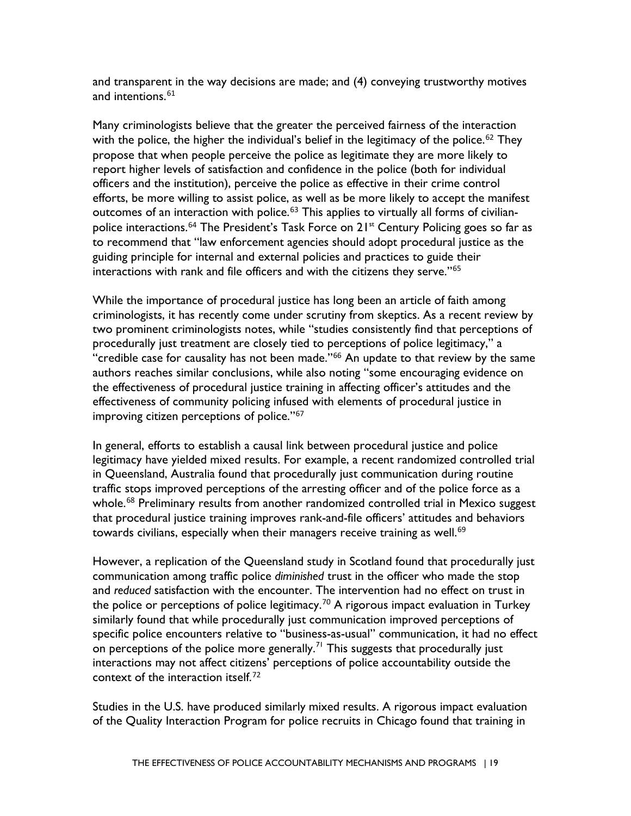and transparent in the way decisions are made; and (4) conveying trustworthy motives and intentions.<sup>[61](#page-65-2)</sup>

Many criminologists believe that the greater the perceived fairness of the interaction with the police, the higher the individual's belief in the legitimacy of the police.<sup>[62](#page-65-3)</sup> They propose that when people perceive the police as legitimate they are more likely to report higher levels of satisfaction and confidence in the police (both for individual officers and the institution), perceive the police as effective in their crime control efforts, be more willing to assist police, as well as be more likely to accept the manifest outcomes of an interaction with police.<sup>63</sup> This applies to virtually all forms of civilianpolice interactions.<sup>64</sup> The President's Task Force on  $21<sup>st</sup>$  Century Policing goes so far as to recommend that "law enforcement agencies should adopt procedural justice as the guiding principle for internal and external policies and practices to guide their interactions with rank and file officers and with the citizens they serve."[65](#page-65-6) 

 procedurally just treatment are closely tied to perceptions of police legitimacy," a authors reaches similar conclusions, while also noting "some encouraging evidence on While the importance of procedural justice has long been an article of faith among criminologists, it has recently come under scrutiny from skeptics. As a recent review by two prominent criminologists notes, while "studies consistently find that perceptions of "credible case for causality has not been made."<sup>66</sup> An update to that review by the same the effectiveness of procedural justice training in affecting officer's attitudes and the effectiveness of community policing infused with elements of procedural justice in improving citizen perceptions of police."<sup>[67](#page-65-8)</sup>

 in Queensland, Australia found that procedurally just communication during routine towards civilians, especially when their managers receive training as well.<sup>[69](#page-65-10)</sup> In general, efforts to establish a causal link between procedural justice and police legitimacy have yielded mixed results. For example, a recent randomized controlled trial traffic stops improved perceptions of the arresting officer and of the police force as a whole.<sup>68</sup> Preliminary results from another randomized controlled trial in Mexico suggest that procedural justice training improves rank-and-file officers' attitudes and behaviors

context of the interaction itself.<sup>[72](#page-65-13)</sup> However, a replication of the Queensland study in Scotland found that procedurally just communication among traffic police *diminished* trust in the officer who made the stop and *reduced* satisfaction with the encounter. The intervention had no effect on trust in the police or perceptions of police legitimacy.<sup>70</sup> A rigorous impact evaluation in Turkey similarly found that while procedurally just communication improved perceptions of specific police encounters relative to "business-as-usual" communication, it had no effect on perceptions of the police more generally.<sup>71</sup> This suggests that procedurally just interactions may not affect citizens' perceptions of police accountability outside the

Studies in the U.S. have produced similarly mixed results. A rigorous impact evaluation of the Quality Interaction Program for police recruits in Chicago found that training in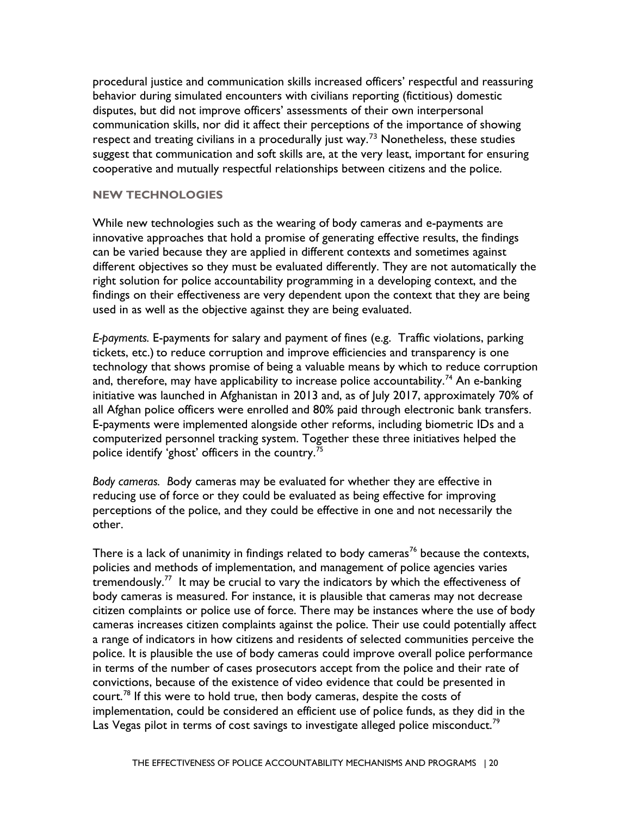suggest that communication and soft skills are, at the very least, important for ensuring procedural justice and communication skills increased officers' respectful and reassuring behavior during simulated encounters with civilians reporting (fictitious) domestic disputes, but did not improve officers' assessments of their own interpersonal communication skills, nor did it affect their perceptions of the importance of showing respect and treating civilians in a procedurally just way.<sup>[73](#page-65-14)</sup> Nonetheless, these studies cooperative and mutually respectful relationships between citizens and the police.

#### <span id="page-23-1"></span><span id="page-23-0"></span>**NEW TECHNOLOGIES**

 findings on their effectiveness are very dependent upon the context that they are being While new technologies such as the wearing of body cameras and e-payments are innovative approaches that hold a promise of generating effective results, the findings can be varied because they are applied in different contexts and sometimes against different objectives so they must be evaluated differently. They are not automatically the right solution for police accountability programming in a developing context, and the used in as well as the objective against they are being evaluated.

all Afghan police officers were enrolled and 80% paid through electronic bank transfers. all Afghan police officers were enrolled and 80% paid through electronic bank transfers.<br>E-payments were implemented alongside other reforms, including biometric IDs and a *E-payments.* E-payments for salary and payment of fines (e.g. Traffic violations, parking tickets, etc.) to reduce corruption and improve efficiencies and transparency is one technology that shows promise of being a valuable means by which to reduce corruption and, therefore, may have applicability to increase police accountability.<sup>[74](#page-65-15)</sup> An e-banking initiative was launched in Afghanistan in 2013 and, as of July 2017, approximately 70% of computerized personnel tracking system. Together these three initiatives helped the police identify 'ghost' officers in the country.<sup>71</sup>

*Body cameras. B*ody cameras may be evaluated for whether they are effective in reducing use of force or they could be evaluated as being effective for improving perceptions of the police, and they could be effective in one and not necessarily the other.

tremendously. $^{77}$  It may be crucial to vary the indicators by which the effectiveness of convictions, because of the existence of video evidence that could be presented in Las Vegas pilot in terms of cost savings to investigate alleged police misconduct.<sup>[79](#page-66-3)</sup> There is a lack of unanimity in findings related to body cameras<sup>76</sup> because the contexts, policies and methods of implementation, and management of police agencies varies body cameras is measured. For instance, it is plausible that cameras may not decrease citizen complaints or police use of force. There may be instances where the use of body cameras increases citizen complaints against the police. Their use could potentially affect a range of indicators in how citizens and residents of selected communities perceive the police. It is plausible the use of body cameras could improve overall police performance in terms of the number of cases prosecutors accept from the police and their rate of court.<sup>78</sup> If this were to hold true, then body cameras, despite the costs of implementation, could be considered an efficient use of police funds, as they did in the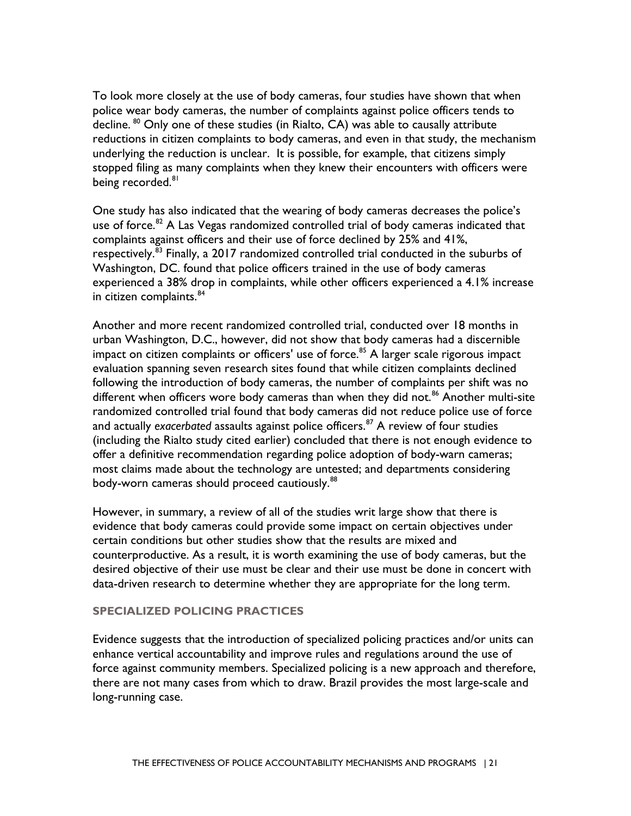To look more closely at the use of body cameras, four studies have shown that when being recorded.<sup>[81](#page-66-5)</sup> police wear body cameras, the number of complaints against police officers tends to decline. <sup>80</sup> Only one of these studies (in Rialto, CA) was able to causally attribute reductions in citizen complaints to body cameras, and even in that study, the mechanism underlying the reduction is unclear. It is possible, for example, that citizens simply stopped filing as many complaints when they knew their encounters with officers were

 One study has also indicated that the wearing of body cameras decreases the police's use of force.<sup>[82](#page-66-6)</sup> A Las Vegas randomized controlled trial of body cameras indicated that complaints against officers and their use of force declined by 25% and 41%, respectively.[83](#page-66-7) Finally, a 2017 randomized controlled trial conducted in the suburbs of Washington, DC. found that police officers trained in the use of body cameras experienced a 38% drop in complaints, while other officers experienced a 4.1% increase in citizen complaints.<sup>84</sup>

 and actually *exacerbated* assaults against police officers[.87](#page-66-11) A review of four studies body-worn cameras should proceed cautiously. $^{\rm 88}$  $^{\rm 88}$  $^{\rm 88}$ Another and more recent randomized controlled trial, conducted over 18 months in urban Washington, D.C., however, did not show that body cameras had a discernible impact on citizen complaints or officers' use of force.<sup>85</sup> A larger scale rigorous impact evaluation spanning seven research sites found that while citizen complaints declined following the introduction of body cameras, the number of complaints per shift was no different when officers wore body cameras than when they did not.<sup>[86](#page-66-10)</sup> Another multi-site randomized controlled trial found that body cameras did not reduce police use of force (including the Rialto study cited earlier) concluded that there is not enough evidence to offer a definitive recommendation regarding police adoption of body-warn cameras; most claims made about the technology are untested; and departments considering

 However, in summary, a review of all of the studies writ large show that there is desired objective of their use must be clear and their use must be done in concert with evidence that body cameras could provide some impact on certain objectives under certain conditions but other studies show that the results are mixed and counterproductive. As a result, it is worth examining the use of body cameras, but the data-driven research to determine whether they are appropriate for the long term.

#### <span id="page-24-0"></span>**SPECIALIZED POLICING PRACTICES**

Evidence suggests that the introduction of specialized policing practices and/or units can enhance vertical accountability and improve rules and regulations around the use of force against community members. Specialized policing is a new approach and therefore, there are not many cases from which to draw. Brazil provides the most large-scale and long-running case.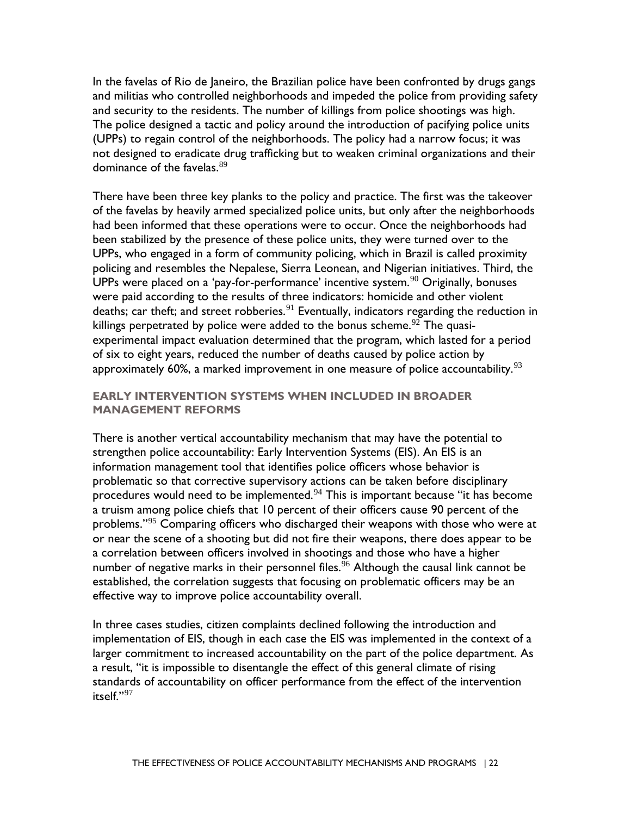and militias who controlled neighborhoods and impeded the police from providing safety and security to the residents. The number of killings from police shootings was high. In the favelas of Rio de Janeiro, the Brazilian police have been confronted by drugs gangs The police designed a tactic and policy around the introduction of pacifying police units (UPPs) to regain control of the neighborhoods. The policy had a narrow focus; it was not designed to eradicate drug trafficking but to weaken criminal organizations and their dominance of the favelas.<sup>89</sup>

approximately 60%, a marked improvement in one measure of police accountability. $^{93}$ There have been three key planks to the policy and practice. The first was the takeover of the favelas by heavily armed specialized police units, but only after the neighborhoods had been informed that these operations were to occur. Once the neighborhoods had been stabilized by the presence of these police units, they were turned over to the UPPs, who engaged in a form of community policing, which in Brazil is called proximity policing and resembles the Nepalese, Sierra Leonean, and Nigerian initiatives. Third, the UPPs were placed on a 'pay-for-performance' incentive system.<sup>[90](#page-66-14)</sup> Originally, bonuses were paid according to the results of three indicators: homicide and other violent deaths; car theft; and street robberies. $91$  Eventually, indicators regarding the reduction in killings perpetrated by police were added to the bonus scheme.<sup>92</sup> The quasiexperimental impact evaluation determined that the program, which lasted for a period of six to eight years, reduced the number of deaths caused by police action by

### <span id="page-25-0"></span>**EARLY INTERVENTION SYSTEMS WHEN INCLUDED IN BROADER MANAGEMENT REFORMS**

 or near the scene of a shooting but did not fire their weapons, there does appear to be a correlation between officers involved in shootings and those who have a higher There is another vertical accountability mechanism that may have the potential to strengthen police accountability: Early Intervention Systems (EIS). An EIS is an information management tool that identifies police officers whose behavior is problematic so that corrective supervisory actions can be taken before disciplinary procedures would need to be implemented.<sup>94</sup> This is important because "it has become a truism among police chiefs that 10 percent of their officers cause 90 percent of the problems."<sup>[95](#page-66-19)</sup> Comparing officers who discharged their weapons with those who were at number of negative marks in their personnel files.<sup>96</sup> Although the causal link cannot be established, the correlation suggests that focusing on problematic officers may be an effective way to improve police accountability overall.

 In three cases studies, citizen complaints declined following the introduction and implementation of EIS, though in each case the EIS was implemented in the context of a itself."[97](#page-66-21) larger commitment to increased accountability on the part of the police department. As a result, "it is impossible to disentangle the effect of this general climate of rising standards of accountability on officer performance from the effect of the intervention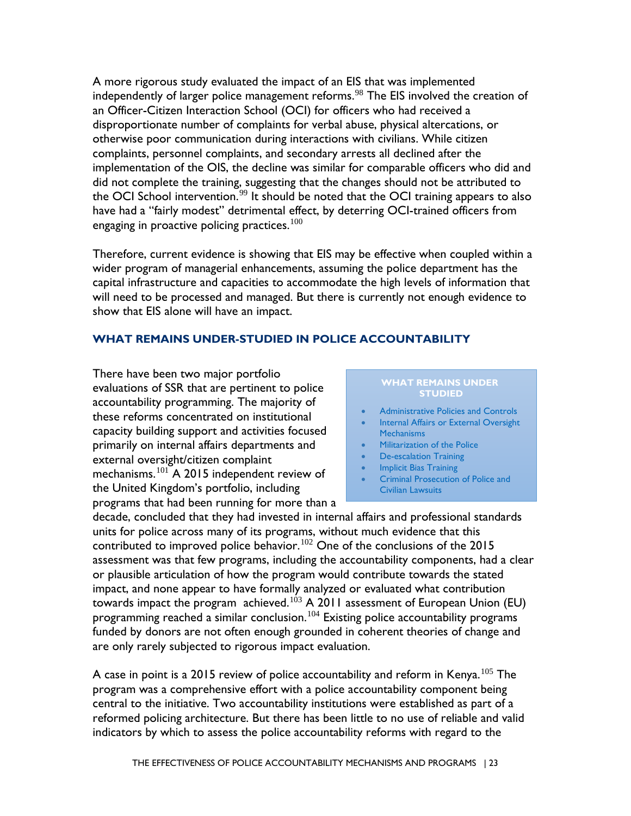an Officer-Citizen Interaction School (OCI) for officers who had received a complaints, personnel complaints, and secondary arrests all declined after the the OCI School intervention. $^{99}$  $^{99}$  $^{99}$  It should be noted that the OCI training appears to also have had a "fairly modest" detrimental effect, by deterring OCI-trained officers from A more rigorous study evaluated the impact of an EIS that was implemented independently of larger police management reforms.<sup>98</sup> The EIS involved the creation of disproportionate number of complaints for verbal abuse, physical altercations, or otherwise poor communication during interactions with civilians. While citizen implementation of the OIS, the decline was similar for comparable officers who did and did not complete the training, suggesting that the changes should not be attributed to engaging in proactive policing practices.<sup>100</sup>

Therefore, current evidence is showing that EIS may be effective when coupled within a wider program of managerial enhancements, assuming the police department has the capital infrastructure and capacities to accommodate the high levels of information that will need to be processed and managed. But there is currently not enough evidence to show that EIS alone will have an impact.

### <span id="page-26-0"></span>**WHAT REMAINS UNDER-STUDIED IN POLICE ACCOUNTABILITY**

There have been two major portfolio **WHAT REMAINS IS CONDUCT**<br>
evaluations of SSR that are pertinent to police **STUDIED**<br>
accountability programming. The majority of these reforms concentrated on institutional<br>
Capacity building support and activities focused<br>
Mechanisms<br>
Mechanisms primarily on internal affairs departments and **•** Militarization of the Police external oversight/citizen complaint external oversight/citizen complaint<br>
mechanisms.<sup>101</sup> A 2015 independent review of **•** Implicit Bias Training<br>
Criminal Prosecution of Police and the United Kingdom's portfolio, including The Civilian Lawsuits programs that had been running for more than a

# **WHAT REMAINS UNDER**

- 
- 
- 
- 
- 
- 

 are only rarely subjected to rigorous impact evaluation. decade, concluded that they had invested in internal affairs and professional standards units for police across many of its programs, without much evidence that this contributed to improved police behavior.<sup>102</sup> One of the conclusions of the 2015 assessment was that few programs, including the accountability components, had a clear or plausible articulation of how the program would contribute towards the stated impact, and none appear to have formally analyzed or evaluated what contribution towards impact the program achieved.<sup>[103](#page-67-2)</sup> A 2011 assessment of European Union (EU) programming reached a similar conclusion.[104](#page-67-3) Existing police accountability programs funded by donors are not often enough grounded in coherent theories of change and

A case in point is a 2015 review of police accountability and reform in Kenya.<sup>105</sup> The program was a comprehensive effort with a police accountability component being central to the initiative. Two accountability institutions were established as part of a reformed policing architecture. But there has been little to no use of reliable and valid indicators by which to assess the police accountability reforms with regard to the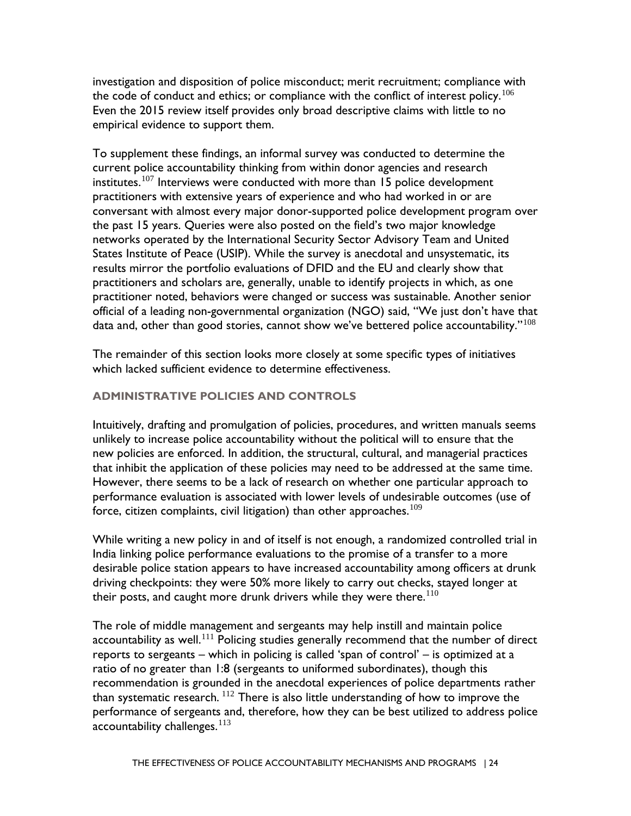investigation and disposition of police misconduct; merit recruitment; compliance with the code of conduct and ethics; or compliance with the conflict of interest policy.<sup>[106](#page-67-5)</sup> Even the 2015 review itself provides only broad descriptive claims with little to no empirical evidence to support them.

 practitioners and scholars are, generally, unable to identify projects in which, as one data and, other than good stories, cannot show we've bettered police accountability." $^{108}$  $^{108}$  $^{108}$ To supplement these findings, an informal survey was conducted to determine the current police accountability thinking from within donor agencies and research institutes.<sup>107</sup> Interviews were conducted with more than 15 police development practitioners with extensive years of experience and who had worked in or are conversant with almost every major donor-supported police development program over the past 15 years. Queries were also posted on the field's two major knowledge networks operated by the International Security Sector Advisory Team and United States Institute of Peace (USIP). While the survey is anecdotal and unsystematic, its results mirror the portfolio evaluations of DFID and the EU and clearly show that practitioner noted, behaviors were changed or success was sustainable. Another senior official of a leading non-governmental organization (NGO) said, "We just don't have that

The remainder of this section looks more closely at some specific types of initiatives which lacked sufficient evidence to determine effectiveness.

## <span id="page-27-0"></span>**ADMINISTRATIVE POLICIES AND CONTROLS**

force, citizen complaints, civil litigation) than other approaches. $^{109}$ Intuitively, drafting and promulgation of policies, procedures, and written manuals seems unlikely to increase police accountability without the political will to ensure that the new policies are enforced. In addition, the structural, cultural, and managerial practices that inhibit the application of these policies may need to be addressed at the same time. However, there seems to be a lack of research on whether one particular approach to performance evaluation is associated with lower levels of undesirable outcomes (use of

While writing a new policy in and of itself is not enough, a randomized controlled trial in India linking police performance evaluations to the promise of a transfer to a more desirable police station appears to have increased accountability among officers at drunk driving checkpoints: they were 50% more likely to carry out checks, stayed longer at their posts, and caught more drunk drivers while they were there.<sup>110</sup>

accountability challenges. $^{\rm 113}$  $^{\rm 113}$  $^{\rm 113}$ The role of middle management and sergeants may help instill and maintain police accountability as well.<sup>111</sup> Policing studies generally recommend that the number of direct reports to sergeants – which in policing is called 'span of control' – is optimized at a ratio of no greater than 1:8 (sergeants to uniformed subordinates), though this recommendation is grounded in the anecdotal experiences of police departments rather than systematic research.  $^{112}$  There is also little understanding of how to improve the performance of sergeants and, therefore, how they can be best utilized to address police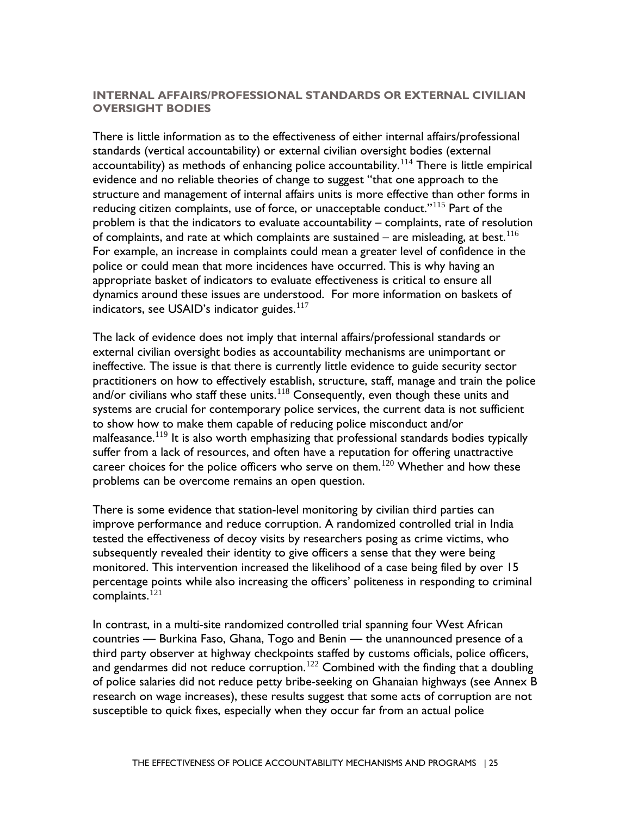### <span id="page-28-0"></span>**INTERNAL AFFAIRS/PROFESSIONAL STANDARDS OR EXTERNAL CIVILIAN OVERSIGHT BODIES**

of complaints, and rate at which complaints are sustained – are misleading, at best.<sup>116</sup> indicators, see USAID's indicator guides. $^{117}\,$ There is little information as to the effectiveness of either internal affairs/professional standards (vertical accountability) or external civilian oversight bodies (external accountability) as methods of enhancing police accountability.<sup>114</sup> There is little empirical evidence and no reliable theories of change to suggest "that one approach to the structure and management of internal affairs units is more effective than other forms in reducing citizen complaints, use of force, or unacceptable conduct."<sup>[115](#page-67-14)</sup> Part of the problem is that the indicators to evaluate accountability – complaints, rate of resolution For example, an increase in complaints could mean a greater level of confidence in the police or could mean that more incidences have occurred. This is why having an appropriate basket of indicators to evaluate effectiveness is critical to ensure all dynamics around these issues are understood. For more information on baskets of

 The lack of evidence does not imply that internal affairs/professional standards or external civilian oversight bodies as accountability mechanisms are unimportant or ineffective. The issue is that there is currently little evidence to guide security sector practitioners on how to effectively establish, structure, staff, manage and train the police and/or civilians who staff these units.<sup>[118](#page-68-2)</sup> Consequently, even though these units and systems are crucial for contemporary police services, the current data is not sufficient to show how to make them capable of reducing police misconduct and/or malfeasance.<sup>119</sup> It is also worth emphasizing that professional standards bodies typically suffer from a lack of resources, and often have a reputation for offering unattractive career choices for the police officers who serve on them.<sup>120</sup> Whether and how these problems can be overcome remains an open question.

 tested the effectiveness of decoy visits by researchers posing as crime victims, who monitored. This intervention increased the likelihood of a case being filed by over 15 complaints.  $^{121}$ There is some evidence that station-level monitoring by civilian third parties can improve performance and reduce corruption. A randomized controlled trial in India subsequently revealed their identity to give officers a sense that they were being percentage points while also increasing the officers' politeness in responding to criminal

 countries — Burkina Faso, Ghana, Togo and Benin — the unannounced presence of a In contrast, in a multi-site randomized controlled trial spanning four West African third party observer at highway checkpoints staffed by customs officials, police officers, and gendarmes did not reduce corruption.<sup>[122](#page-68-6)</sup> Combined with the finding that a doubling of police salaries did not reduce petty bribe-seeking on Ghanaian highways (see Annex B research on wage increases), these results suggest that some acts of corruption are not susceptible to quick fixes, especially when they occur far from an actual police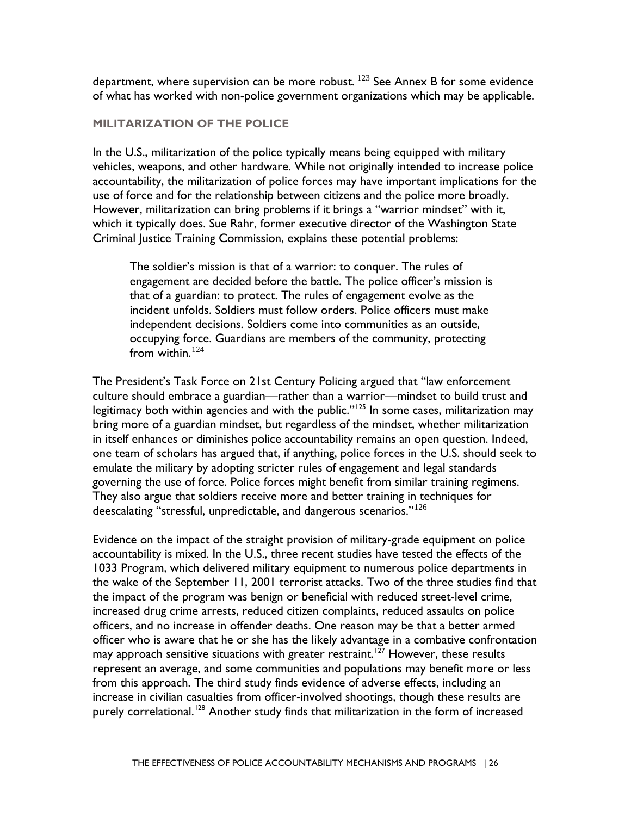department, where supervision can be more robust.  $123$  See Annex B for some evidence of what has worked with non-police government organizations which may be applicable.

#### <span id="page-29-0"></span>**MILITARIZATION OF THE POLICE**

In the U.S., militarization of the police typically means being equipped with military vehicles, weapons, and other hardware. While not originally intended to increase police accountability, the militarization of police forces may have important implications for the use of force and for the relationship between citizens and the police more broadly. However, militarization can bring problems if it brings a "warrior mindset" with it, which it typically does. Sue Rahr, former executive director of the Washington State Criminal Justice Training Commission, explains these potential problems:

The soldier's mission is that of a warrior: to conquer. The rules of engagement are decided before the battle. The police officer's mission is that of a guardian: to protect. The rules of engagement evolve as the incident unfolds. Soldiers must follow orders. Police officers must make independent decisions. Soldiers come into communities as an outside, occupying force. Guardians are members of the community, protecting from within. $124$ 

 emulate the military by adopting stricter rules of engagement and legal standards They also argue that soldiers receive more and better training in techniques for deescalating "stressful, unpredictable, and dangerous scenarios." $^{126}$  $^{126}$  $^{126}$ The President's Task Force on 21st Century Policing argued that "law enforcement culture should embrace a guardian—rather than a warrior—mindset to build trust and legitimacy both within agencies and with the public." $125$  In some cases, militarization may bring more of a guardian mindset, but regardless of the mindset, whether militarization in itself enhances or diminishes police accountability remains an open question. Indeed, one team of scholars has argued that, if anything, police forces in the U.S. should seek to governing the use of force. Police forces might benefit from similar training regimens.

 officers, and no increase in offender deaths. One reason may be that a better armed increase in civilian casualties from officer-involved shootings, though these results are Evidence on the impact of the straight provision of military-grade equipment on police accountability is mixed. In the U.S., three recent studies have tested the effects of the 1033 Program, which delivered military equipment to numerous police departments in the wake of the September 11, 2001 terrorist attacks. Two of the three studies find that the impact of the program was benign or beneficial with reduced street-level crime, increased drug crime arrests, reduced citizen complaints, reduced assaults on police officer who is aware that he or she has the likely advantage in a combative confrontation may approach sensitive situations with greater restraint.<sup>127</sup> However, these results represent an average, and some communities and populations may benefit more or less from this approach. The third study finds evidence of adverse effects, including an purely correlational.<sup>[128](#page-68-12)</sup> Another study finds that militarization in the form of increased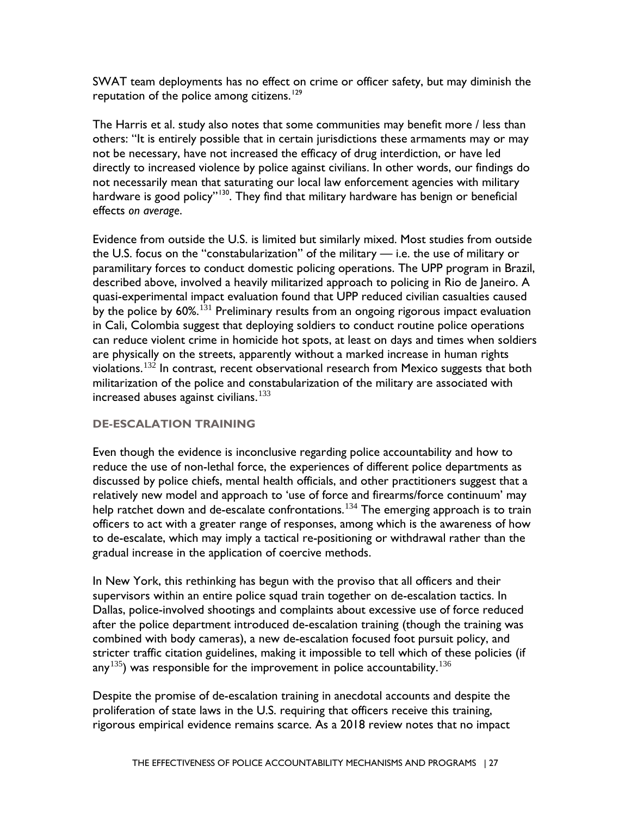SWAT team deployments has no effect on crime or officer safety, but may diminish the reputation of the police among citizens.<sup>[129](#page-68-13)</sup>

 effects *on average*. The Harris et al. study also notes that some communities may benefit more / less than others: "It is entirely possible that in certain jurisdictions these armaments may or may not be necessary, have not increased the efficacy of drug interdiction, or have led directly to increased violence by police against civilians. In other words, our findings do not necessarily mean that saturating our local law enforcement agencies with military hardware is good policy"<sup>[130](#page-68-14)</sup>. They find that military hardware has benign or beneficial

 the U.S. focus on the "constabularization" of the military — i.e. the use of military or by the police by  $60\%.^{131}$  Preliminary results from an ongoing rigorous impact evaluation increased abuses against civilians. $^{133}$ Evidence from outside the U.S. is limited but similarly mixed. Most studies from outside paramilitary forces to conduct domestic policing operations. The UPP program in Brazil, described above, involved a heavily militarized approach to policing in Rio de Janeiro. A quasi-experimental impact evaluation found that UPP reduced civilian casualties caused in Cali, Colombia suggest that deploying soldiers to conduct routine police operations can reduce violent crime in homicide hot spots, at least on days and times when soldiers are physically on the streets, apparently without a marked increase in human rights violations.<sup>132</sup> In contrast, recent observational research from Mexico suggests that both militarization of the police and constabularization of the military are associated with

### <span id="page-30-1"></span><span id="page-30-0"></span>**DE-ESCALATION TRAINING**

Even though the evidence is inconclusive regarding police accountability and how to reduce the use of non-lethal force, the experiences of different police departments as discussed by police chiefs, mental health officials, and other practitioners suggest that a relatively new model and approach to 'use of force and firearms/force continuum' may help ratchet down and de-escalate confrontations.<sup>[134](#page-69-0)</sup> The emerging approach is to train officers to act with a greater range of responses, among which is the awareness of how to de-escalate, which may imply a tactical re-positioning or withdrawal rather than the gradual increase in the application of coercive methods.

 after the police department introduced de-escalation training (though the training was any $^{135}$  $^{135}$  $^{135}$ ) was responsible for the improvement in police accountability. $^{136}$  $^{136}$  $^{136}$ In New York, this rethinking has begun with the proviso that all officers and their supervisors within an entire police squad train together on de-escalation tactics. In Dallas, police-involved shootings and complaints about excessive use of force reduced combined with body cameras), a new de-escalation focused foot pursuit policy, and stricter traffic citation guidelines, making it impossible to tell which of these policies (if

 rigorous empirical evidence remains scarce. As a 2018 review notes that no impact Despite the promise of de-escalation training in anecdotal accounts and despite the proliferation of state laws in the U.S. requiring that officers receive this training,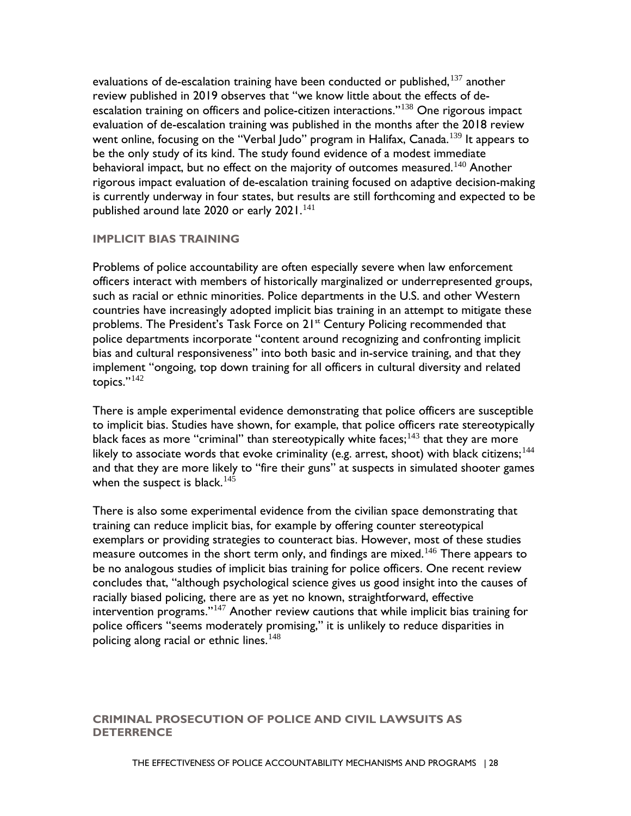behavioral impact, but no effect on the majority of outcomes measured. $^{140}$  Another evaluations of de-escalation training have been conducted or published,  $137$  another review published in 2019 observes that "we know little about the effects of de-escalation training on officers and police-citizen interactions."<sup>[138](#page-69-4)</sup> One rigorous impact evaluation of de-escalation training was published in the months after the 2018 review went online, focusing on the "Verbal Judo" program in Halifax, Canada.<sup>[139](#page-69-5)</sup> It appears to be the only study of its kind. The study found evidence of a modest immediate rigorous impact evaluation of de-escalation training focused on adaptive decision-making is currently underway in four states, but results are still forthcoming and expected to be published around late 2020 or early  $2021$ .<sup>[141](#page-69-7)</sup>

### <span id="page-31-0"></span>**IMPLICIT BIAS TRAINING**

 officers interact with members of historically marginalized or underrepresented groups, implement "ongoing, top down training for all officers in cultural diversity and related Problems of police accountability are often especially severe when law enforcement such as racial or ethnic minorities. Police departments in the U.S. and other Western countries have increasingly adopted implicit bias training in an attempt to mitigate these problems. The President's Task Force on 21<sup>st</sup> Century Policing recommended that police departments incorporate "content around recognizing and confronting implicit bias and cultural responsiveness" into both basic and in-service training, and that they topics." $142$ 

 and that they are more likely to "fire their guns" at suspects in simulated shooter games when the suspect is black.  $^{145}$  $^{145}$  $^{145}$ There is ample experimental evidence demonstrating that police officers are susceptible to implicit bias. Studies have shown, for example, that police officers rate stereotypically black faces as more "criminal" than stereotypically white faces;<sup>[143](#page-69-9)</sup> that they are more likely to associate words that evoke criminality (e.g. arrest, shoot) with black citizens;<sup>144</sup>

 There is also some experimental evidence from the civilian space demonstrating that exemplars or providing strategies to counteract bias. However, most of these studies concludes that, "although psychological science gives us good insight into the causes of training can reduce implicit bias, for example by offering counter stereotypical measure outcomes in the short term only, and findings are mixed.<sup>[146](#page-69-12)</sup> There appears to be no analogous studies of implicit bias training for police officers. One recent review racially biased policing, there are as yet no known, straightforward, effective intervention programs."[147](#page-69-13) Another review cautions that while implicit bias training for police officers "seems moderately promising," it is unlikely to reduce disparities in policing along racial or ethnic lines.  $148$ 

#### <span id="page-31-2"></span><span id="page-31-1"></span> **CRIMINAL PROSECUTION OF POLICE AND CIVIL LAWSUITS AS DETERRENCE**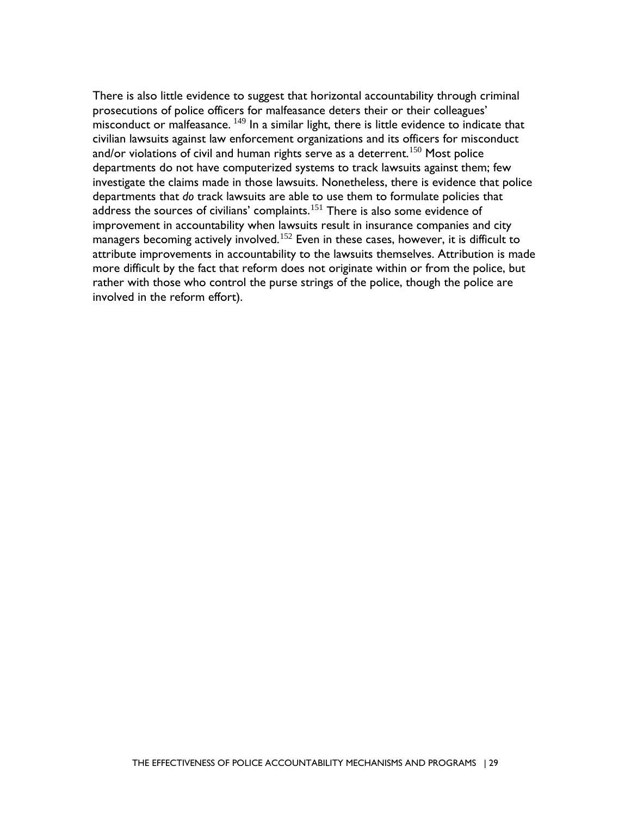civilian lawsuits against law enforcement organizations and its officers for misconduct departments do not have computerized systems to track lawsuits against them; few address the sources of civilians' complaints. $^{151}$  There is also some evidence of There is also little evidence to suggest that horizontal accountability through criminal prosecutions of police officers for malfeasance deters their or their colleagues' misconduct or malfeasance. [149](#page-69-15) In a similar light, there is little evidence to indicate that and/or violations of civil and human rights serve as a deterrent.<sup>[150](#page-69-16)</sup> Most police investigate the claims made in those lawsuits. Nonetheless, there is evidence that police departments that *do* track lawsuits are able to use them to formulate policies that improvement in accountability when lawsuits result in insurance companies and city managers becoming actively involved.<sup>152</sup> Even in these cases, however, it is difficult to attribute improvements in accountability to the lawsuits themselves. Attribution is made more difficult by the fact that reform does not originate within or from the police, but rather with those who control the purse strings of the police, though the police are involved in the reform effort).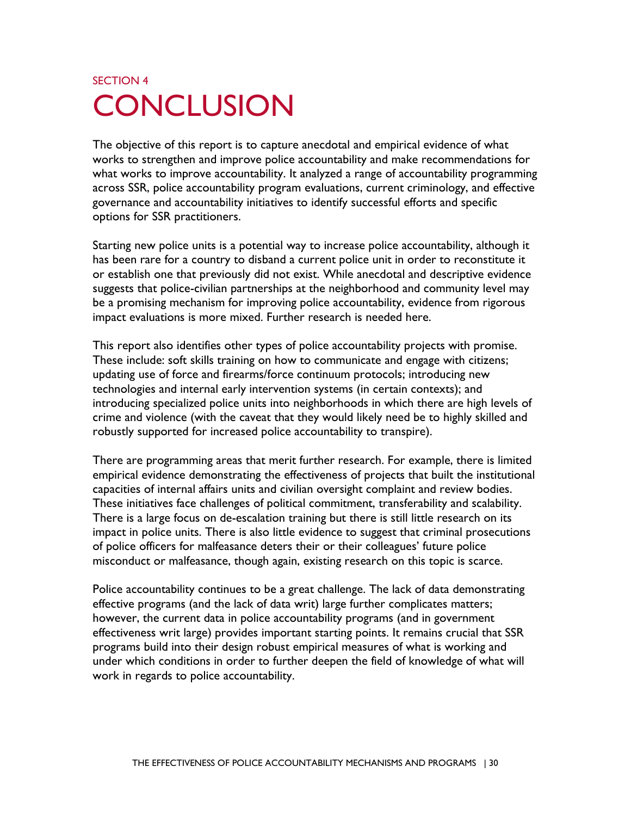# <span id="page-33-0"></span>SECTION 4 **CONCLUSION**

 governance and accountability initiatives to identify successful efforts and specific The objective of this report is to capture anecdotal and empirical evidence of what works to strengthen and improve police accountability and make recommendations for what works to improve accountability. It analyzed a range of accountability programming across SSR, police accountability program evaluations, current criminology, and effective options for SSR practitioners.

Starting new police units is a potential way to increase police accountability, although it has been rare for a country to disband a current police unit in order to reconstitute it or establish one that previously did not exist. While anecdotal and descriptive evidence suggests that police-civilian partnerships at the neighborhood and community level may be a promising mechanism for improving police accountability, evidence from rigorous impact evaluations is more mixed. Further research is needed here.

 updating use of force and firearms/force continuum protocols; introducing new This report also identifies other types of police accountability projects with promise. These include: soft skills training on how to communicate and engage with citizens; technologies and internal early intervention systems (in certain contexts); and introducing specialized police units into neighborhoods in which there are high levels of crime and violence (with the caveat that they would likely need be to highly skilled and robustly supported for increased police accountability to transpire).

 empirical evidence demonstrating the effectiveness of projects that built the institutional There are programming areas that merit further research. For example, there is limited capacities of internal affairs units and civilian oversight complaint and review bodies. These initiatives face challenges of political commitment, transferability and scalability. There is a large focus on de-escalation training but there is still little research on its impact in police units. There is also little evidence to suggest that criminal prosecutions of police officers for malfeasance deters their or their colleagues' future police misconduct or malfeasance, though again, existing research on this topic is scarce.

 effectiveness writ large) provides important starting points. It remains crucial that SSR under which conditions in order to further deepen the field of knowledge of what will Police accountability continues to be a great challenge. The lack of data demonstrating effective programs (and the lack of data writ) large further complicates matters; however, the current data in police accountability programs (and in government programs build into their design robust empirical measures of what is working and work in regards to police accountability.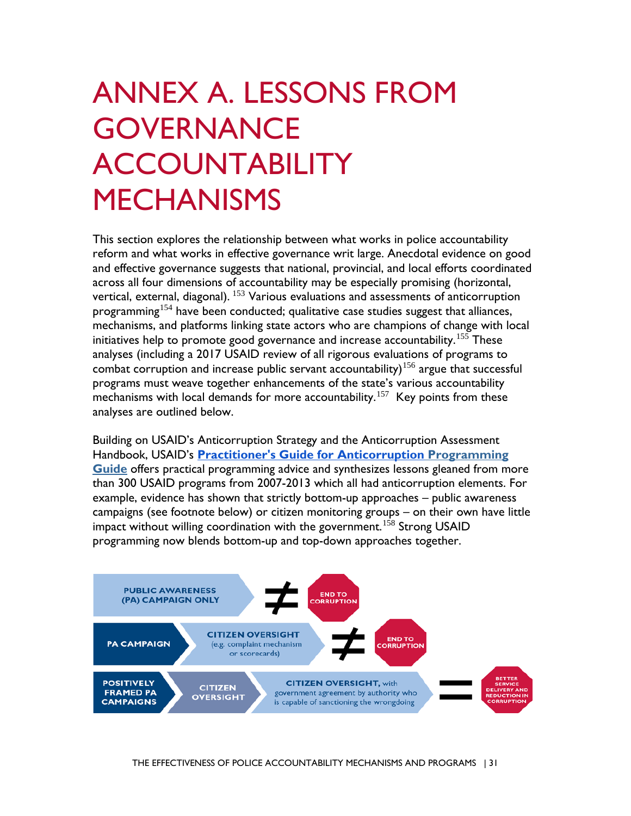# <span id="page-34-0"></span>ANNEX A. LESSONS FROM **GOVERNANCE ACCOUNTABILITY MECHANISMS**

programming<sup>[154](#page-69-20)</sup> have been conducted; qualitative case studies suggest that alliances, mechanisms with local demands for more accountability.<sup>157</sup> Key points from these This section explores the relationship between what works in police accountability reform and what works in effective governance writ large. Anecdotal evidence on good and effective governance suggests that national, provincial, and local efforts coordinated across all four dimensions of accountability may be especially promising (horizontal, vertical, external, diagonal). <sup>153</sup> Various evaluations and assessments of anticorruption mechanisms, and platforms linking state actors who are champions of change with local initiatives help to promote good governance and increase accountability. $^{155}$  $^{155}$  $^{155}$  These analyses (including a 2017 USAID review of all rigorous evaluations of programs to combat corruption and increase public servant accountability)<sup>[156](#page-69-22)</sup> argue that successful programs must weave together enhancements of the state's various accountability analyses are outlined below.

 Handbook, USAID's **[Practitioner's Guide for Anticorruption](about:blank) Programming**  example, evidence has shown that strictly bottom-up approaches – public awareness Building on USAID's Anticorruption Strategy and the Anticorruption Assessment **Guide** offers practical programming advice and synthesizes lessons gleaned from more than 300 USAID programs from 2007-2013 which all had anticorruption elements. For campaigns (see footnote below) or citizen monitoring groups – on their own have little impact without willing coordination with the government.<sup>158</sup> Strong USAID programming now blends bottom-up and top-down approaches together.

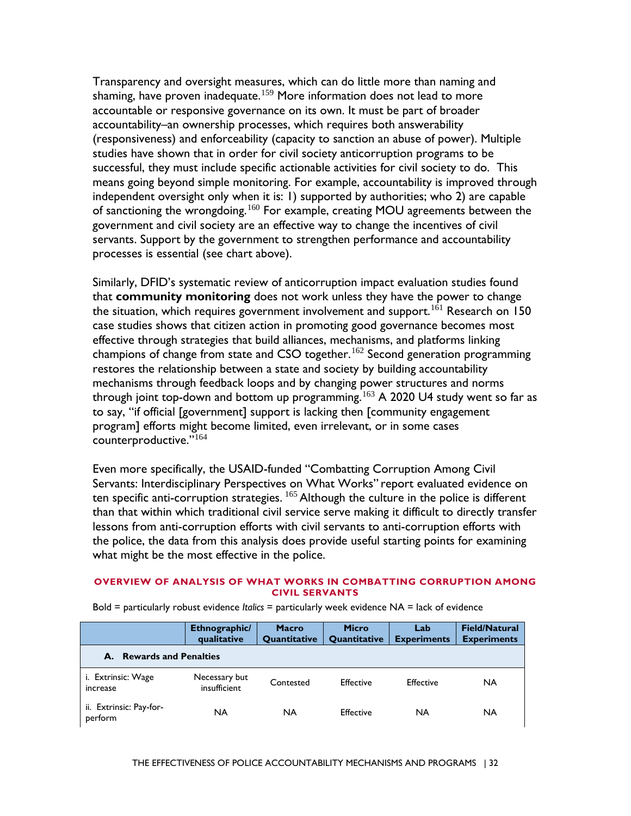studies have shown that in order for civil society anticorruption programs to be Transparency and oversight measures, which can do little more than naming and shaming, have proven inadequate.<sup>159</sup> More information does not lead to more accountable or responsive governance on its own. It must be part of broader accountability–an ownership processes, which requires both answerability (responsiveness) and enforceability (capacity to sanction an abuse of power). Multiple successful, they must include specific actionable activities for civil society to do. This means going beyond simple monitoring. For example, accountability is improved through independent oversight only when it is: 1) supported by authorities; who 2) are capable of sanctioning the wrongdoing.<sup>[160](#page-70-1)</sup> For example, creating MOU agreements between the government and civil society are an effective way to change the incentives of civil servants. Support by the government to strengthen performance and accountability processes is essential (see chart above).

 restores the relationship between a state and society by building accountability mechanisms through feedback loops and by changing power structures and norms through joint top-down and bottom up programming. $^{163}$  A 2020 U4 study went so far as program] efforts might become limited, even irrelevant, or in some cases Similarly, DFID's systematic review of anticorruption impact evaluation studies found that **community monitoring** does not work unless they have the power to change the situation, which requires government involvement and support.<sup>[161](#page-70-2)</sup> Research on 150 case studies shows that citizen action in promoting good governance becomes most effective through strategies that build alliances, mechanisms, and platforms linking champions of change from state and CSO together.<sup>[162](#page-70-3)</sup> Second generation programming to say, "if official [government] support is lacking then [community engagement counterproductive."[164](#page-70-5)

ten specific anti-corruption strategies.  $^{165}$  Although the culture in the police is different Even more specifically, the USAID-funded "Combatting Corruption Among Civil Servants: Interdisciplinary Perspectives on What Works" report evaluated evidence on than that within which traditional civil service serve making it difficult to directly transfer lessons from anti-corruption efforts with civil servants to anti-corruption efforts with the police, the data from this analysis does provide useful starting points for examining what might be the most effective in the police.

#### **OVERVIEW OF ANALYSIS OF WHAT WORKS IN COMBATTING CORRUPTION AMONG CIVIL SERVANTS**

|                                           | Ethnographic/<br>qualitative  | <b>Macro</b><br><b>Quantitative</b> | <b>Micro</b><br><b>Quantitative</b> | Lab<br><b>Experiments</b> | <b>Field/Natural</b><br><b>Experiments</b> |  |  |
|-------------------------------------------|-------------------------------|-------------------------------------|-------------------------------------|---------------------------|--------------------------------------------|--|--|
| <b>Rewards and Penalties</b><br>А.        |                               |                                     |                                     |                           |                                            |  |  |
| i. Extrinsic: Wage<br>increase            | Necessary but<br>insufficient | Contested                           | <b>Effective</b>                    | Effective                 | NA                                         |  |  |
| ii. Extrinsic: Pay-for-<br><b>perform</b> | NA                            | NA                                  | <b>Effective</b>                    | NA                        | <b>NA</b>                                  |  |  |

Bold = particularly robust evidence *Italics* = particularly week evidence NA = lack of evidence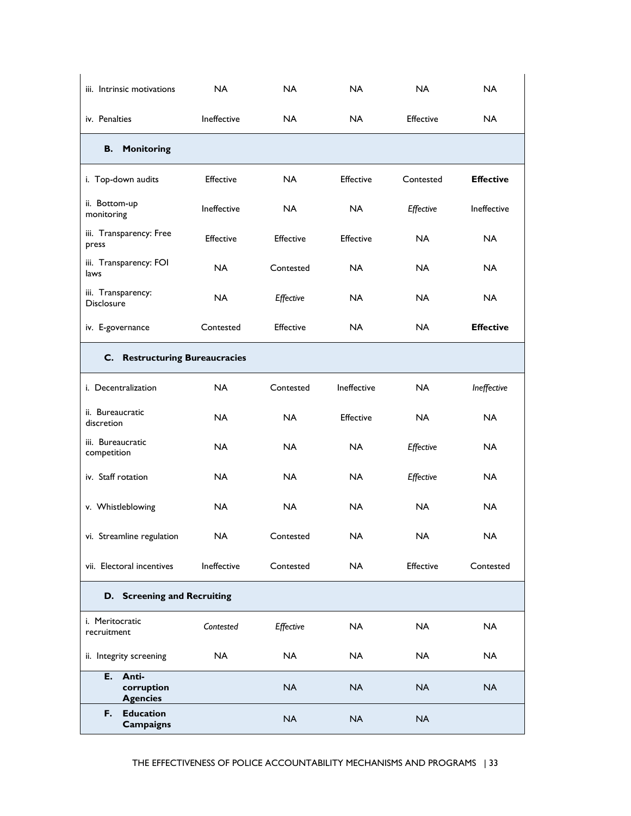| iii. Intrinsic motivations                 | <b>NA</b>   | NA.              | NA.              | NA.       | <b>NA</b>        |
|--------------------------------------------|-------------|------------------|------------------|-----------|------------------|
| iv. Penalties                              | Ineffective | NA.              | NA.              | Effective | <b>NA</b>        |
| <b>B.</b> Monitoring                       |             |                  |                  |           |                  |
| i. Top-down audits                         | Effective   | <b>NA</b>        | Effective        | Contested | <b>Effective</b> |
| ii. Bottom-up<br>monitoring                | Ineffective | NA.              | NA.              | Effective | Ineffective      |
| iii. Transparency: Free<br>press           | Effective   | Effective        | <b>Effective</b> | <b>NA</b> | <b>NA</b>        |
| iii. Transparency: FOI<br>laws             | NA.         | Contested        | NA.              | NA.       | NA.              |
| iii. Transparency:<br><b>Disclosure</b>    | <b>NA</b>   | Effective        | NA.              | <b>NA</b> | <b>NA</b>        |
| iv. E-governance                           | Contested   | <b>Effective</b> | NA.              | NA.       | <b>Effective</b> |
| C. Restructuring Bureaucracies             |             |                  |                  |           |                  |
| i. Decentralization                        | <b>NA</b>   | Contested        | Ineffective      | NA.       | Ineffective      |
| ii. Bureaucratic<br>discretion             | <b>NA</b>   | <b>NA</b>        | Effective        | <b>NA</b> | <b>NA</b>        |
| iii. Bureaucratic<br>competition           | <b>NA</b>   | <b>NA</b>        | <b>NA</b>        | Effective | <b>NA</b>        |
| iv. Staff rotation                         | <b>NA</b>   | <b>NA</b>        | <b>NA</b>        | Effective | <b>NA</b>        |
| v. Whistleblowing                          | <b>NA</b>   | <b>NA</b>        | NA.              | <b>NA</b> | <b>NA</b>        |
| vi. Streamline regulation                  | NA.         | Contested        | NA.              | NA        | NA.              |
| vii. Electoral incentives                  | Ineffective | Contested        | <b>NA</b>        | Effective | Contested        |
| D. Screening and Recruiting                |             |                  |                  |           |                  |
| i. Meritocratic<br>recruitment             | Contested   | Effective        | <b>NA</b>        | <b>NA</b> | <b>NA</b>        |
| ii. Integrity screening                    | <b>NA</b>   | <b>NA</b>        | <b>NA</b>        | <b>NA</b> | <b>NA</b>        |
| E. Anti-<br>corruption<br><b>Agencies</b>  |             | <b>NA</b>        | <b>NA</b>        | <b>NA</b> | <b>NA</b>        |
| <b>Education</b><br>F.<br><b>Campaigns</b> |             | <b>NA</b>        | <b>NA</b>        | <b>NA</b> |                  |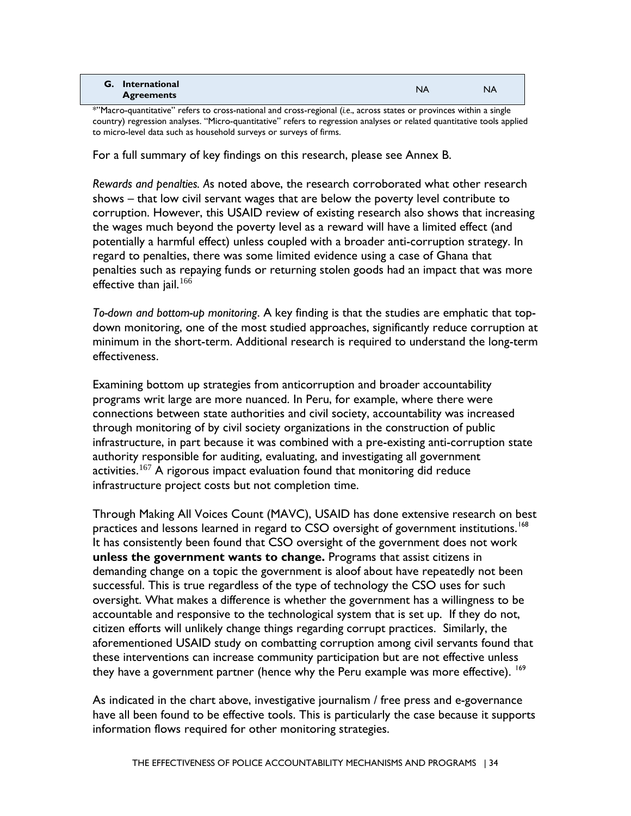| <b>G.</b> International<br><b>NA</b><br><b>NA</b><br><b>Agreements</b> |
|------------------------------------------------------------------------|
|------------------------------------------------------------------------|

\*"Macro-quantitative" refers to cross-national and cross-regional (*i.e*., across states or provinces within a single country) regression analyses. "Micro-quantitative" refers to regression analyses or related quantitative tools applied to micro-level data such as household surveys or surveys of firms.

For a full summary of key findings on this research, please see Annex B.

*Rewards and penalties. A*s noted above, the research corroborated what other research shows – that low civil servant wages that are below the poverty level contribute to corruption. However, this USAID review of existing research also shows that increasing the wages much beyond the poverty level as a reward will have a limited effect (and potentially a harmful effect) unless coupled with a broader anti-corruption strategy. In regard to penalties, there was some limited evidence using a case of Ghana that penalties such as repaying funds or returning stolen goods had an impact that was more effective than jail. $166$ 

*To-down and bottom-up monitoring*. A key finding is that the studies are emphatic that topdown monitoring, one of the most studied approaches, significantly reduce corruption at minimum in the short-term. Additional research is required to understand the long-term effectiveness.

 connections between state authorities and civil society, accountability was increased Examining bottom up strategies from anticorruption and broader accountability programs writ large are more nuanced. In Peru, for example, where there were through monitoring of by civil society organizations in the construction of public infrastructure, in part because it was combined with a pre-existing anti-corruption state authority responsible for auditing, evaluating, and investigating all government activities.<sup>[167](#page-70-1)</sup> A rigorous impact evaluation found that monitoring did reduce infrastructure project costs but not completion time.

 Through Making All Voices Count (MAVC), USAID has done extensive research on best accountable and responsive to the technological system that is set up. If they do not, practices and lessons learned in regard to CSO oversight of government institutions.<sup>[168](#page-70-2)</sup> It has consistently been found that CSO oversight of the government does not work **unless the government wants to change.** Programs that assist citizens in demanding change on a topic the government is aloof about have repeatedly not been successful. This is true regardless of the type of technology the CSO uses for such oversight. What makes a difference is whether the government has a willingness to be citizen efforts will unlikely change things regarding corrupt practices. Similarly, the aforementioned USAID study on combatting corruption among civil servants found that these interventions can increase community participation but are not effective unless they have a government partner (hence why the Peru example was more effective). <sup>[169](#page-70-3)</sup>

As indicated in the chart above, investigative journalism / free press and e-governance have all been found to be effective tools. This is particularly the case because it supports information flows required for other monitoring strategies.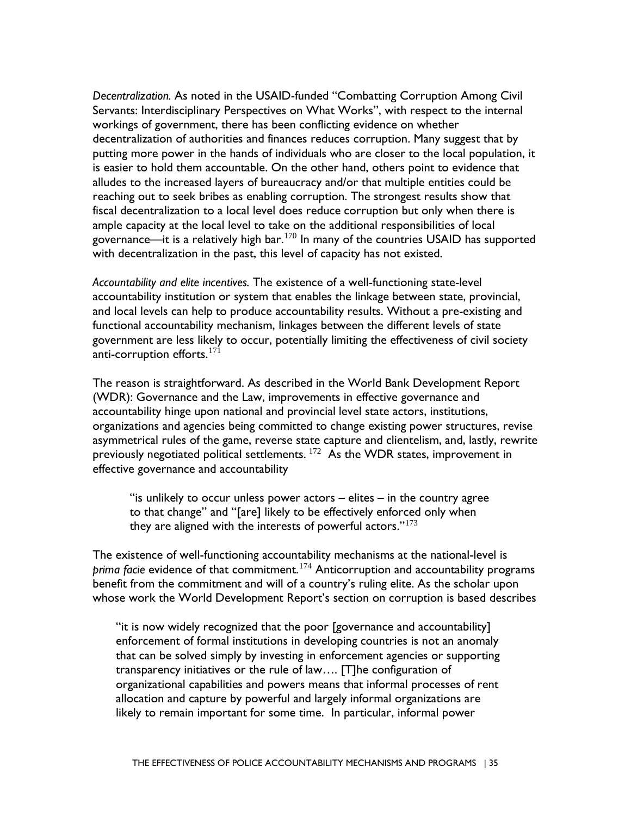*Decentralization.* As noted in the USAID-funded "Combatting Corruption Among Civil reaching out to seek bribes as enabling corruption. The strongest results show that Servants: Interdisciplinary Perspectives on What Works", with respect to the internal workings of government, there has been conflicting evidence on whether decentralization of authorities and finances reduces corruption. Many suggest that by putting more power in the hands of individuals who are closer to the local population, it is easier to hold them accountable. On the other hand, others point to evidence that alludes to the increased layers of bureaucracy and/or that multiple entities could be fiscal decentralization to a local level does reduce corruption but only when there is ample capacity at the local level to take on the additional responsibilities of local governance—it is a relatively high bar.<sup>[170](#page-70-4)</sup> In many of the countries USAID has supported with decentralization in the past, this level of capacity has not existed.

*Accountability and elite incentives.* The existence of a well-functioning state-level accountability institution or system that enables the linkage between state, provincial, and local levels can help to produce accountability results. Without a pre-existing and functional accountability mechanism, linkages between the different levels of state government are less likely to occur, potentially limiting the effectiveness of civil society anti-corruption efforts.  $171$ 

previously negotiated political settlements.  $^{172}$  As the WDR states, improvement in The reason is straightforward. As described in the World Bank Development Report (WDR): Governance and the Law, improvements in effective governance and accountability hinge upon national and provincial level state actors, institutions, organizations and agencies being committed to change existing power structures, revise asymmetrical rules of the game, reverse state capture and clientelism, and, lastly, rewrite effective governance and accountability

"is unlikely to occur unless power actors – elites – in the country agree to that change" and "[are] likely to be effectively enforced only when they are aligned with the interests of powerful actors." $173$ 

The existence of well-functioning accountability mechanisms at the national-level is *prima facie* evidence of that commitment.[174](#page-71-1) Anticorruption and accountability programs benefit from the commitment and will of a country's ruling elite. As the scholar upon whose work the World Development Report's section on corruption is based describes

 that can be solved simply by investing in enforcement agencies or supporting "it is now widely recognized that the poor [governance and accountability] enforcement of formal institutions in developing countries is not an anomaly transparency initiatives or the rule of law…. [T]he configuration of organizational capabilities and powers means that informal processes of rent allocation and capture by powerful and largely informal organizations are likely to remain important for some time. In particular, informal power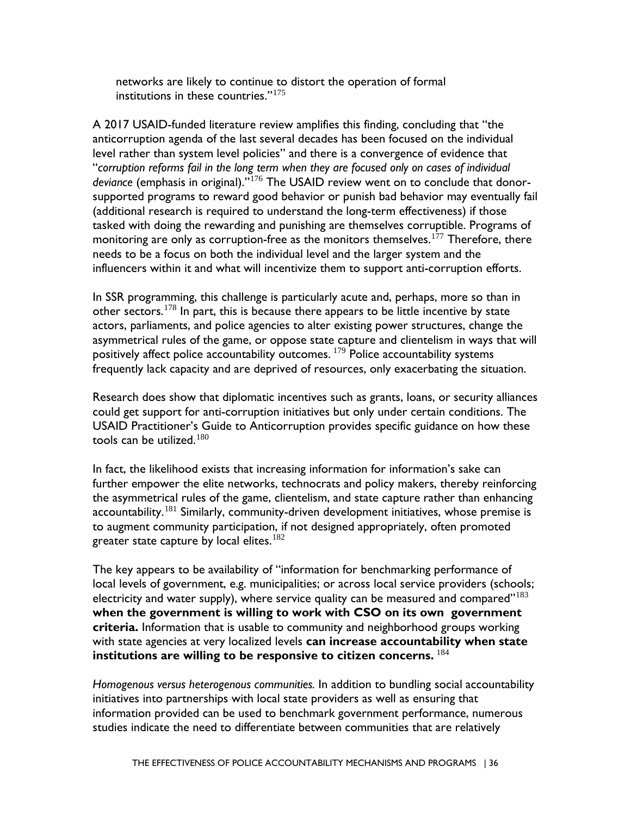networks are likely to continue to distort the operation of formal institutions in these countries."[175](#page-71-2)

 A 2017 USAID-funded literature review amplifies this finding, concluding that "the anticorruption agenda of the last several decades has been focused on the individual level rather than system level policies" and there is a convergence of evidence that tasked with doing the rewarding and punishing are themselves corruptible. Programs of needs to be a focus on both the individual level and the larger system and the "*corruption reforms fail in the long term when they are focused only on cases of individual deviance* (emphasis in original)."[176](#page-71-3) The USAID review went on to conclude that donorsupported programs to reward good behavior or punish bad behavior may eventually fail (additional research is required to understand the long-term effectiveness) if those monitoring are only as corruption-free as the monitors themselves.<sup>177</sup> Therefore, there influencers within it and what will incentivize them to support anti-corruption efforts.

In SSR programming, this challenge is particularly acute and, perhaps, more so than in other sectors.<sup>[178](#page-71-5)</sup> In part, this is because there appears to be little incentive by state actors, parliaments, and police agencies to alter existing power structures, change the asymmetrical rules of the game, or oppose state capture and clientelism in ways that will positively affect police accountability outcomes. [179](#page-71-6) Police accountability systems frequently lack capacity and are deprived of resources, only exacerbating the situation.

 USAID Practitioner's Guide to Anticorruption provides specific guidance on how these Research does show that diplomatic incentives such as grants, loans, or security alliances could get support for anti-corruption initiatives but only under certain conditions. The tools can be utilized.<sup>180</sup>

 In fact, the likelihood exists that increasing information for information's sake can further empower the elite networks, technocrats and policy makers, thereby reinforcing the asymmetrical rules of the game, clientelism, and state capture rather than enhancing accountability.<sup>181</sup> Similarly, community-driven development initiatives, whose premise is to augment community participation, if not designed appropriately, often promoted greater state capture by local elites.<sup>182</sup>

The key appears to be availability of "information for benchmarking performance of local levels of government, e.g. municipalities; or across local service providers (schools; electricity and water supply), where service quality can be measured and compared" $183$ **when the government is willing to work with CSO on its own government criteria.** Information that is usable to community and neighborhood groups working with state agencies at very localized levels **can increase accountability when state institutions are willing to be responsive to citizen concerns.** [184](#page-71-11)

*Homogenous versus heterogenous communities.* In addition to bundling social accountability initiatives into partnerships with local state providers as well as ensuring that information provided can be used to benchmark government performance, numerous studies indicate the need to differentiate between communities that are relatively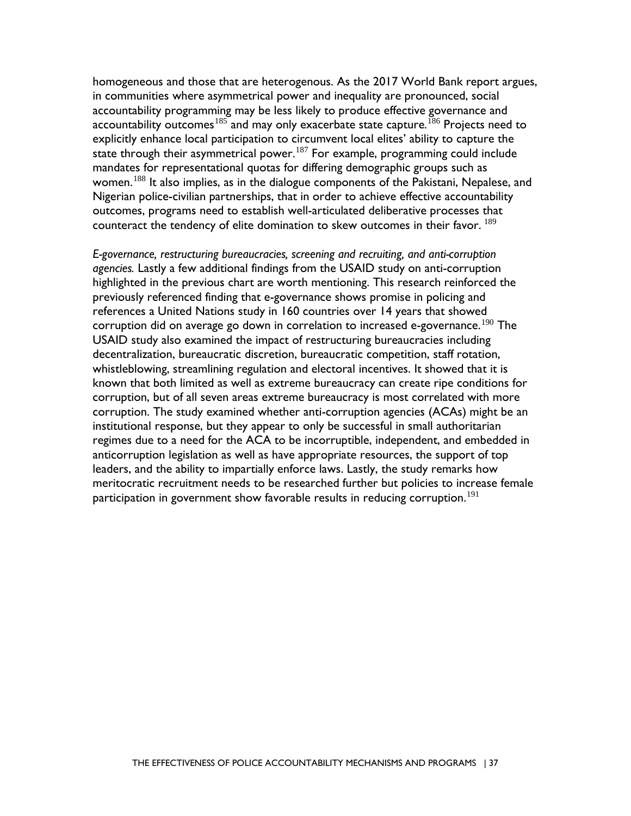homogeneous and those that are heterogenous. As the 2017 World Bank report argues, in communities where asymmetrical power and inequality are pronounced, social accountability programming may be less likely to produce effective governance and accountability outcomes<sup>185</sup> and may only exacerbate state capture.<sup>[186](#page-72-0)</sup> Projects need to explicitly enhance local participation to circumvent local elites' ability to capture the state through their asymmetrical power.<sup>[187](#page-72-1)</sup> For example, programming could include mandates for representational quotas for differing demographic groups such as women.<sup>188</sup> It also implies, as in the dialogue components of the Pakistani, Nepalese, and Nigerian police-civilian partnerships, that in order to achieve effective accountability outcomes, programs need to establish well-articulated deliberative processes that counteract the tendency of elite domination to skew outcomes in their favor.  $^{189}$  $^{189}$  $^{189}$ 

 whistleblowing, streamlining regulation and electoral incentives. It showed that it is *E-governance, restructuring bureaucracies, screening and recruiting, and anti-corruption agencies.* Lastly a few additional findings from the USAID study on anti-corruption highlighted in the previous chart are worth mentioning. This research reinforced the previously referenced finding that e-governance shows promise in policing and references a United Nations study in 160 countries over 14 years that showed corruption did on average go down in correlation to increased e-governance.<sup>[190](#page-72-4)</sup> The USAID study also examined the impact of restructuring bureaucracies including decentralization, bureaucratic discretion, bureaucratic competition, staff rotation, known that both limited as well as extreme bureaucracy can create ripe conditions for corruption, but of all seven areas extreme bureaucracy is most correlated with more corruption. The study examined whether anti-corruption agencies (ACAs) might be an institutional response, but they appear to only be successful in small authoritarian regimes due to a need for the ACA to be incorruptible, independent, and embedded in anticorruption legislation as well as have appropriate resources, the support of top leaders, and the ability to impartially enforce laws. Lastly, the study remarks how meritocratic recruitment needs to be researched further but policies to increase female participation in government show favorable results in reducing corruption.<sup>[191](#page-72-5)</sup>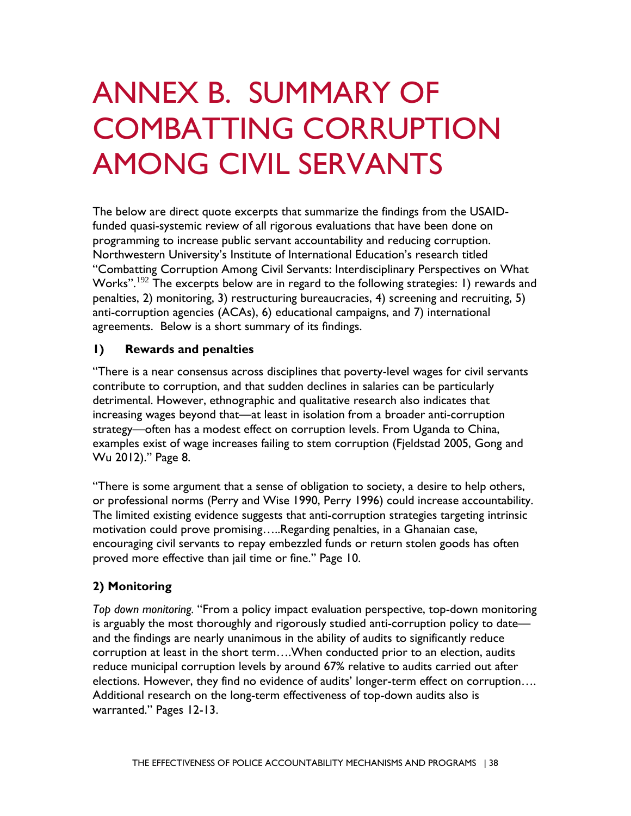# ANNEX B. SUMMARY OF COMBATTING CORRUPTION AMONG CIVIL SERVANTS

programming to increase public servant accountability and reducing corruption. Works". $^{192}$  The excerpts below are in regard to the following strategies: 1) rewards and The below are direct quote excerpts that summarize the findings from the USAIDfunded quasi-systemic review of all rigorous evaluations that have been done on Northwestern University's Institute of International Education's research titled "Combatting Corruption Among Civil Servants: Interdisciplinary Perspectives on What penalties, 2) monitoring, 3) restructuring bureaucracies, 4) screening and recruiting, 5) anti-corruption agencies (ACAs), 6) educational campaigns, and 7) international agreements. Below is a short summary of its findings.

#### $\blacksquare$ **1) Rewards and penalties**

 strategy—often has a modest effect on corruption levels. From Uganda to China, "There is a near consensus across disciplines that poverty-level wages for civil servants contribute to corruption, and that sudden declines in salaries can be particularly detrimental. However, ethnographic and qualitative research also indicates that increasing wages beyond that—at least in isolation from a broader anti-corruption examples exist of wage increases failing to stem corruption (Fjeldstad 2005, Gong and Wu 2012)." Page 8.

or professional norms (Perry and Wise 1990, Perry 1996) could increase accountability. motivation could prove promising…..Regarding penalties, in a Ghanaian case, "There is some argument that a sense of obligation to society, a desire to help others, The limited existing evidence suggests that anti-corruption strategies targeting intrinsic encouraging civil servants to repay embezzled funds or return stolen goods has often proved more effective than jail time or fine." Page 10.

#### **2) Monitoring**

 *Top down monitoring.* "From a policy impact evaluation perspective, top-down monitoring is arguably the most thoroughly and rigorously studied anti-corruption policy to date and the findings are nearly unanimous in the ability of audits to significantly reduce corruption at least in the short term….When conducted prior to an election, audits reduce municipal corruption levels by around 67% relative to audits carried out after elections. However, they find no evidence of audits' longer-term effect on corruption…. Additional research on the long-term effectiveness of top-down audits also is warranted." Pages 12-13.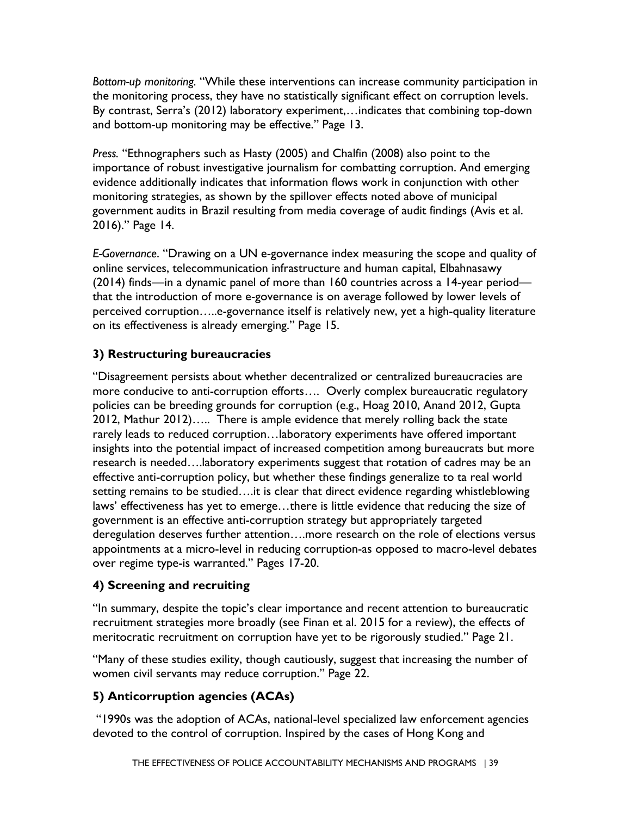the monitoring process, they have no statistically significant effect on corruption levels. *Bottom-up monitoring.* "While these interventions can increase community participation in By contrast, Serra's (2012) laboratory experiment,…indicates that combining top-down and bottom-up monitoring may be effective." Page 13.

 evidence additionally indicates that information flows work in conjunction with other monitoring strategies, as shown by the spillover effects noted above of municipal 2016)." Page 14. *Press.* "Ethnographers such as Hasty (2005) and Chalfin (2008) also point to the importance of robust investigative journalism for combatting corruption. And emerging government audits in Brazil resulting from media coverage of audit findings (Avis et al.

 (2014) finds—in a dynamic panel of more than 160 countries across a 14-year period— *E-Governance*. "Drawing on a UN e-governance index measuring the scope and quality of online services, telecommunication infrastructure and human capital, Elbahnasawy that the introduction of more e-governance is on average followed by lower levels of perceived corruption…..e-governance itself is relatively new, yet a high-quality literature on its effectiveness is already emerging." Page 15.

### **3) Restructuring bureaucracies**

 rarely leads to reduced corruption…laboratory experiments have offered important over regime type-is warranted." Pages 17-20. "Disagreement persists about whether decentralized or centralized bureaucracies are more conducive to anti-corruption efforts…. Overly complex bureaucratic regulatory policies can be breeding grounds for corruption (e.g., Hoag 2010, Anand 2012, Gupta 2012, Mathur 2012)….. There is ample evidence that merely rolling back the state insights into the potential impact of increased competition among bureaucrats but more research is needed….laboratory experiments suggest that rotation of cadres may be an effective anti-corruption policy, but whether these findings generalize to ta real world setting remains to be studied….it is clear that direct evidence regarding whistleblowing laws' effectiveness has yet to emerge...there is little evidence that reducing the size of government is an effective anti-corruption strategy but appropriately targeted deregulation deserves further attention….more research on the role of elections versus appointments at a micro-level in reducing corruption-as opposed to macro-level debates

#### **4) Screening and recruiting**

 meritocratic recruitment on corruption have yet to be rigorously studied." Page 21. "In summary, despite the topic's clear importance and recent attention to bureaucratic recruitment strategies more broadly (see Finan et al. 2015 for a review), the effects of

 "Many of these studies exility, though cautiously, suggest that increasing the number of women civil servants may reduce corruption." Page 22.

#### **5) Anticorruption agencies (ACAs)**

 devoted to the control of corruption. Inspired by the cases of Hong Kong and "1990s was the adoption of ACAs, national-level specialized law enforcement agencies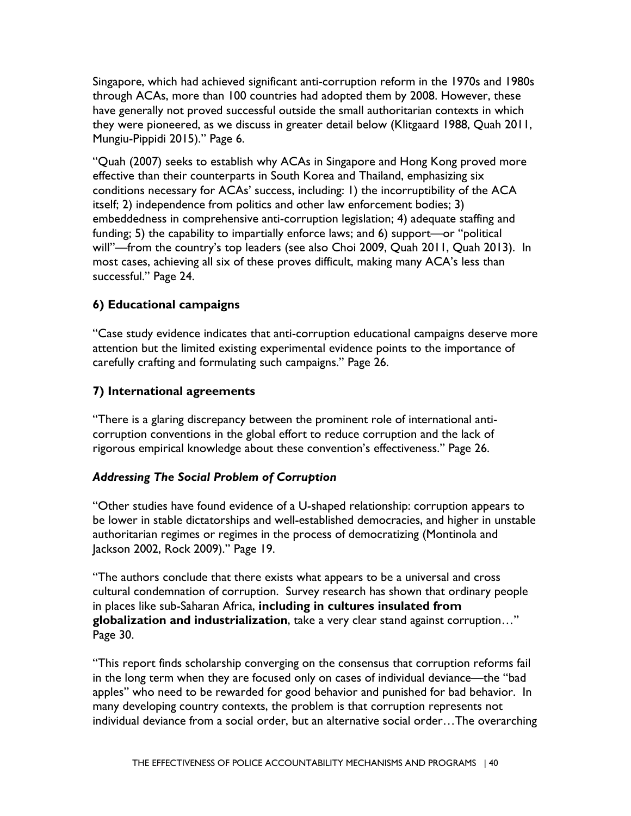they were pioneered, as we discuss in greater detail below (Klitgaard 1988, Quah 2011, Singapore, which had achieved significant anti-corruption reform in the 1970s and 1980s through ACAs, more than 100 countries had adopted them by 2008. However, these have generally not proved successful outside the small authoritarian contexts in which Mungiu-Pippidi 2015)." Page 6.

 successful." Page 24. "Quah (2007) seeks to establish why ACAs in Singapore and Hong Kong proved more effective than their counterparts in South Korea and Thailand, emphasizing six conditions necessary for ACAs' success, including: 1) the incorruptibility of the ACA itself; 2) independence from politics and other law enforcement bodies; 3) embeddedness in comprehensive anti-corruption legislation; 4) adequate staffing and funding; 5) the capability to impartially enforce laws; and 6) support—or "political will"—from the country's top leaders (see also Choi 2009, Quah 2011, Quah 2013). In most cases, achieving all six of these proves difficult, making many ACA's less than

#### **6) Educational campaigns**

"Case study evidence indicates that anti-corruption educational campaigns deserve more attention but the limited existing experimental evidence points to the importance of carefully crafting and formulating such campaigns." Page 26.

#### **7) International agreements**

 rigorous empirical knowledge about these convention's effectiveness." Page 26. "There is a glaring discrepancy between the prominent role of international anticorruption conventions in the global effort to reduce corruption and the lack of

#### *Addressing The Social Problem of Corruption*

 authoritarian regimes or regimes in the process of democratizing (Montinola and Jackson 2002, Rock 2009)." Page 19. "Other studies have found evidence of a U-shaped relationship: corruption appears to be lower in stable dictatorships and well-established democracies, and higher in unstable

Page 30. "The authors conclude that there exists what appears to be a universal and cross cultural condemnation of corruption. Survey research has shown that ordinary people in places like sub-Saharan Africa, **including in cultures insulated from globalization and industrialization**, take a very clear stand against corruption…"

"This report finds scholarship converging on the consensus that corruption reforms fail in the long term when they are focused only on cases of individual deviance—the "bad apples" who need to be rewarded for good behavior and punished for bad behavior. In many developing country contexts, the problem is that corruption represents not individual deviance from a social order, but an alternative social order…The overarching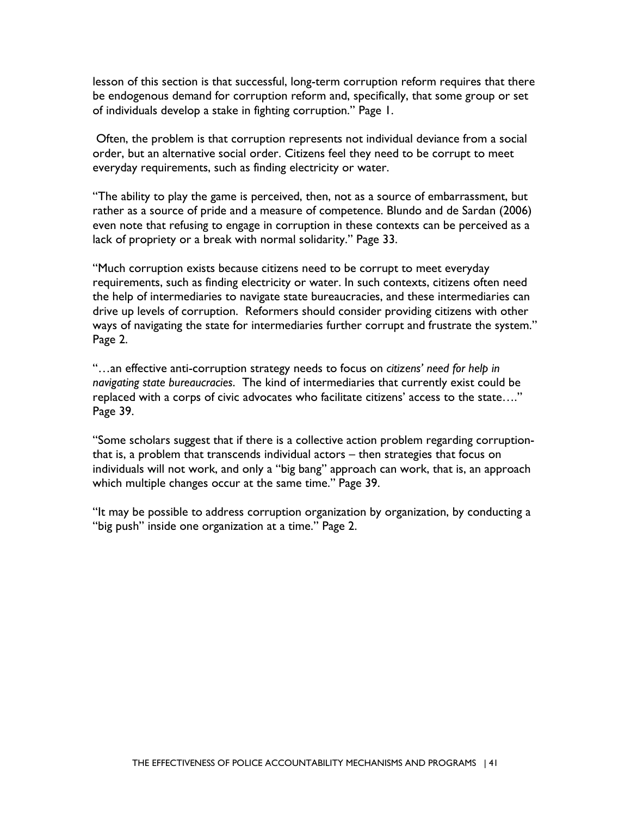be endogenous demand for corruption reform and, specifically, that some group or set lesson of this section is that successful, long-term corruption reform requires that there of individuals develop a stake in fighting corruption." Page 1.

 order, but an alternative social order. Citizens feel they need to be corrupt to meet Often, the problem is that corruption represents not individual deviance from a social everyday requirements, such as finding electricity or water.

 even note that refusing to engage in corruption in these contexts can be perceived as a lack of propriety or a break with normal solidarity." Page 33. "The ability to play the game is perceived, then, not as a source of embarrassment, but rather as a source of pride and a measure of competence. Blundo and de Sardan (2006)

 "Much corruption exists because citizens need to be corrupt to meet everyday drive up levels of corruption. Reformers should consider providing citizens with other Page 2. requirements, such as finding electricity or water. In such contexts, citizens often need the help of intermediaries to navigate state bureaucracies, and these intermediaries can ways of navigating the state for intermediaries further corrupt and frustrate the system."

Page 39. "...an effective anti-corruption strategy needs to focus on *citizens' need for help in navigating state bureaucracies*. The kind of intermediaries that currently exist could be replaced with a corps of civic advocates who facilitate citizens' access to the state…."

 which multiple changes occur at the same time." Page 39. "Some scholars suggest that if there is a collective action problem regarding corruptionthat is, a problem that transcends individual actors – then strategies that focus on individuals will not work, and only a "big bang" approach can work, that is, an approach

"It may be possible to address corruption organization by organization, by conducting a "big push" inside one organization at a time." Page 2.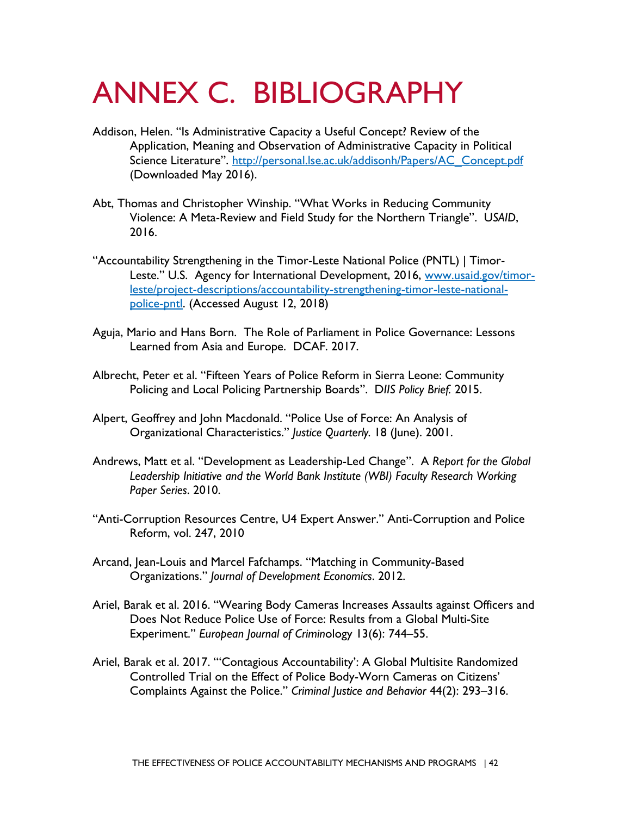## ANNEX C. BIBLIOGRAPHY

- Addison, Helen. "Is Administrative Capacity a Useful Concept? Review of the Application, Meaning and Observation of Administrative Capacity in Political Science Literature". http://personal.lse.ac.uk/addisonh/Papers/AC\_Concept.pdf (Downloaded May 2016).
- Abt, Thomas and Christopher Winship. "What Works in Reducing Community Violence: A Meta-Review and Field Study for the Northern Triangle". U*SAID*, 2016.
- "Accountability Strengthening in the Timor-Leste National Police (PNTL) | TimorLeste." U.S. Agency for International Development, 2016, [www.usaid.gov/timor](about:blank)[leste/project-descriptions/accountability-strengthening-timor-leste-national](about:blank)[police-pntl.](about:blank) (Accessed August 12, 2018)
- Aguja, Mario and Hans Born. The Role of Parliament in Police Governance: Lessons Learned from Asia and Europe. DCAF. 2017.
- Policing and Local Policing Partnership Boards". D*IIS Policy Brief.* 2015. Albrecht, Peter et al. "Fifteen Years of Police Reform in Sierra Leone: Community
- Alpert, Geoffrey and John Macdonald. "Police Use of Force: An Analysis of Organizational Characteristics." *Justice Quarterly.* 18 (June). 2001.
- Andrews, Matt et al. "Development as Leadership-Led Change". A *Report for the Global Leadership Initiative and the World Bank Institute (WBI) Faculty Research Working Paper Series*. 2010.
- "Anti-Corruption Resources Centre, U4 Expert Answer." Anti-Corruption and Police Reform, vol. 247, 2010
- Arcand, Jean-Louis and Marcel Fafchamps. "Matching in Community-Based Organizations." *Journal of Development Economics*. 2012.
- Ariel, Barak et al. 2016. "Wearing Body Cameras Increases Assaults against Officers and Does Not Reduce Police Use of Force: Results from a Global Multi-Site Experiment." *European Journal of Crimin*ology 13(6): 744–55.
- Ariel, Barak et al. 2017. "'Contagious Accountability': A Global Multisite Randomized Controlled Trial on the Effect of Police Body-Worn Cameras on Citizens' Complaints Against the Police." *Criminal Justice and Behavior* 44(2): 293–316.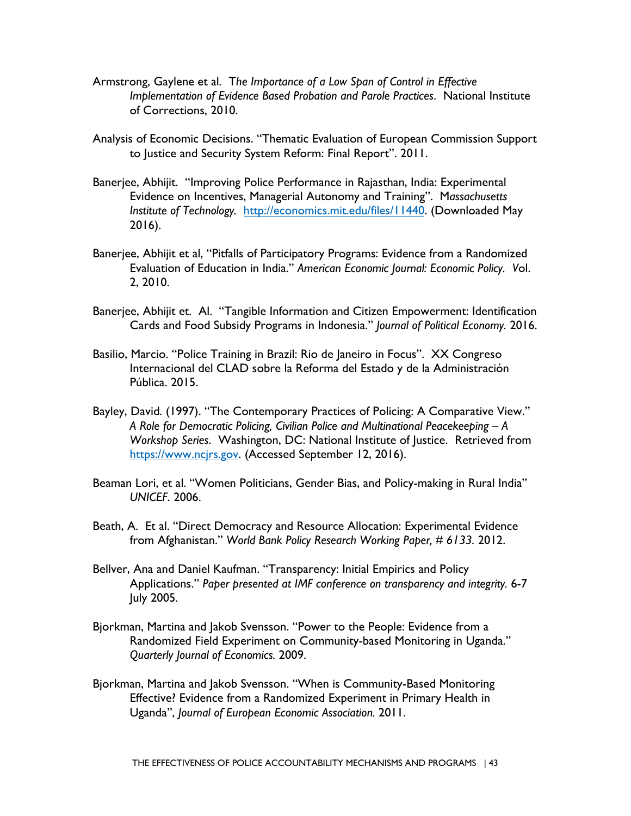- Armstrong, Gaylene et al. T*he Importance of a Low Span of Control in Effective Implementation of Evidence Based Probation and Parole Practices*. National Institute of Corrections, 2010.
- Analysis of Economic Decisions. "Thematic Evaluation of European Commission Support to Justice and Security System Reform: Final Report". 2011.
- Banerjee, Abhijit. "Improving Police Performance in Rajasthan, India: Experimental Evidence on Incentives, Managerial Autonomy and Training". M*assachusetts Institute of Technology.* [http://economics.mit.edu/files/11440.](about:blank) (Downloaded May 2016).
- Banerjee, Abhijit et al, "Pitfalls of Participatory Programs: Evidence from a Randomized Evaluation of Education in India." *American Economic Journal: Economic Policy. V*ol. 2, 2010.
- Banerjee, Abhijit et. Al. "Tangible Information and Citizen Empowerment: Identification Cards and Food Subsidy Programs in Indonesia." *Journal of Political Economy.* 2016.
- Pública. 2015. Basilio, Marcio. "Police Training in Brazil: Rio de Janeiro in Focus". XX Congreso Internacional del CLAD sobre la Reforma del Estado y de la Administración
- Bayley, David. (1997). "The Contemporary Practices of Policing: A Comparative View." *A Role for Democratic Policing, Civilian Police and Multinational Peacekeeping – A Workshop Series*. Washington, DC: National Institute of Justice. Retrieved from [https://www.ncjrs.gov.](about:blank) (Accessed September 12, 2016).
- Beaman Lori, et al. "Women Politicians, Gender Bias, and Policy-making in Rural India" *UNICEF*. 2006.
- from Afghanistan." *World Bank Policy Research Working Paper, # 6133.* 2012. Beath, A. Et al. "Direct Democracy and Resource Allocation: Experimental Evidence
- Bellver, Ana and Daniel Kaufman. "Transparency: Initial Empirics and Policy Applications." *Paper presented at IMF conference on transparency and integrity.* 6-7 July 2005.
- *Quarterly Journal of Economics.* 2009. Bjorkman, Martina and Jakob Svensson. "Power to the People: Evidence from a Randomized Field Experiment on Community-based Monitoring in Uganda."
- Uganda", *Journal of European Economic Association.* 2011. Bjorkman, Martina and Jakob Svensson. "When is Community-Based Monitoring Effective? Evidence from a Randomized Experiment in Primary Health in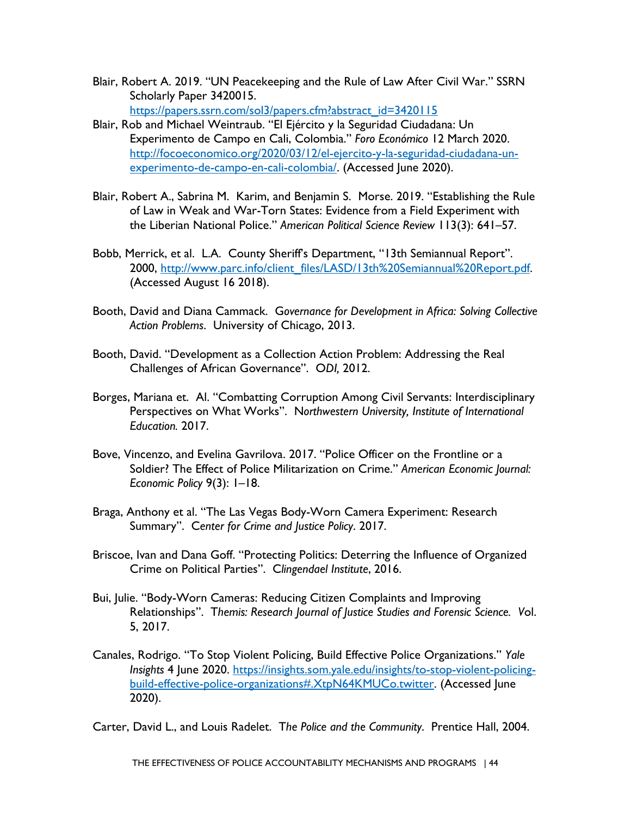- Blair, Robert A. 2019. "UN Peacekeeping and the Rule of Law After Civil War." SSRN Scholarly Paper 3420015. https://papers.ssrn.com/sol3/papers.cfm?abstract\_id=3420115
- Blair, Rob and Michael Weintraub. "El Ejército y la Seguridad Ciudadana: Un Experimento de Campo en Cali, Colombia." *Foro Económico* 12 March 2020. [http://focoeconomico.org/2020/03/12/el-ejercito-y-la-seguridad-ciudadana-un](http://focoeconomico.org/2020/03/12/el-ejercito-y-la-seguridad-ciudadana-un-experimento-de-campo-en-cali-colombia/)[experimento-de-campo-en-cali-colombia/.](http://focoeconomico.org/2020/03/12/el-ejercito-y-la-seguridad-ciudadana-un-experimento-de-campo-en-cali-colombia/) (Accessed June 2020).
- of Law in Weak and War-Torn States: Evidence from a Field Experiment with Blair, Robert A., Sabrina M. Karim, and Benjamin S. Morse. 2019. "Establishing the Rule the Liberian National Police." *American Political Science Review* 113(3): 641–57.
- Bobb, Merrick, et al. L.A. County Sheriff's Department, "13th Semiannual Report". 2000, [http://www.parc.info/client\\_files/LASD/13th%20Semiannual%20Report.pdf.](about:blank) (Accessed August 16 2018).
- Booth, David and Diana Cammack. G*overnance for Development in Africa: Solving Collective Action Problems*. University of Chicago, 2013.
- Challenges of African Governance". O*DI,* 2012. Booth, David. "Development as a Collection Action Problem: Addressing the Real
- *Education.* 2017. Borges, Mariana et. Al. "Combatting Corruption Among Civil Servants: Interdisciplinary Perspectives on What Works". N*orthwestern University, Institute of International*
- *Economic Policy* 9(3): 1–18. Bove, Vincenzo, and Evelina Gavrilova. 2017. "Police Officer on the Frontline or a Soldier? The Effect of Police Militarization on Crime." *American Economic Journal:*
- Braga, Anthony et al. "The Las Vegas Body-Worn Camera Experiment: Research Summary". C*enter for Crime and Justice Policy*. 2017.
- Briscoe, Ivan and Dana Goff. "Protecting Politics: Deterring the Influence of Organized Crime on Political Parties". C*lingendael Institute*, 2016.
- Bui, Julie. "Body-Worn Cameras: Reducing Citizen Complaints and Improving Relationships". T*hemis: Research Journal of Justice Studies and Forensic Science. V*ol. 5, 2017.
- $2020$ ). Canales, Rodrigo. "To Stop Violent Policing, Build Effective Police Organizations." *Yale Insights* 4 June 2020. [https://insights.som.yale.edu/insights/to-stop-violent-policing](https://insights.som.yale.edu/insights/to-stop-violent-policing-build-effective-police-organizations#.XtpN64KMUCo.twitter)[build-effective-police-organizations#.XtpN64KMUCo.twitter.](https://insights.som.yale.edu/insights/to-stop-violent-policing-build-effective-police-organizations#.XtpN64KMUCo.twitter) (Accessed June

2020). Carter, David L., and Louis Radelet. T*he Police and the Community*. Prentice Hall, 2004.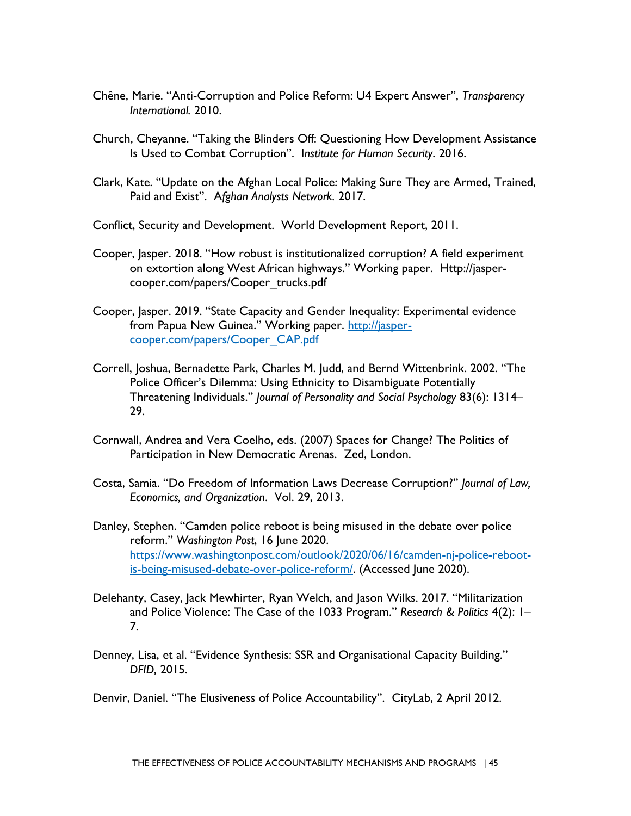- *International.* 2010. Chêne, Marie. "Anti-Corruption and Police Reform: U4 Expert Answer", *Transparency*
- Church, Cheyanne. "Taking the Blinders Off: Questioning How Development Assistance Is Used to Combat Corruption". I*nstitute for Human Security*. 2016.
- Paid and Exist". A*fghan Analysts Network.* 2017. Clark, Kate. "Update on the Afghan Local Police: Making Sure They are Armed, Trained,
- Conflict, Security and Development. World Development Report, 2011.
- Cooper, Jasper. 2018. "How robust is institutionalized corruption? A field experiment on extortion along West African highways." Working paper. Http://jaspercooper.com/papers/Cooper\_trucks.pdf
- Cooper, Jasper. 2019. "State Capacity and Gender Inequality: Experimental evidence from Papua New Guinea." Working paper. [http://jasper](about:blank)cooper.com/papers/Cooper\_CAP.pdf
- Correll, Joshua, Bernadette Park, Charles M. Judd, and Bernd Wittenbrink. 2002. "The Police Officer's Dilemma: Using Ethnicity to Disambiguate Potentially Threatening Individuals." *Journal of Personality and Social Psychology* 83(6): 1314– 29.
- Cornwall, Andrea and Vera Coelho, eds. (2007) Spaces for Change? The Politics of Participation in New Democratic Arenas. Zed, London.
- Costa, Samia. "Do Freedom of Information Laws Decrease Corruption?" *Journal of Law, Economics, and Organization*. Vol. 29, 2013.
- Danley, Stephen. "Camden police reboot is being misused in the debate over police reform." *Washington Post*, 16 June 2020. [https://www.washingtonpost.com/outlook/2020/06/16/camden-nj-police-reboot](https://www.washingtonpost.com/outlook/2020/06/16/camden-nj-police-reboot-is-being-misused-debate-over-police-reform/)[is-being-misused-debate-over-police-reform/.](https://www.washingtonpost.com/outlook/2020/06/16/camden-nj-police-reboot-is-being-misused-debate-over-police-reform/) (Accessed June 2020).
- Delehanty, Casey, Jack Mewhirter, Ryan Welch, and Jason Wilks. 2017. "Militarization and Police Violence: The Case of the 1033 Program." *Research & Politics* 4(2): 1– 7.
- *DFID,* 2015. Denney, Lisa, et al. "Evidence Synthesis: SSR and Organisational Capacity Building."

Denvir, Daniel. "The Elusiveness of Police Accountability". CityLab, 2 April 2012.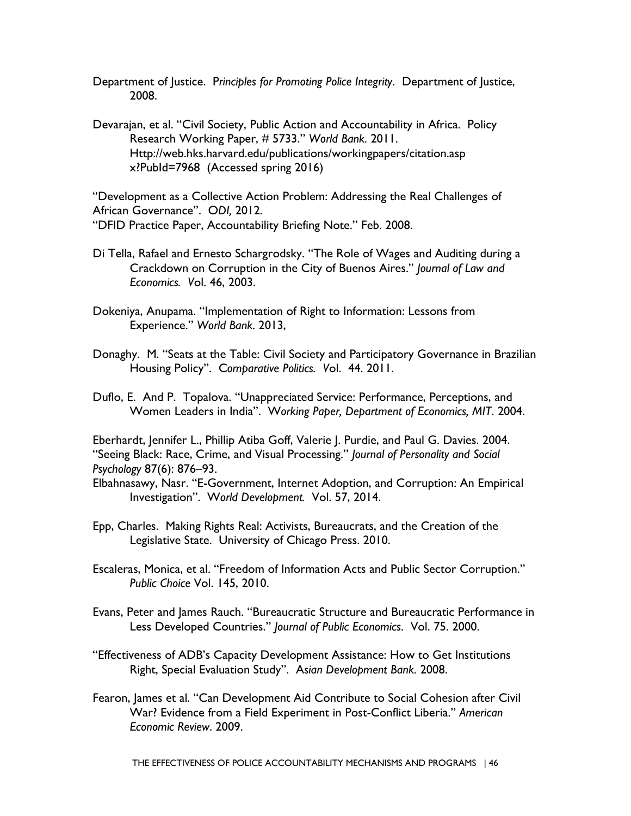Department of Justice. P*rinciples for Promoting Police Integrity*. Department of Justice, 2008.

Devarajan, et al. "Civil Society, Public Action and Accountability in Africa. Policy Research Working Paper, # 5733." *World Bank.* 2011. Http://web.hks.harvard.edu/publications/workingpapers/citation.asp x?PubId=7968 (Accessed spring 2016)

 African Governance". O*DI,* 2012. "Development as a Collective Action Problem: Addressing the Real Challenges of "DFID Practice Paper, Accountability Briefing Note." Feb. 2008.

- Crackdown on Corruption in the City of Buenos Aires." *Journal of Law and*  Di Tella, Rafael and Ernesto Schargrodsky. "The Role of Wages and Auditing during a *Economics. V*ol. 46, 2003.
- Experience." *World Bank.* 2013, Dokeniya, Anupama. "Implementation of Right to Information: Lessons from
- Donaghy. M. "Seats at the Table: Civil Society and Participatory Governance in Brazilian Housing Policy". C*omparative Politics. V*ol. 44. 2011.
- Duflo, E. And P. Topalova. "Unappreciated Service: Performance, Perceptions, and Women Leaders in India". W*orking Paper, Department of Economics, MIT*. 2004.

Eberhardt, Jennifer L., Phillip Atiba Goff, Valerie J. Purdie, and Paul G. Davies. 2004. "Seeing Black: Race, Crime, and Visual Processing." *Journal of Personality and Social Psychology* 87(6): 876–93.

 Investigation". W*orld Development.* Vol. 57, 2014. Elbahnasawy, Nasr. "E-Government, Internet Adoption, and Corruption: An Empirical

- Epp, Charles. Making Rights Real: Activists, Bureaucrats, and the Creation of the Legislative State. University of Chicago Press. 2010.
- Escaleras, Monica, et al. "Freedom of Information Acts and Public Sector Corruption." *Public Choice* Vol. 145, 2010.
- Evans, Peter and James Rauch. "Bureaucratic Structure and Bureaucratic Performance in Less Developed Countries." *Journal of Public Economics*. Vol. 75. 2000.
- Right, Special Evaluation Study". A*sian Development Bank.* 2008. "Effectiveness of ADB's Capacity Development Assistance: How to Get Institutions
- Fearon, James et al. "Can Development Aid Contribute to Social Cohesion after Civil War? Evidence from a Field Experiment in Post-Conflict Liberia." *American Economic Review*. 2009.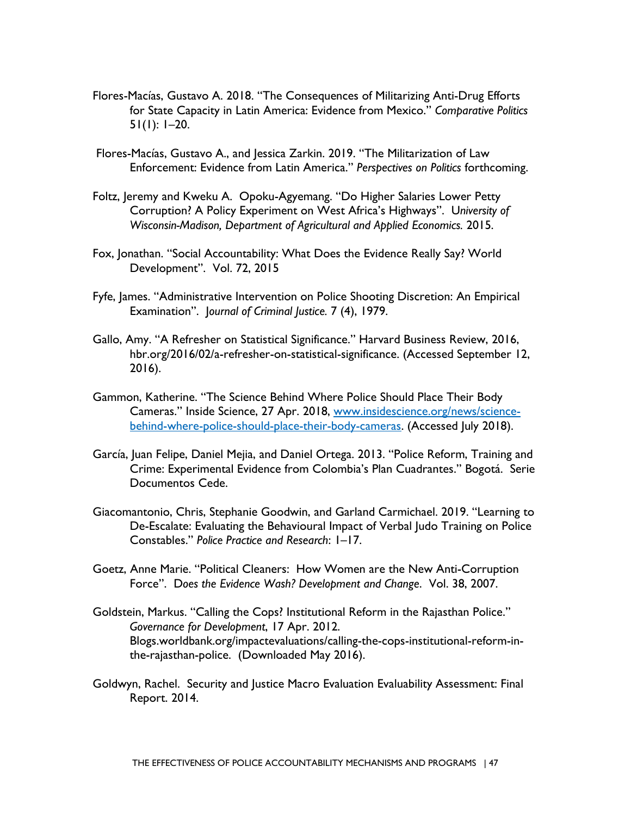- Flores-Macías, Gustavo A. 2018. "The Consequences of Militarizing Anti-Drug Efforts for State Capacity in Latin America: Evidence from Mexico." *Comparative Politics*  51(1): 1–20.
- Flores-Macías, Gustavo A., and Jessica Zarkin. 2019. "The Militarization of Law Enforcement: Evidence from Latin America." *Perspectives on Politics* forthcoming.
- *Wisconsin-Madison, Department of Agricultural and Applied Economics.* 2015. Foltz, Jeremy and Kweku A. Opoku-Agyemang. "Do Higher Salaries Lower Petty Corruption? A Policy Experiment on West Africa's Highways". U*niversity of*
- Fox, Jonathan. "Social Accountability: What Does the Evidence Really Say? World Development". Vol. 72, 2015
- Examination". J*ournal of Criminal Justice.* 7 (4), 1979. Fyfe, James. "Administrative Intervention on Police Shooting Discretion: An Empirical
- hbr.org/2016/02/a-refresher-on-statistical-significance. (Accessed September 12, Gallo, Amy. "A Refresher on Statistical Significance." Harvard Business Review, 2016, 2016).
- Gammon, Katherine. "The Science Behind Where Police Should Place Their Body Cameras." Inside Science, 27 Apr. 2018, [www.insidescience.org/news/science](about:blank)[behind-where-police-should-place-their-body-cameras.](about:blank) (Accessed July 2018).
- García, Juan Felipe, Daniel Mejia, and Daniel Ortega. 2013. "Police Reform, Training and Crime: Experimental Evidence from Colombia's Plan Cuadrantes." Bogotá. Serie Documentos Cede.
- Giacomantonio, Chris, Stephanie Goodwin, and Garland Carmichael. 2019. "Learning to De-Escalate: Evaluating the Behavioural Impact of Verbal Judo Training on Police Constables." *Police Practice and Research*: 1–17.
- Goetz, Anne Marie. "Political Cleaners: How Women are the New Anti-Corruption Force". D*oes the Evidence Wash? Development and Change*. Vol. 38, 2007.
- Goldstein, Markus. "Calling the Cops? Institutional Reform in the Rajasthan Police." *Governance for Development*, 17 Apr. 2012. Blogs.worldbank.org/impactevaluations/calling-the-cops-institutional-reform-inthe-rajasthan-police. (Downloaded May 2016).
- Goldwyn, Rachel. Security and Justice Macro Evaluation Evaluability Assessment: Final Report. 2014.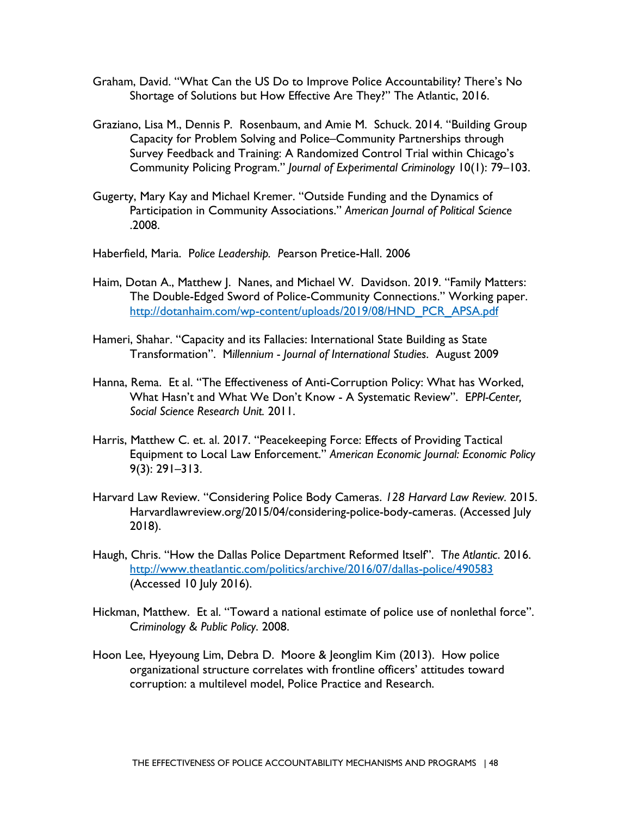- Graham, David. "What Can the US Do to Improve Police Accountability? There's No Shortage of Solutions but How Effective Are They?" The Atlantic, 2016.
- Graziano, Lisa M., Dennis P. Rosenbaum, and Amie M. Schuck. 2014. "Building Group Capacity for Problem Solving and Police–Community Partnerships through Survey Feedback and Training: A Randomized Control Trial within Chicago's Community Policing Program." *Journal of Experimental Criminology* 10(1): 79–103.
- Gugerty, Mary Kay and Michael Kremer. "Outside Funding and the Dynamics of Participation in Community Associations." *American Journal of Political Science*  .2008.

Haberfield, Maria. P*olice Leadership. P*earson Pretice-Hall. 2006

- Haim, Dotan A., Matthew J. Nanes, and Michael W. Davidson. 2019. "Family Matters: The Double-Edged Sword of Police-Community Connections." Working paper. http://dotanhaim.com/wp-content/uploads/2019/08/HND\_PCR\_APSA.pdf
- Hameri, Shahar. "Capacity and its Fallacies: International State Building as State Transformation". M*illennium - Journal of International Studies*. August 2009
- *Social Science Research Unit.* 2011. Hanna, Rema. Et al. "The Effectiveness of Anti-Corruption Policy: What has Worked, What Hasn't and What We Don't Know - A Systematic Review". E*PPI-Center,*
- Harris, Matthew C. et. al. 2017. "Peacekeeping Force: Effects of Providing Tactical Equipment to Local Law Enforcement." *American Economic Journal: Economic Policy*  9(3): 291–313.
- $2018$ ). Harvard Law Review. "Considering Police Body Cameras. *128 Harvard Law Review.* 2015. Harvardlawreview.org/2015/04/considering-police-body-cameras. (Accessed July
- 2018). Haugh, Chris. "How the Dallas Police Department Reformed Itself". T*he Atlantic*. 2016. [http://www.theatlantic.com/politics/archive/2016/07/dallas-police/490583](about:blank)  (Accessed 10 July 2016).
- Hickman, Matthew. Et al. "Toward a national estimate of police use of nonlethal force". C*riminology & Public Policy*. 2008.
- Hoon Lee, Hyeyoung Lim, Debra D. Moore & Jeonglim Kim (2013). How police organizational structure correlates with frontline officers' attitudes toward corruption: a multilevel model, Police Practice and Research.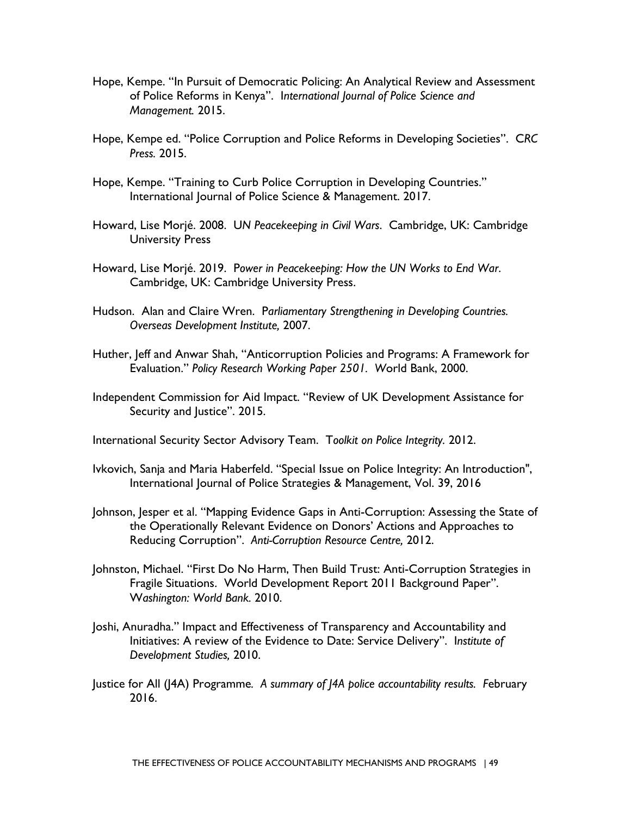- Hope, Kempe. "In Pursuit of Democratic Policing: An Analytical Review and Assessment of Police Reforms in Kenya". I*nternational Journal of Police Science and Management.* 2015.
- *Press.* 2015. Hope, Kempe ed. "Police Corruption and Police Reforms in Developing Societies". C*RC*
- Hope, Kempe. "Training to Curb Police Corruption in Developing Countries." International Journal of Police Science & Management. 2017.
- Howard, Lise Morjé. 2008. U*N Peacekeeping in Civil Wars*. Cambridge, UK: Cambridge University Press
- Howard, Lise Morjé. 2019. P*ower in Peacekeeping: How the UN Works to End War*. Cambridge, UK: Cambridge University Press.
- *Overseas Development Institute,* 2007. Hudson. Alan and Claire Wren. P*arliamentary Strengthening in Developing Countries.*
- Huther, Jeff and Anwar Shah, "Anticorruption Policies and Programs: A Framework for Evaluation." *Policy Research Working Paper 2501. W*orld Bank, 2000.
- Independent Commission for Aid Impact. "Review of UK Development Assistance for Security and Justice". 2015.

International Security Sector Advisory Team. T*oolkit on Police Integrity.* 2012.

- Ivkovich, Sanja and Maria Haberfeld. "Special Issue on Police Integrity: An Introduction", International Journal of Police Strategies & Management, Vol. 39, 2016
- Reducing Corruption". *Anti-Corruption Resource Centre,* 2012. Johnson, Jesper et al. "Mapping Evidence Gaps in Anti-Corruption: Assessing the State of the Operationally Relevant Evidence on Donors' Actions and Approaches to
- W*ashington: World Bank.* 2010. Johnston, Michael. "First Do No Harm, Then Build Trust: Anti-Corruption Strategies in Fragile Situations. World Development Report 2011 Background Paper".
- *Development Studies,* 2010. Joshi, Anuradha." Impact and Effectiveness of Transparency and Accountability and Initiatives: A review of the Evidence to Date: Service Delivery". I*nstitute of*
- Justice for All (J4A) Programme*. A summary of J4A police accountability results. F*ebruary 2016.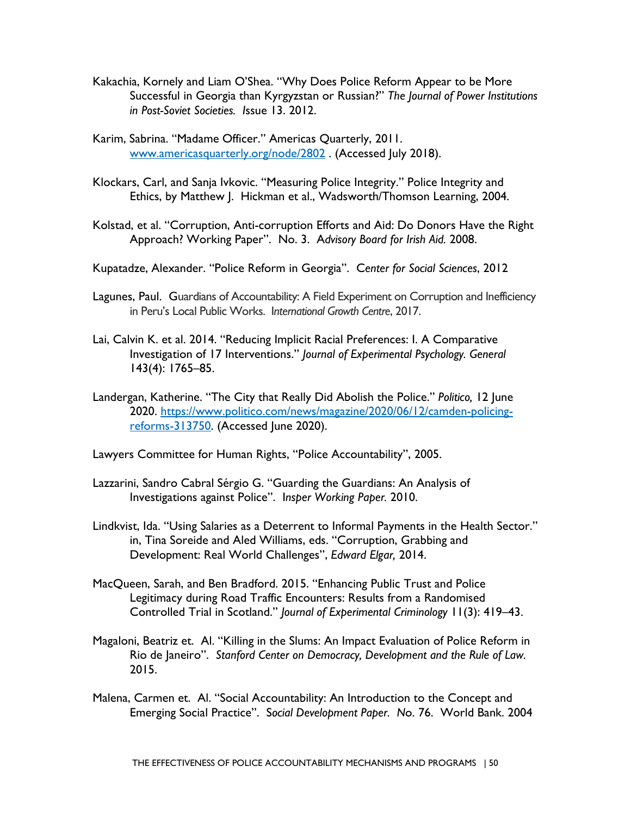- Kakachia, Kornely and Liam O'Shea. "Why Does Police Reform Appear to be More Successful in Georgia than Kyrgyzstan or Russian?" *The Journal of Power Institutions in Post-Soviet Societies. I*ssue 13. 2012.
- Karim, Sabrina. "Madame Officer." Americas Quarterly, 2011. [www.americasquarterly.org/node/2802](about:blank) . (Accessed July 2018).
- Klockars, Carl, and Sanja Ivkovic. "Measuring Police Integrity." Police Integrity and Ethics, by Matthew J. Hickman et al., Wadsworth/Thomson Learning, 2004.
- Approach? Working Paper". No. 3. A*dvisory Board for Irish Aid.* 2008. Kolstad, et al. "Corruption, Anti-corruption Efforts and Aid: Do Donors Have the Right
- Kupatadze, Alexander. "Police Reform in Georgia". C*enter for Social Sciences*, 2012
- Lagunes, Paul. Guardians of Accountability: A Field Experiment on Corruption and Inefficiency in Peru's Local Public Works. I*nternational Growth Centre*, 2017.
- Lai, Calvin K. et al. 2014. "Reducing Implicit Racial Preferences: I. A Comparative Investigation of 17 Interventions." *Journal of Experimental Psychology. General*  143(4): 1765–85.
- Landergan, Katherine. "The City that Really Did Abolish the Police." *Politico,* 12 June 2020. [https://www.politico.com/news/magazine/2020/06/12/camden-policing](https://www.politico.com/news/magazine/2020/06/12/camden-policing-reforms-313750)[reforms-313750.](https://www.politico.com/news/magazine/2020/06/12/camden-policing-reforms-313750) (Accessed June 2020).
- Lawyers Committee for Human Rights, "Police Accountability", 2005.
- Lazzarini, Sandro Cabral Sérgio G. "Guarding the Guardians: An Analysis of Investigations against Police". I*nsper Working Paper.* 2010.
- Lindkvist, Ida. "Using Salaries as a Deterrent to Informal Payments in the Health Sector." in, Tina Soreide and Aled Williams, eds. "Corruption, Grabbing and  Development: Real World Challenges", *Edward Elgar,* 2014.
- Controlled Trial in Scotland." *Journal of Experimental Criminology* 11(3): 419–43. MacQueen, Sarah, and Ben Bradford. 2015. "Enhancing Public Trust and Police Legitimacy during Road Traffic Encounters: Results from a Randomised
- Magaloni, Beatriz et. Al. "Killing in the Slums: An Impact Evaluation of Police Reform in Rio de Janeiro". *Stanford Center on Democracy, Development and the Rule of Law.*  2015.
- Malena, Carmen et. Al. "Social Accountability: An Introduction to the Concept and Emerging Social Practice". S*ocial Development Paper. N*o. 76. World Bank. 2004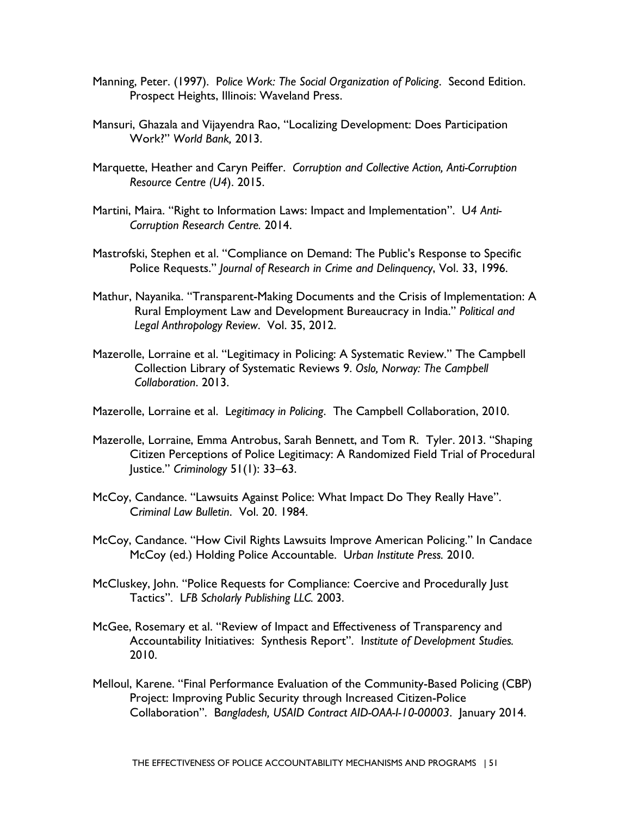- Manning, Peter. (1997). P*olice Work: The Social Organization of Policing*. Second Edition. Prospect Heights, Illinois: Waveland Press.
- Work?" *World Bank,* 2013. Mansuri, Ghazala and Vijayendra Rao, "Localizing Development: Does Participation
- Marquette, Heather and Caryn Peiffer. *Corruption and Collective Action, Anti-Corruption Resource Centre (U4*). 2015.
- *Corruption Research Centre.* 2014. Martini, Maira. "Right to Information Laws: Impact and Implementation". U*4 Anti-*
- Mastrofski, Stephen et al. "Compliance on Demand: The Public's Response to Specific Police Requests." *Journal of Research in Crime and Delinquency*, Vol. 33, 1996.
- Mathur, Nayanika. "Transparent-Making Documents and the Crisis of Implementation: A Rural Employment Law and Development Bureaucracy in India." *Political and Legal Anthropology Review*. Vol. 35, 2012.
- Mazerolle, Lorraine et al. "Legitimacy in Policing: A Systematic Review." The Campbell Collection Library of Systematic Reviews 9. *Oslo, Norway: The Campbell Collaboration*. 2013.
- Mazerolle, Lorraine et al. L*egitimacy in Policing*. The Campbell Collaboration, 2010.
- Mazerolle, Lorraine, Emma Antrobus, Sarah Bennett, and Tom R. Tyler. 2013. "Shaping Citizen Perceptions of Police Legitimacy: A Randomized Field Trial of Procedural Justice." *Criminology* 51(1): 33–63.
- McCoy, Candance. "Lawsuits Against Police: What Impact Do They Really Have". C*riminal Law Bulletin*. Vol. 20. 1984.
- McCoy (ed.) Holding Police Accountable. U*rban Institute Press.* 2010. McCoy, Candance. "How Civil Rights Lawsuits Improve American Policing." In Candace
- Tactics". L*FB Scholarly Publishing LLC.* 2003. McCluskey, John. "Police Requests for Compliance: Coercive and Procedurally Just
- McGee, Rosemary et al. "Review of Impact and Effectiveness of Transparency and Accountability Initiatives: Synthesis Report". I*nstitute of Development Studies.*  2010.
- Melloul, Karene. "Final Performance Evaluation of the Community-Based Policing (CBP) Project: Improving Public Security through Increased Citizen-Police Collaboration". B*angladesh, USAID Contract AID-OAA-I-10-00003*. January 2014.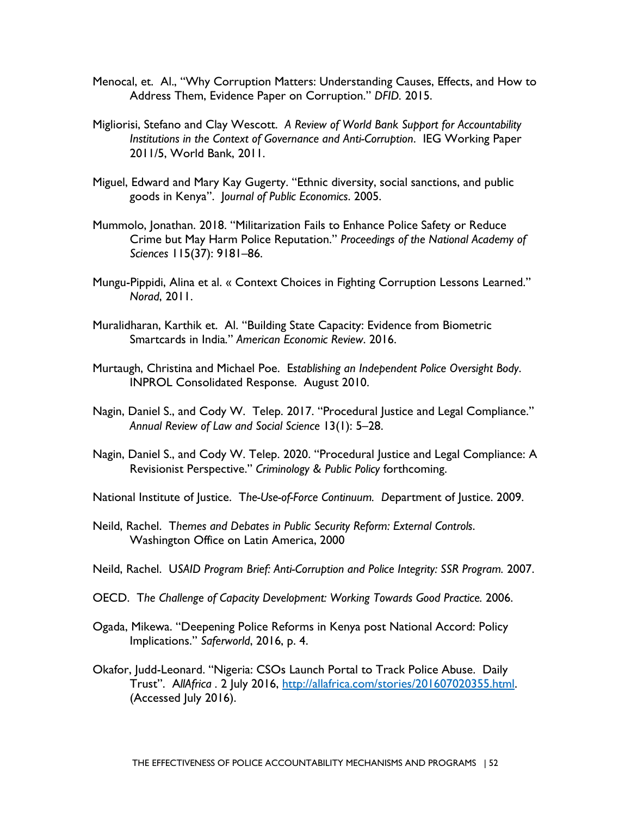- Address Them, Evidence Paper on Corruption." *DFID.* 2015. Menocal, et. Al., "Why Corruption Matters: Understanding Causes, Effects, and How to
- Migliorisi, Stefano and Clay Wescott. *A Review of World Bank Support for Accountability Institutions in the Context of Governance and Anti-Corruption*. IEG Working Paper 2011/5, World Bank, 2011.
- Miguel, Edward and Mary Kay Gugerty. "Ethnic diversity, social sanctions, and public goods in Kenya". J*ournal of Public Economics*. 2005.
- Mummolo, Jonathan. 2018. "Militarization Fails to Enhance Police Safety or Reduce Crime but May Harm Police Reputation." *Proceedings of the National Academy of Sciences* 115(37): 9181–86.
- Mungu-Pippidi, Alina et al. « Context Choices in Fighting Corruption Lessons Learned." *Norad*, 2011.
- Muralidharan, Karthik et. Al. "Building State Capacity: Evidence from Biometric Smartcards in India*.*" *American Economic Review*. 2016.
- Murtaugh, Christina and Michael Poe. E*stablishing an Independent Police Oversight Body*. INPROL Consolidated Response. August 2010.
- *Annual Review of Law and Social Science* 13(1): 5–28. Nagin, Daniel S., and Cody W. Telep. 2017. "Procedural Justice and Legal Compliance."
- Nagin, Daniel S., and Cody W. Telep. 2020. "Procedural Justice and Legal Compliance: A Revisionist Perspective." *Criminology & Public Policy* forthcoming.
- National Institute of Justice. T*he-Use-of-Force Continuum. D*epartment of Justice. 2009.
- Neild, Rachel. T*hemes and Debates in Public Security Reform: External Controls*. Washington Office on Latin America, 2000
- Neild, Rachel. U*SAID Program Brief: Anti-Corruption and Police Integrity: SSR Program.* 2007.
- OECD. T*he Challenge of Capacity Development: Working Towards Good Practice.* 2006.
- Ogada, Mikewa. "Deepening Police Reforms in Kenya post National Accord: Policy Implications." *Saferworld*, 2016, p. 4.
- Okafor, Judd-Leonard. "Nigeria: CSOs Launch Portal to Track Police Abuse. Daily Trust". A*llAfrica .* 2 July 2016, [http://allafrica.com/stories/201607020355.html.](about:blank) (Accessed July 2016).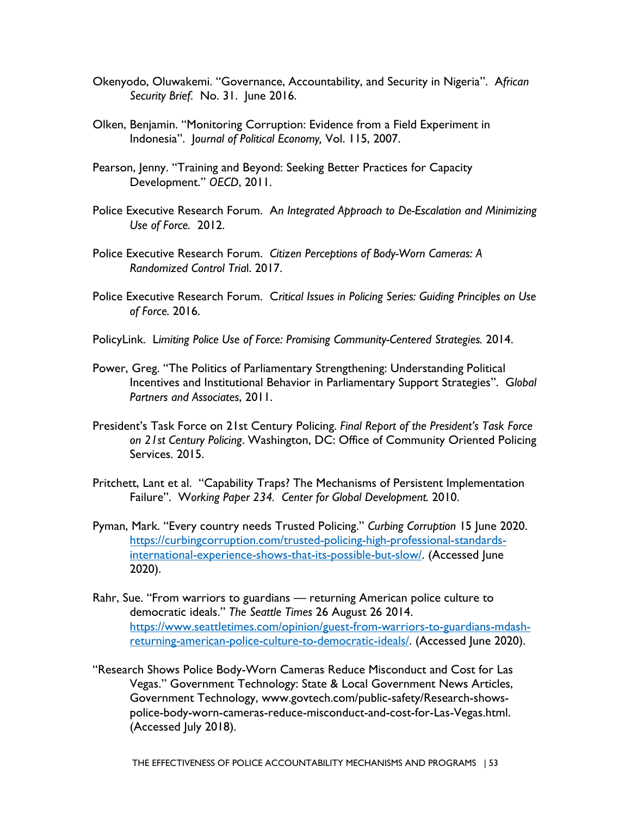- Okenyodo, Oluwakemi. "Governance, Accountability, and Security in Nigeria". A*frican Security Brief*. No. 31. June 2016.
- Olken, Benjamin. "Monitoring Corruption: Evidence from a Field Experiment in Indonesia". J*ournal of Political Economy,* Vol. 115, 2007.
- Pearson, Jenny. "Training and Beyond: Seeking Better Practices for Capacity Development." *OECD*, 2011.
- *Use of Force.* 2012. Police Executive Research Forum. A*n Integrated Approach to De-Escalation and Minimizing*
- Police Executive Research Forum. *Citizen Perceptions of Body-Worn Cameras: A Randomized Control Tria*l. 2017.
- *of Force.* 2016. Police Executive Research Forum. C*ritical Issues in Policing Series: Guiding Principles on Use*
- PolicyLink. L*imiting Police Use of Force: Promising Community-Centered Strategies.* 2014.
- Power, Greg. "The Politics of Parliamentary Strengthening: Understanding Political Incentives and Institutional Behavior in Parliamentary Support Strategies". G*lobal Partners and Associates*, 2011.
- Services. 2015. President's Task Force on 21st Century Policing. *Final Report of the President's Task Force on 21st Century Policing*. Washington, DC: Office of Community Oriented Policing
- Failure". W*orking Paper 234. Center for Global Development.* 2010. Pritchett, Lant et al. "Capability Traps? The Mechanisms of Persistent Implementation
- $2020$ ). Pyman, Mark. "Every country needs Trusted Policing." *Curbing Corruption* 15 June 2020. [https://curbingcorruption.com/trusted-policing-high-professional-standards](https://curbingcorruption.com/trusted-policing-high-professional-standards-international-experience-shows-that-its-possible-but-slow/)[international-experience-shows-that-its-possible-but-slow/.](https://curbingcorruption.com/trusted-policing-high-professional-standards-international-experience-shows-that-its-possible-but-slow/) (Accessed June
- Rahr, Sue. "From warriors to guardians returning American police culture to democratic ideals." *The Seattle Times* 26 August 26 2014. [https://www.seattletimes.com/opinion/guest-from-warriors-to-guardians-mdash](https://www.seattletimes.com/opinion/guest-from-warriors-to-guardians-mdash-returning-american-police-culture-to-democratic-ideals/)[returning-american-police-culture-to-democratic-ideals/.](https://www.seattletimes.com/opinion/guest-from-warriors-to-guardians-mdash-returning-american-police-culture-to-democratic-ideals/) (Accessed June 2020).
- "Research Shows Police Body-Worn Cameras Reduce Misconduct and Cost for Las Vegas." Government Technology: State & Local Government News Articles, Government Technology, www.govtech.com/public-safety/Research-showspolice-body-worn-cameras-reduce-misconduct-and-cost-for-Las-Vegas.html. (Accessed July 2018).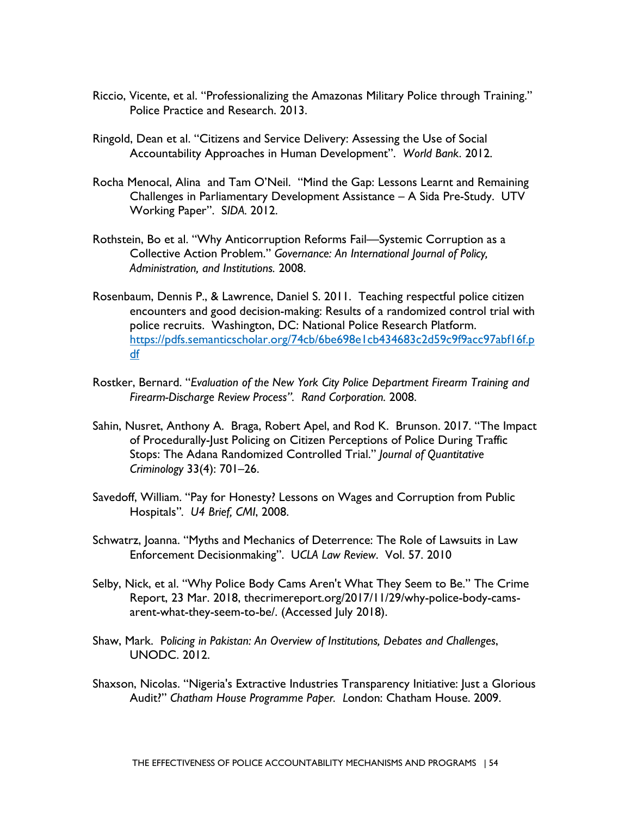- Riccio, Vicente, et al. "Professionalizing the Amazonas Military Police through Training." Police Practice and Research. 2013.
- Ringold, Dean et al. "Citizens and Service Delivery: Assessing the Use of Social Accountability Approaches in Human Development". *World Bank*. 2012.
- Working Paper". S*IDA.* 2012. Rocha Menocal, Alina and Tam O'Neil. "Mind the Gap: Lessons Learnt and Remaining Challenges in Parliamentary Development Assistance – A Sida Pre-Study. UTV
- Rothstein, Bo et al. "Why Anticorruption Reforms Fail—Systemic Corruption as a Collective Action Problem." *Governance: An International Journal of Policy, Administration, and Institutions.* 2008.
- Rosenbaum, Dennis P., & Lawrence, Daniel S. 2011. Teaching respectful police citizen encounters and good decision-making: Results of a randomized control trial with police recruits. Washington, DC: National Police Research Platform. [https://pdfs.semanticscholar.org/74cb/6be698e1cb434683c2d59c9f9acc97abf16f.p](about:blank)  [df](about:blank)
- *Firearm-Discharge Review Process". Rand Corporation.* 2008. Rostker, Bernard. "*Evaluation of the New York City Police Department Firearm Training and*
- Sahin, Nusret, Anthony A. Braga, Robert Apel, and Rod K. Brunson. 2017. "The Impact of Procedurally-Just Policing on Citizen Perceptions of Police During Traffic Stops: The Adana Randomized Controlled Trial." *Journal of Quantitative Criminology* 33(4): 701–26.
- Savedoff, William. "Pay for Honesty? Lessons on Wages and Corruption from Public Hospitals"*. U4 Brief, CMI*, 2008.
- Schwatrz, Joanna. "Myths and Mechanics of Deterrence: The Role of Lawsuits in Law Enforcement Decisionmaking". U*CLA Law Review*. Vol. 57. 2010
- Selby, Nick, et al. "Why Police Body Cams Aren't What They Seem to Be." The Crime Report, 23 Mar. 2018, thecrimereport.org/2017/11/29/why-police-body-camsarent-what-they-seem-to-be/. (Accessed July 2018).
- Shaw, Mark. P*olicing in Pakistan: An Overview of Institutions, Debates and Challenges*, UNODC. 2012.
- Shaxson, Nicolas. "Nigeria's Extractive Industries Transparency Initiative: Just a Glorious Audit?" *Chatham House Programme Paper. L*ondon: Chatham House. 2009.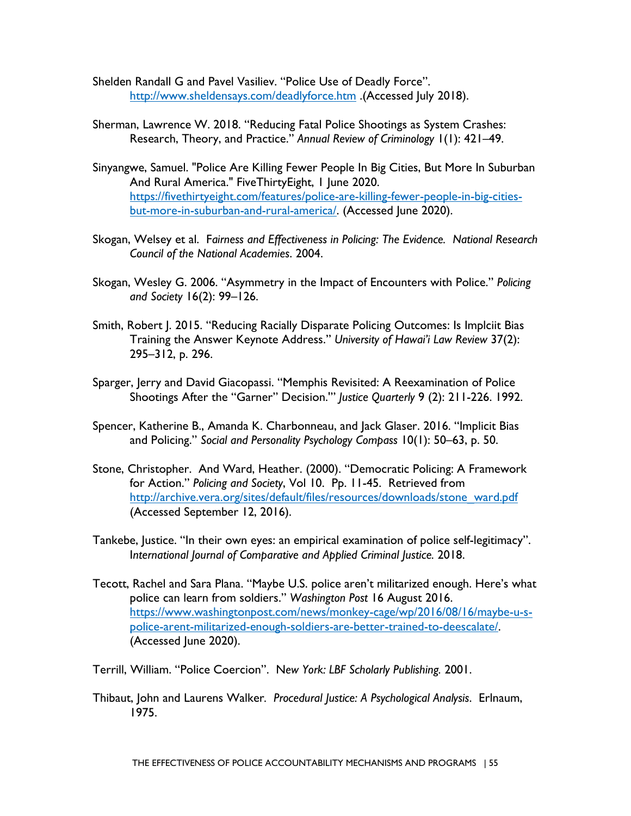- Shelden Randall G and Pavel Vasiliev. "Police Use of Deadly Force". [http://www.sheldensays.com/deadlyforce.htm](about:blank) .(Accessed July 2018).
- Sherman, Lawrence W. 2018. "Reducing Fatal Police Shootings as System Crashes: Research, Theory, and Practice." *Annual Review of Criminology* 1(1): 421–49.
- Sinyangwe, Samuel. "Police Are Killing Fewer People In Big Cities, But More In Suburban And Rural America." FiveThirtyEight, 1 June 2020. [https://fivethirtyeight.com/features/police-are-killing-fewer-people-in-big-cities](https://fivethirtyeight.com/features/police-are-killing-fewer-people-in-big-cities-but-more-in-suburban-and-rural-america/)[but-more-in-suburban-and-rural-america/.](https://fivethirtyeight.com/features/police-are-killing-fewer-people-in-big-cities-but-more-in-suburban-and-rural-america/) (Accessed June 2020).
- Skogan, Welsey et al. F*airness and Effectiveness in Policing: The Evidence. National Research Council of the National Academies*. 2004.
- Skogan, Wesley G. 2006. "Asymmetry in the Impact of Encounters with Police." *Policing and Society* 16(2): 99–126.
- Smith, Robert J. 2015. "Reducing Racially Disparate Policing Outcomes: Is Implciit Bias Training the Answer Keynote Address." *University of Hawai'i Law Review* 37(2): 295–312, p. 296.
- Sparger, Jerry and David Giacopassi. "Memphis Revisited: A Reexamination of Police Shootings After the "Garner" Decision.'" *Justice Quarterly* 9 (2): 211-226. 1992.
- Spencer, Katherine B., Amanda K. Charbonneau, and Jack Glaser. 2016. "Implicit Bias and Policing." *Social and Personality Psychology Compass* 10(1): 50–63, p. 50.
- Stone, Christopher. And Ward, Heather. (2000). "Democratic Policing: A Framework for Action." *Policing and Society*, Vol 10. Pp. 11-45. Retrieved from http://archive.vera.org/sites/default/files/resources/downloads/stone\_ward.pdf (Accessed September 12, 2016).
- Tankebe, Justice. "In their own eyes: an empirical examination of police self-legitimacy". I*nternational Journal of Comparative and Applied Criminal Justice.* 2018.
- Tecott, Rachel and Sara Plana. "Maybe U.S. police aren't militarized enough. Here's what police can learn from soldiers." *Washington Post* 16 August 2016. [https://www.washingtonpost.com/news/monkey-cage/wp/2016/08/16/maybe-u-s](https://www.washingtonpost.com/news/monkey-cage/wp/2016/08/16/maybe-u-s-police-arent-militarized-enough-soldiers-are-better-trained-to-deescalate/)[police-arent-militarized-enough-soldiers-are-better-trained-to-deescalate/.](https://www.washingtonpost.com/news/monkey-cage/wp/2016/08/16/maybe-u-s-police-arent-militarized-enough-soldiers-are-better-trained-to-deescalate/) (Accessed June 2020).

Terrill, William. "Police Coercion". N*ew York: LBF Scholarly Publishing.* 2001.

Thibaut, John and Laurens Walker*. Procedural Justice: A Psychological Analysis*. Erlnaum, 1975.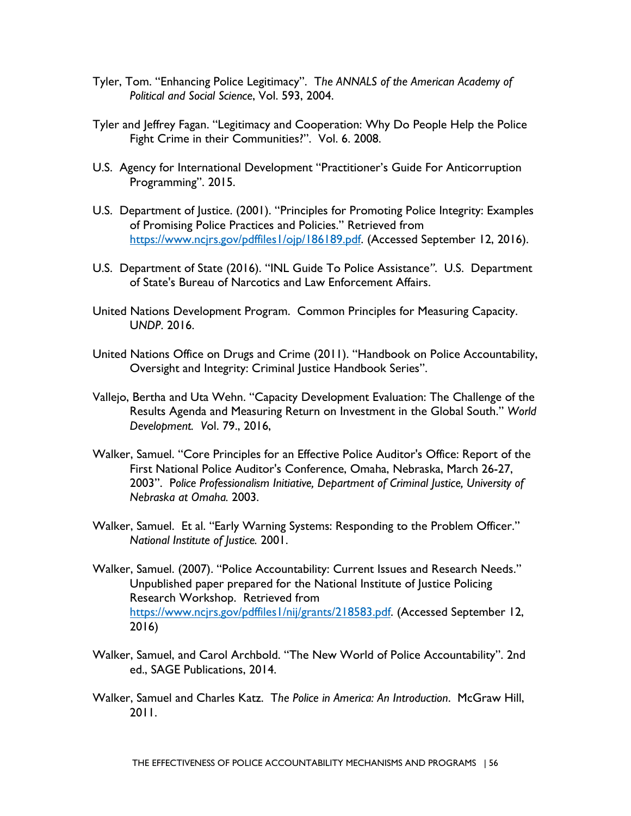- Tyler, Tom. "Enhancing Police Legitimacy". T*he ANNALS of the American Academy of Political and Social Science*, Vol. 593, 2004.
- Tyler and Jeffrey Fagan. "Legitimacy and Cooperation: Why Do People Help the Police Fight Crime in their Communities?". Vol. 6. 2008.
- U.S. Agency for International Development "Practitioner's Guide For Anticorruption Programming". 2015.
- U.S. Department of Justice. (2001). "Principles for Promoting Police Integrity: Examples of Promising Police Practices and Policies." Retrieved from [https://www.ncjrs.gov/pdffiles1/ojp/186189.pdf.](about:blank) (Accessed September 12, 2016).
- U.S. Department of State (2016). "INL Guide To Police Assistance*"*. U.S. Department of State's Bureau of Narcotics and Law Enforcement Affairs.
- United Nations Development Program. Common Principles for Measuring Capacity. U*NDP*. 2016.
- United Nations Office on Drugs and Crime (2011). "Handbook on Police Accountability, Oversight and Integrity: Criminal Justice Handbook Series".
- Vallejo, Bertha and Uta Wehn. "Capacity Development Evaluation: The Challenge of the Results Agenda and Measuring Return on Investment in the Global South." *World Development. V*ol. 79., 2016,
- *Nebraska at Omaha.* 2003. Walker, Samuel. "Core Principles for an Effective Police Auditor's Office: Report of the First National Police Auditor's Conference, Omaha, Nebraska, March 26-27, 2003". P*olice Professionalism Initiative, Department of Criminal Justice, University of*
- Walker, Samuel. Et al. "Early Warning Systems: Responding to the Problem Officer." *National Institute of Justice.* 2001.
- Walker, Samuel. (2007). "Police Accountability: Current Issues and Research Needs." Unpublished paper prepared for the National Institute of Justice Policing Research Workshop. Retrieved from [https://www.ncjrs.gov/pdffiles1/nij/grants/218583.pdf.](about:blank) (Accessed September 12, 2016)
- Walker, Samuel, and Carol Archbold. "The New World of Police Accountability". 2nd ed., SAGE Publications, 2014.
- Walker, Samuel and Charles Katz. T*he Police in America: An Introduction*. McGraw Hill, 2011.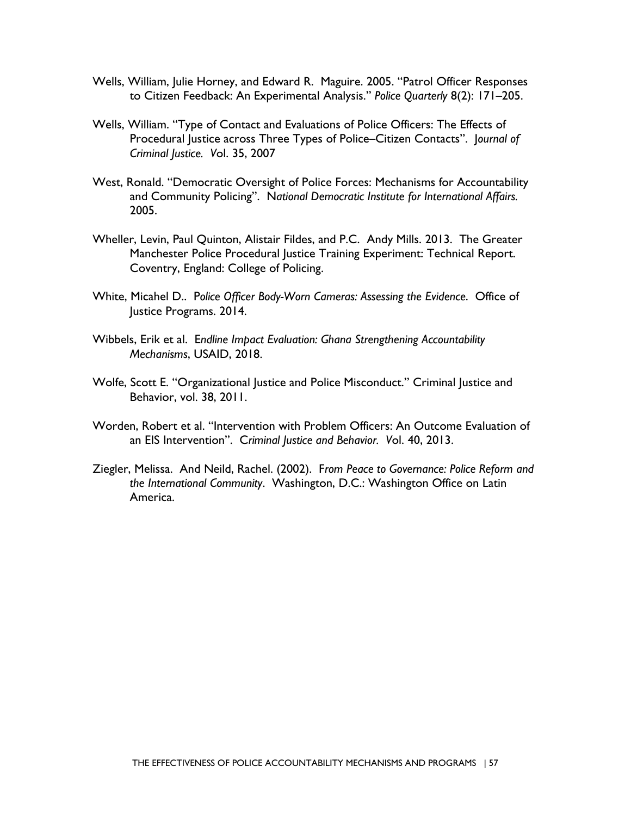- Wells, William, Julie Horney, and Edward R. Maguire. 2005. "Patrol Officer Responses to Citizen Feedback: An Experimental Analysis." *Police Quarterly* 8(2): 171–205.
- Wells, William. "Type of Contact and Evaluations of Police Officers: The Effects of Procedural Justice across Three Types of Police–Citizen Contacts". J*ournal of Criminal Justice. V*ol. 35, 2007
- West, Ronald. "Democratic Oversight of Police Forces: Mechanisms for Accountability and Community Policing". N*ational Democratic Institute for International Affairs.*  2005.
- Wheller, Levin, Paul Quinton, Alistair Fildes, and P.C. Andy Mills. 2013. The Greater Manchester Police Procedural Justice Training Experiment: Technical Report. Coventry, England: College of Policing.
- White, Micahel D.. P*olice Officer Body-Worn Cameras: Assessing the Evidence*. Office of Justice Programs. 2014.
- Wibbels, Erik et al. E*ndline Impact Evaluation: Ghana Strengthening Accountability Mechanisms*, USAID, 2018.
- Wolfe, Scott E. "Organizational Justice and Police Misconduct." Criminal Justice and Behavior, vol. 38, 2011.
- Worden, Robert et al. "Intervention with Problem Officers: An Outcome Evaluation of an EIS Intervention". C*riminal Justice and Behavior. V*ol. 40, 2013.
- Ziegler, Melissa. And Neild, Rachel. (2002). F*rom Peace to Governance: Police Reform and the International Community*. Washington, D.C.: Washington Office on Latin America.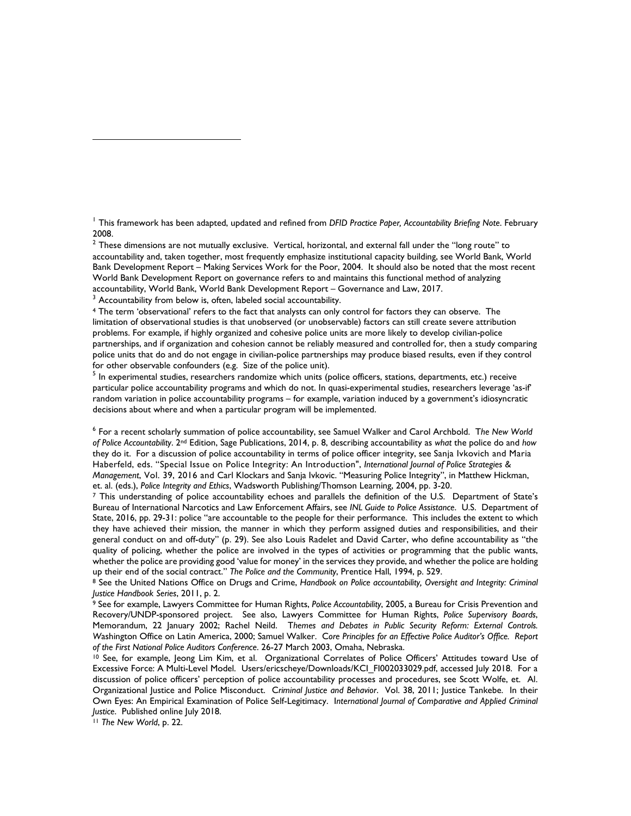1 This framework has been adapted, updated and refined from *DFID Practice Paper, Accountability Briefing Note*. February 2008.

 $2$  These dimensions are not mutually exclusive. Vertical, horizontal, and external fall under the "long route" to accountability and, taken together, most frequently emphasize institutional capacity building, see World Bank, World Bank Development Report – Making Services Work for the Poor, 2004. It should also be noted that the most recent World Bank Development Report on governance refers to and maintains this functional method of analyzing accountability, World Bank, World Bank Development Report – Governance and Law, 2017.

<sup>3</sup> Accountability from below is, often, labeled social accountability.

 police units that do and do not engage in civilian-police partnerships may produce biased results, even if they control <sup>4</sup> The term 'observational' refers to the fact that analysts can only control for factors they can observe. The limitation of observational studies is that unobserved (or unobservable) factors can still create severe attribution problems. For example, if highly organized and cohesive police units are more likely to develop civilian-police partnerships, and if organization and cohesion cannot be reliably measured and controlled for, then a study comparing for other observable confounders (e.g. Size of the police unit).

 decisions about where and when a particular program will be implemented. <sup>5</sup> In experimental studies, researchers randomize which units (police officers, stations, departments, etc.) receive particular police accountability programs and which do not. In quasi-experimental studies, researchers leverage 'as-if' random variation in police accountability programs – for example, variation induced by a government's idiosyncratic

 *of Police Accountability*. 2nd Edition, Sage Publications, 2014, p. 8, describing accountability as *what* the police do and *how*  Haberfeld, eds. "Special Issue on Police Integrity: An Introduction", *International Journal of Police Strategies &*  6 For a recent scholarly summation of police accountability, see Samuel Walker and Carol Archbold. T*he New World*  they do it. For a discussion of police accountability in terms of police officer integrity, see Sanja Ivkovich and Maria *Management*, Vol. 39, 2016 and Carl Klockars and Sanja Ivkovic. "Measuring Police Integrity", in Matthew Hickman, et. al. (eds.), *Police Integrity and Ethics*, Wadsworth Publishing/Thomson Learning, 2004, pp. 3-20.<br><sup>7</sup> This understanding of police accountability echoes and parallels the definition of the U.S. Department of State's

 general conduct on and off-duty" (p. 29). See also Louis Radelet and David Carter, who define accountability as "the quality of policing, whether the police are involved in the types of activities or programming that the public wants, Bureau of International Narcotics and Law Enforcement Affairs, see *INL Guide to Police Assistance*. U.S. Department of State, 2016, pp. 29-31: police "are accountable to the people for their performance. This includes the extent to which they have achieved their mission, the manner in which they perform assigned duties and responsibilities, and their whether the police are providing good 'value for money' in the services they provide, and whether the police are holding<br>up their end of the social contract." The Police and the Community, Prentice Hall, 1994, p. 529.

Justice Handbook Series, 2011, p. 2.<br><sup>9</sup> See for example, Lawyers Committee for Human Rights, *Police Accountability*, 2005, a Bureau for Crisis Prevention and <sup>8</sup> See the United Nations Office on Drugs and Crime, Handbook on Police accountability, Oversight and Integrity: Criminal Justice Handbook Series, 2011, p. 2.

Memorandum, 22 January 2002; Rachel Neild. Themes and Debates in Public Security Reform: External Controls.<br>Washington Office on Latin America, 2000;Samuel Walker. Core Principles for an Effective Police Auditor's Office. Recovery/UNDP-sponsored project. See also, Lawyers Committee for Human Rights, *Police Supervisory Boards*, of the First National Police Auditors Conference. 26-27 March 2003, Omaha, Nebraska.<br><sup>10</sup> See, for example, Jeong Lim Kim, et al. Organizational Correlates of Police Officers' Attitudes toward Use of

 Excessive Force: A Multi-Level Model. Users/ericscheye/Downloads/KCI\_FI002033029.pdf, accessed July 2018. For a discussion of police officers' perception of police accountability processes and procedures, see Scott Wolfe, et. Al. discussion of police officers' perception of police accountability processes and procedures, see Scott Wolfe, et. Al.<br>Organizational Justice and Police Misconduct. Cr*iminal Justice and Behavior*. Vol. 38, 2011; Justice Own Eyes: An Empirical Examination of Police Self-Legitimacy. I*nternational Journal of Comparative and Applied Criminal Justice*. Published online July 2018. 11 *The New World*, p. 22.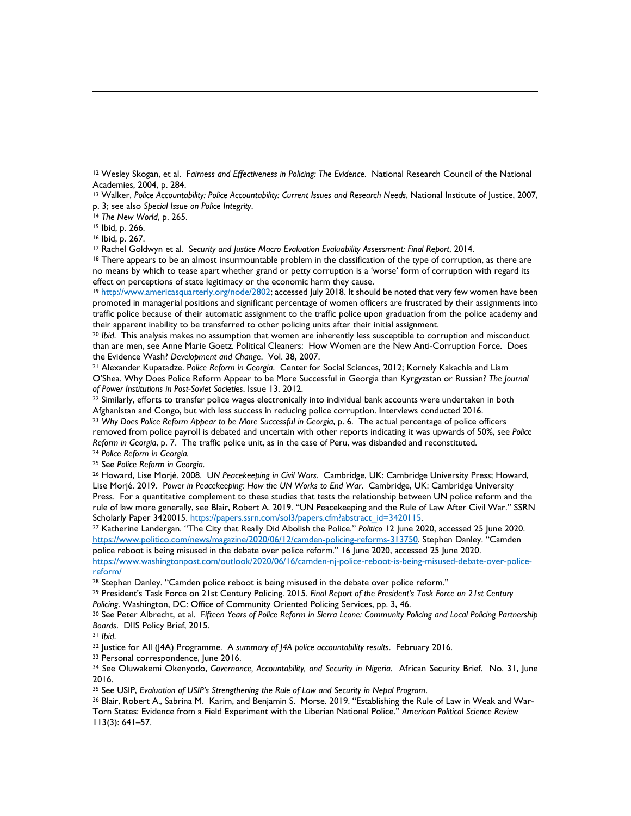12 Wesley Skogan, et al. F*airness and Effectiveness in Policing: The Evidence*. National Research Council of the National Academies, 2004, p. 284.<br><sup>13</sup> Walker, *Police Accountability: Police Accountability: Current Issues and Research Needs, National Institute of Justice, 2007,* 

13; see also Special Issue on Police Integrity.<br>
<sup>14</sup> The New World, p. 265.<br>
<sup>15</sup> Ibid, p. 266.<br>
<sup>15</sup> Ibid, p. 267.<br>
<sup>17</sup> Rachel Goldwyn et al. Security and Justice Macro Evaluation Evaluability Assessment: Final Report,

<sup>15</sup> Ibid, p. 266.

<sup>16</sup> Ibid, p. 267.

no means by which to tease apart whether grand or petty corruption is a 'worse' form of corruption with regard its effect on perceptions of state legitimacy or the economic harm they cause.

<sup>19</sup> [http://www.americasquarterly.org/node/2802;](about:blank) accessed July 2018. It should be noted that very few women have been traffic police because of their automatic assignment to the traffic police upon graduation from the police academy and promoted in managerial positions and significant percentage of women officers are frustrated by their assignments into their apparent inability to be transferred to other policing units after their initial assignment.

<sup>20</sup>*Ibid*. This analysis makes no assumption that women are inherently less susceptible to corruption and misconduct than are men, see Anne Marie Goetz. Political Cleaners: How Women are the New Anti-Corruption Force. Does the Evidence Wash? Development and Change. Vol. 38, 2007.<br><sup>21</sup> Alexander Kupatadze. Police Reform in Georgia. Center for Social Sciences, 2012; Kornely Kakachia and Liam

O'Shea. Why Does Police Reform Appear to be More Successful in Georgia than Kyrgyzstan or Russian? *The Journal* 

<sup>22</sup> Similarly, efforts to transfer police wages electronically into individual bank accounts were undertaken in both Afghanistan and Congo, but with less success in reducing police corruption. Interviews conducted 2016. <sup>23</sup>*Why Does Police Reform Appear to be More Successful in Georgia*, p. 6. The actual percentage of police officers removed from police payroll is debated and uncertain with other reports indicating it was upwards of 50%, see *Police Reform in Georgia*, p. 7. The traffic police unit, as in the case of Peru, was disbanded and reconstituted. 24 *Police Reform in Georgia.* 

<sup>25</sup> See Police Reform in Georgia.<br><sup>26</sup> Howard, Lise Morjé. 2008. UN Peacekeeping in Civil Wars. Cambridge, UK: Cambridge University Press; Howard, Lise Morjé. 2019. P*ower in Peacekeeping: How the UN Works to End War*. Cambridge, UK: Cambridge University Press. For a quantitative complement to these studies that tests the relationship between UN police reform and the rule of law more generally, see Blair, Robert A. 2019. "UN Peacekeeping and the Rule of Law After Civil War." SSRN<br>Scholarly Paper 3420015. <u>https://papers.ssrn.com/sol3/papers.cfm?abstract\_id=3420115</u>.

<sup>27</sup> Katherine Landergan. "The City that Really Did Abolish the Police." *Politico* 12 June 2020, accessed 25 June 2020. [https://www.politico.com/news/magazine/2020/06/12/camden-policing-reforms-313750.](https://www.politico.com/news/magazine/2020/06/12/camden-policing-reforms-313750) Stephen Danley. "Camden police reboot is being misused in the debate over police reform." 16 June 2020, accessed 25 June 2020. [https://www.washingtonpost.com/outlook/2020/06/16/camden-nj-police-reboot-is-being-misused-debate-over-police](https://www.washingtonpost.com/outlook/2020/06/16/camden-nj-police-reboot-is-being-misused-debate-over-police-reform/)[reform/](https://www.washingtonpost.com/outlook/2020/06/16/camden-nj-police-reboot-is-being-misused-debate-over-police-reform/) 

<sup>28</sup> Stephen Danley. "Camden police reboot is being misused in the debate over police reform."<br><sup>29</sup> President's Task Force on 21st Century Policing. 2015. *Final Report of the President's Task Force on 21st Century* Policing. Washington, DC: Office of Community Oriented Policing Services, pp. 3, 46.<br><sup>30</sup> See Peter Albrecht, et al. Fifteen Years of Police Reform in Sierra Leone: Community Policing and Local Policing Partnership

Boards. DIIS Policy Brief, 2015.<br><sup>31</sup> Ibid.<br><sup>32</sup> Justice for All (J4A) Programme. A summary of J4A police accountability results. February 2016.<br><sup>33</sup> Personal correspondence, June 2016.<br><sup>34</sup> See Oluwakemi Okenyodo, Governa

 $31$  lbid.<br> $32$  lustice for All (14A) Programme. A summary of 14A police accountability results. February 2016.

2016.

35 See USIP, Evaluation of USIP's Strengthening the Rule of Law and Security in Nepal Program.

 Torn States: Evidence from a Field Experiment with the Liberian National Police." *American Political Science Review*  <sup>36</sup> Blair, Robert A., Sabrina M. Karim, and Benjamin S. Morse. 2019. "Establishing the Rule of Law in Weak and War-113(3): 641–57.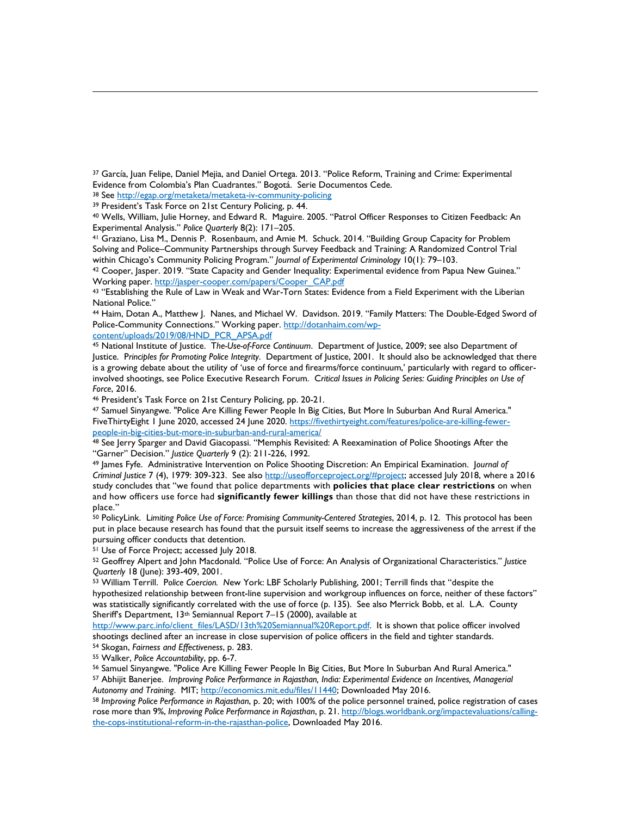37 García, Juan Felipe, Daniel Mejia, and Daniel Ortega. 2013. "Police Reform, Training and Crime: Experimental Evide[nce from Colombia's Plan Cuadrantes." Bogotá. Serie Doc](about:blank)umentos Cede.<br><sup>38</sup> See <u>http://egap.org/metaketa/metaketa-iv-community-policing</u><br><sup>39</sup> President's Task Force on 21st Century Policing, p. 44.<br><sup>40</sup> Wells, William,

Experimental Analysis." *Police Quarterly* 8(2): 171–205.<br><sup>41</sup> Graziano, Lisa M., Dennis P. Rosenbaum, and Amie M. Schuck. 2014. "Building Group Capacity for Problem

Solving and Police–Community Partnerships through Survey Feedback and Training: A Randomized Control Trial<br>within Chicago's Community Policing Program." *Journal of Experimental Criminology* 10(1): 79–103.

<sup>42</sup> Cooper, Jasper. 2019. "State Capacity and Gender Inequality: Experimental evidence from Papua New Guinea."<br>Working paper. http://jasper-cooper.com/papers/Cooper CAP.pdf

<sup>43</sup> "Establishing the Rule of Law in Weak and War-Torn States: Evidence from a Field Experiment with the Liberian National Police."

44 Haim, Dotan A., Matthew J. Nanes, and Michael W. Davidson. 2019. "Family Matters: The Double-Edged Sword of Police-Community Connections." Working paper. [http://dotanhaim.com/wp-](about:blank)

[content/uploads/2019/08/HND\\_PCR\\_APSA.pdf](about:blank) 

 involved shootings, see Police Executive Research Forum. C*ritical Issues in Policing Series: Guiding Principles on Use of*  45 National Institute of Justice. T*he-Use-of-Force Continuum*. Department of Justice, 2009; see also Department of Justice. P*rinciples for Promoting Police Integrity*. Department of Justice, 2001. It should also be acknowledged that there is a growing debate about the utility of 'use of force and firearms/force continuum,' particularly with regard to officer-*Force,* 2016.<br><sup>46</sup> President's Task Force on 21st Century Policing, pp. 20-21.<br><sup>47</sup> Samuel Sinyangwe. "Police Are Killing Fewer People In Big Cities, But More In Suburban And Rural America."

FiveThirtyEight 1 June 2020, accessed 24 June 2020. <u>https://fivethirtyeight.com/features/police-are-killing-fewer-</u><br>people-in-big-cities-but-more-in-suburban-and-rural-america/

<sup>48</sup> See Jerry Sparger and David Giacopassi. "Memphis Revisited: A Reexamination of Police Shootings After the<br>"Garner" Decision." *Justice Quarterly* 9 (2): 211-226, 1992.

 study concludes that "we found that police departments with **policies that place clear restrictions** on when and how officers use force had **significantly fewer killings** than those that did not have these restrictions in <sup>49</sup> James Fyfe. Administrative Intervention on Police Shooting Discretion: An Empirical Examination. Journal of *Criminal Justice* 7 (4), 1979: 309-323. See also [http://useofforceproject.org/#project;](about:blank#project) accessed July 2018, where a 2016 place."

 50 PolicyLink. L*imiting Police Use of Force: Promising Community-Centered Strategies*, 2014, p. 12. This protocol has been put in place because research has found that the pursuit itself seems to increase the aggressiveness of the arrest if the pursuing officer conducts that detention.<br><sup>51</sup> Use of Force Project; accessed July 2018.<br><sup>52</sup> Geoffrey Alpert and John Macdonald. "Police Use of Force: An Analysis of Organizational Characteristics." *Justice* 

Quarterly 18 (June): 393-409, 2001.

 hypothesized relationship between front-line supervision and workgroup influences on force, neither of these factors" <sup>53</sup> William Terrill. Police Coercion. New York: LBF Scholarly Publishing, 2001; Terrill finds that "despite the was statistically significantly correlated with the use of force (p. 135). See also Merrick Bobb, et al. L.A. County Sheriff's Department, 13th Semiannual Report 7–15 (2000), available at

 [http://www.parc.info/client\\_files/LASD/13th%20Semiannual%20Report.pdf.](about:blank) It is shown that police officer involved shootings declined after an increase in close supervision of police officers in the field and tighter standards.

<sup>54</sup> Skogan, *Fairness and Effectiveness*, p. 283.<br><sup>55</sup> Walker, *Police Accountability*, pp. 6-7.<br><sup>56</sup> Samuel Sinyangwe. "Police Are Killing Fewer People In Big Cities, But More In Suburban And Rural America."<br><sup>57</sup> Abhijit

Autonomy and Training. MIT; <u>http://economics.mit.edu/files/11440</u>; Downloaded May 2016.<br><sup>58</sup> Improving Police Performance in Rajasthan, p. 20; with 100% of the police personnel trained, police registration of cases rose more than 9%, *Improving Police Performance in Rajasthan*, p. 21[. http://blogs.worldbank.org/impactevaluations/calling](about:blank)[the-cops-institutional-reform-in-the-rajasthan-police,](about:blank) Downloaded May 2016.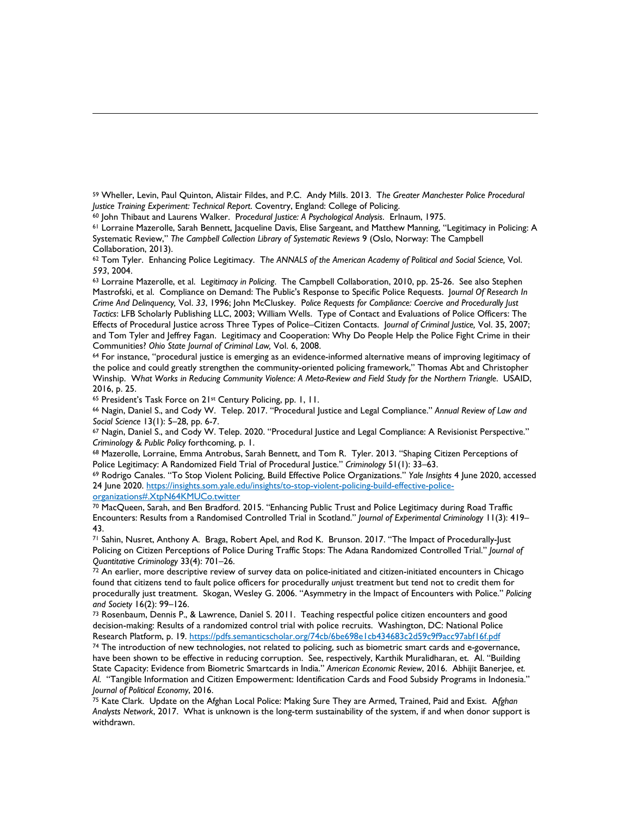59 Wheller, Levin, Paul Quinton, Alistair Fildes, and P.C. Andy Mills. 2013. T*he Greater Manchester Police Procedural*  Justice Training Experiment: Technical Report. Coventry, England: College of Policing.<br><sup>60</sup> John Thibaut and Laurens Walker. Procedural Justice: A Psychological Analysis. Erlnaum, 1975.<br><sup>61</sup> Lorraine Mazerolle, Sarah Benne

 Systematic Review," *The Campbell Collection Library of Systematic Reviews* 9 (Oslo, Norway: The Campbell Collaboration, 2013).

62 Tom Tyler. Enhancing Police Legitimacy. T*he ANNALS of the American Academy of Political and Social Science,* Vol.

*<sup>593</sup>*, 2004. 63 Lorraine Mazerolle, et al. L*egitimacy in Policing*. The Campbell Collaboration, 2010, pp. 25-26. See also Stephen Mastrofski, et al. Compliance on Demand: The Public's Response to Specific Police Requests. J*ournal Of Research In Crime And Delinquency,* Vol. *33*, 1996; John McCluskey. P*olice Requests for Compliance: Coercive and Procedurally Just Tactics*: LFB Scholarly Publishing LLC, 2003; William Wells. Type of Contact and Evaluations of Police Officers: The Effects of Procedural Justice across Three Types of Police–Citizen Contacts. J*ournal of Criminal Justice,* Vol. 35, 2007; and Tom Tyler and Jeffrey Fagan. Legitimacy and Cooperation: Why Do People Help the Police Fight Crime in their Communities? Ohio State Journal of Criminal Law, Vol. 6, 2008.<br><sup>64</sup> For instance, "procedural justice is emerging as an evidence-informed alternative means of improving legitimacy of

 the police and could greatly strengthen the community-oriented policing framework," Thomas Abt and Christopher Winship. W*hat Works in Reducing Community Violence: A Meta-Review and Field Study for the Northern Triangle*. USAID, 2016, p. 25.

<sup>65</sup> President's Task Force on 21<sup>st</sup> Century Policing, pp. 1, 11.<br><sup>66</sup> Nagin, Daniel S., and Cody W. Telep. 2017. "Procedural Justice and Legal Compliance." *Annual Review of Law and Social Science* 13(1): 5–28, pp. 6-7.<br><sup>67</sup> Nagin, Daniel S., and Cody W. Telep. 2020. "Procedural Justice and Legal Compliance: A Revisionist Perspective."

*Criminology & Public Policy* forthcoming, p. 1.<br><sup>68</sup> Mazerolle, Lorraine, Emma Antrobus, Sarah Bennett, and Tom R. Tyler. 2013. "Shaping Citizen Perceptions of

Police Legitimacy: A Randomized Field Trial of Procedural Justice." Criminology 51(1): 33–63.<br><sup>69</sup> Rodrigo Canales. "To Stop Violent Policing, Build Effective Police Organizations." Y*ale Insights* 4 June 2020, accessed 24 June 2020. [https://insights.som.yale.edu/insights/to-stop-violent-policing-build-effective-police](https://insights.som.yale.edu/insights/to-stop-violent-policing-build-effective-police-organizations#.XtpN64KMUCo.twitter)[organizations#.XtpN64KMUCo.twitter](https://insights.som.yale.edu/insights/to-stop-violent-policing-build-effective-police-organizations#.XtpN64KMUCo.twitter) 

70 MacQueen, Sarah, and Ben Bradford. 2015. "Enhancing Public Trust and Police Legitimacy during Road Traffic Encounters: Results from a Randomised Controlled Trial in Scotland." *Journal of Experimental Criminology* 11(3): 419– 43.

71 Sahin, Nusret, Anthony A. Braga, Robert Apel, and Rod K. Brunson. 2017. "The Impact of Procedurally-Just Policing on Citizen Perceptions of Police During Traffic Stops: The Adana Randomized Controlled Trial." *Journal of* 

<sup>72</sup> An earlier, more descriptive review of survey data on police-initiated and citizen-initiated encounters in Chicago found that citizens tend to fault police officers for procedurally *un*just treatment but tend not to credit them for procedurally just treatment. Skogan, Wesley G. 2006. "Asymmetry in the Impact of Encounters with Police." *Policing*  and Society 16(2): 99–126.<br><sup>73</sup> Rosenbaum, Dennis P., & Lawrence, Daniel S. 2011. Teaching respectful police citizen encounters and good

decision-making: Results of a randomized control trial with police recruits. Washington, DC: National Police

Research Platform, p. 19. <u>https://pdfs.semanticscholar.org/74cb/6be698e1cb434683c2d59c9f9acc97abf16f.pdf</u><br><sup>74</sup> The introduction of new technologies, not related to policing, such as biometric smart cards and e-governance, have been shown to be effective in reducing corruption. See, respectively, Karthik Muralidharan, et. Al. "Building State Capacity: Evidence from Biometric Smartcards in India." *American Economic Review*, 2016. Abhijit Banerjee, *et. Al*. "Tangible Information and Citizen Empowerment: Identification Cards and Food Subsidy Programs in Indonesia."

<sup>75</sup> Kate Clark. Update on the Afghan Local Police: Making Sure They are Armed, Trained, Paid and Exist. Afghan *Analysts Network*, 2017. What is unknown is the long-term sustainability of the system, if and when donor support is withdrawn.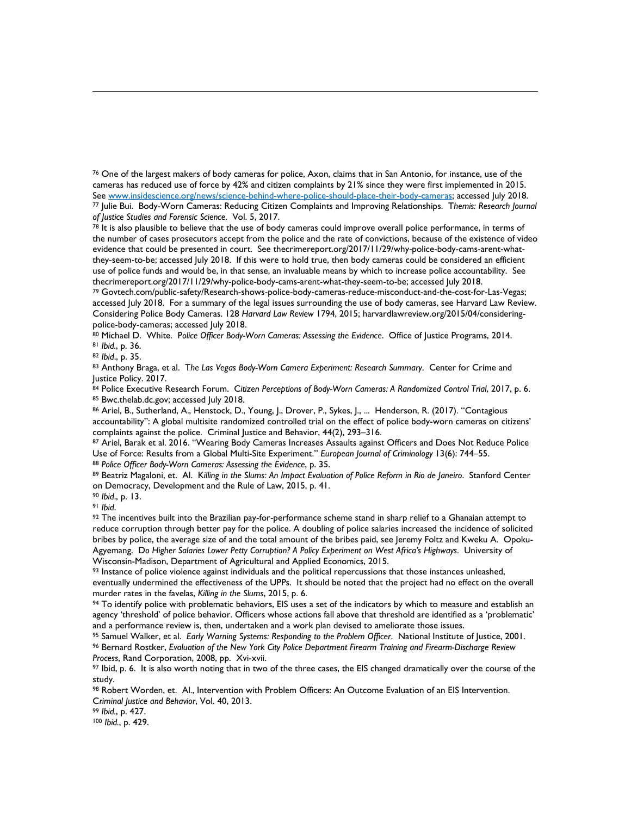cameras has reduced use of force by 42% and citizen complaints by 21% since they were first implemented in 2015. 76 One of the largest makers of body cameras for police, Axon, claims that in San Antonio, for instance, use of the See <u>www.insidescience.org/news/science-behind-where-police-should-place-their-body-cameras; accessed July 2018.<br><sup>77</sup> Julie Bui. Body-Worn Cameras: Reducing Citizen Complaints and Improving Relationships. T*hemis: Research</u> of Justice Studies and Forensic Science*. Vol. 5, 2017.<br><sup>78</sup> It is also plausible to believe that the use of body cameras could improve overall police performance, in terms of

 the number of cases prosecutors accept from the police and the rate of convictions, because of the existence of video they-seem-to-be; accessed July 2018. If this were to hold true, then body cameras could be considered an efficient evidence that could be presented in court. See thecrimereport.org/2017/11/29/why-police-body-cams-arent-whatuse of police funds and would be, in that sense, an invaluable means by which to increase police accountability. See<br>thecrimereport.org/2017/11/29/why-police-body-cams-arent-what-they-seem-to-be; accessed July 2018.

accessed July 2018. For a summary of the legal issues surrounding the use of body cameras, see Harvard Law Review. police-body-cameras; accessed July 2018. <sup>79</sup> Govtech.com/public-safety/Research-shows-police-body-cameras-reduce-misconduct-and-the-cost-for-Las-Vegas; Considering Police Body Cameras. 128 Harvard Law Review 1794, 2015; harvardlawreview.org/2015/04/considering-

80 Michael D. White. Police Officer Body-Worn Cameras: Assessing the Evidence. Office of Justice Programs, 2014.

81 Ibid., p. 36.

<sup>82</sup> Ibid., p. 35.<br><sup>83</sup> Anthony Braga, et al. The Las Vegas Body-Worn Camera Experiment: Research Summary. Center for Crime and Justice Policy. 2017.

84 Police Executive Research Forum. Citizen Perceptions of Body-Worn Cameras: A Randomized Control Trial, 2017, p. 6. <sup>85</sup> Bwc.thelab.dc.gov; accessed July 2018.<br><sup>86</sup> Ariel, B., Sutherland, A., Henstock, D., Young, J., Drover, P., Sykes, J., ... Henderson, R. (2017). "Contagious

accountability": A global multisite randomized controlled trial on the effect of police body-worn cameras on citizens' complaints against the police. Criminal Justice and Behavior, 44(2), 293–316.<br><sup>87</sup> Ariel, Barak et al. 2016. "Wearing Body Cameras Increases Assaults against Officers and Does Not Reduce Police

88 Police Officer Body-Worn Cameras: Assessing the Evidence, p. 35. Use of Force: Results from a Global Multi-Site Experiment." European Journal of Criminology 13(6): 744–55.<br><sup>88</sup> Police Officer Body-Worn Cameras: Assessing the Evidence, p. 35.<br><sup>89</sup> Beatriz Magaloni, et. Al. Killing in t

on Democracy, Development and the Rule of Law, 2015, p. 41.

90 Ibid., p. 13.

91 Ibid.

 reduce corruption through better pay for the police. A doubling of police salaries increased the incidence of solicited bribes by police, the average size of and the total amount of the bribes paid, see Jeremy Foltz and Kweku A. Opoku-<sup>92</sup> The incentives built into the Brazilian pay-for-performance scheme stand in sharp relief to a Ghanaian attempt to Agyemang. D*o Higher Salaries Lower Petty Corruption? A Policy Experiment on West Africa's Highways*. University of Wisconsin-Madison, Department of Agricultural and Applied Economics, 2015.<br><sup>93</sup> Instance of police violence against individuals and the political repercussions that those instances unleashed,

 eventually undermined the effectiveness of the UPPs. It should be noted that the project had no effect on the overall murder rates in the favelas, Killing in the Slums, 2015, p. 6.

<sup>94</sup> To identify police with problematic behaviors, EIS uses a set of the indicators by which to measure and establish an agency 'threshold' of police behavior. Officers whose actions fall above that threshold are identified as a 'problematic'

and a performance review is, then, undertaken and a work plan devised to ameliorate those issues.<br><sup>95</sup> Samuel Walker, et al. *Early Warning Systems: Responding to the Problem Officer*. National Institute of Justice, 2001.<br> *Process*, Rand Corporation, 2008, pp. Xvi-xvii.<br><sup>97</sup> Ibid, p. 6. It is also worth noting that in two of the three cases, the EIS changed dramatically over the course of the

study.

<sup>98</sup> Robert Worden, et. Al., Intervention with Problem Officers: An Outcome Evaluation of an EIS Intervention.<br>*Criminal Justice and Behavior*, Vol. 40, 2013. *Populane and Different Analysis Popula, p. 427.* 100 *Ibid.*,

99 Ibid., p. 427.

100 Ibid., p. 429.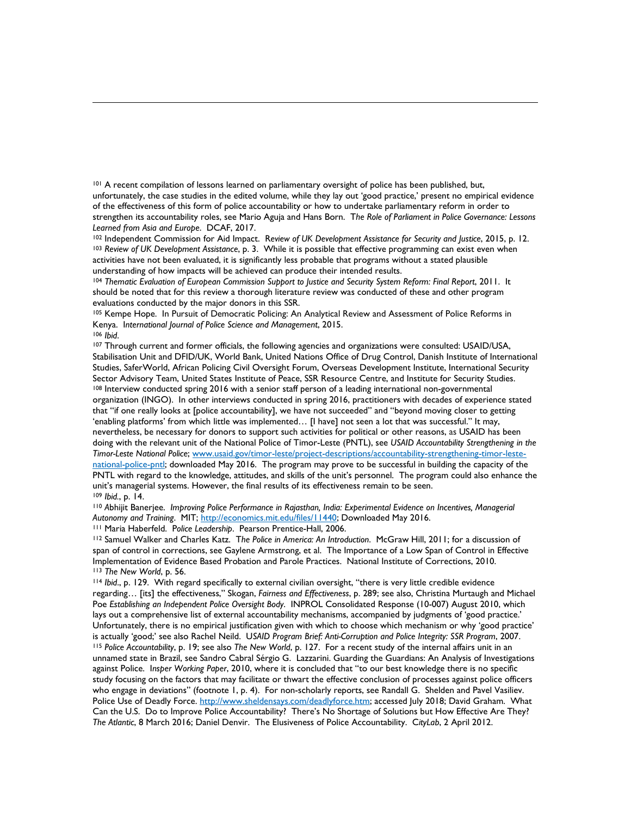101 A recent compilation of lessons learned on parliamentary oversight of police has been published, but, unfortunately, the case studies in the edited volume, while they lay out 'good practice,' present no empirical evidence of the effectiveness of this form of police accountability or how to undertake parliamentary reform in order to strengthen its accountability roles, see Mario Aguja and Hans Born. T*he Role of Parliament in Police Governance: Lessons* 

 activities have not been evaluated, it is significantly less probable that programs without a stated plausible Learned from Asia and Europe. DCAF, 2017.<br><sup>102</sup> Independent Commission for Aid Impact. Review of UK Development Assistance for Security and Justice, 2015, p. 12.<br><sup>103</sup> Review of UK Development Assistance, p. 3. While it is understanding of how impacts will be achieved can produce their intended results.

evaluations conducted by the major donors in this SSR. <sup>104</sup>*Thematic Evaluation of European Commission Support to Justice and Security System Reform: Final Report*, 2011. It should be noted that for this review a thorough literature review was conducted of these and other program

 $106$  Ibid. 105 Kempe Hope. In Pursuit of Democratic Policing: An Analytical Review and Assessment of Police Reforms in Kenya. International Journal of Police Science and Management, 2015.<br><sup>106</sup> *Ibid.*<br><sup>107</sup> Through current and former officials, the following agencies and organizations were consulted: USAID/USA,

109 Ibid., p. 14. Stabilisation Unit and DFID/UK, World Bank, United Nations Office of Drug Control, Danish Institute of International Studies, SaferWorld, African Policing Civil Oversight Forum, Overseas Development Institute, International Security<br>Sector Advisory Team, United States Institute of Peace, SSR Resource Centre, and Institute for Security St 108 Interview conducted spring 2016 with a senior staff person of a leading international non-governmental organization (INGO). In other interviews conducted in spring 2016, practitioners with decades of experience stated that "if one really looks at [police accountability], we have not succeeded" and "beyond moving closer to getting 'enabling platforms' from which little was implemented… [I have] not seen a lot that was successful." It may, nevertheless, be necessary for donors to support such activities for political or other reasons, as USAID has been doing with the relevant unit of the National Police of Timor-Leste (PNTL), see *USAID Accountability Strengthening in the Timor-Leste National Police*[; www.usaid.gov/timor-leste/project-descriptions/accountability-strengthening-timor-leste](about:blank)[national-police-pntl;](about:blank) downloaded May 2016. The program may prove to be successful in building the capacity of the PNTL with regard to the knowledge, attitudes, and skills of the unit's personnel. The program could also enhance the unit's managerial systems. However, the final results of its effectiveness remain to be seen.

<sup>109</sup> Ibid., p. 14.<br><sup>110</sup> Abhijit Banerjee. *Improving Police Performance in Rajasthan, India: Experimental Evidence on Incentives, Managerial* Autonomy and Training. MIT; <u>http://economics.mit.edu/files/11440</u>; Downloaded May 2016.<br><sup>111</sup> Maria Haberfeld. Police Leadership. Pearson Prentice-Hall, 2006.<br><sup>112</sup> Samuel Walker and Charles Katz. The Police in America: A

span of control in corrections, see Gaylene Armstrong, et al. The Importance of a Low Span of Control in Effective<br>Implementation of Evidence Based Probation and Parole Practices. National Institute of Corrections, 2010. <sup>113</sup> The New World, p. 56.<br><sup>114</sup> Ibid., p. 129. With regard specifically to external civilian oversight, "there is very little credible evidence

is actually 'good;' see also Rachel Neild. USAID Program Brief: Anti-Corruption and Police Integrity: SSR Program, 2007.<br><sup>115</sup> Police Accountability, p. 19; see also The New World, p. 127. For a recent study of the inter who engage in deviations" (footnote 1, p. 4). For non-scholarly reports, see Randall G. Shelden and Pavel Vasiliev. Police Use of Deadly Force. [http://www.sheldensays.com/deadlyforce.htm;](about:blank) accessed July 2018; David Graham. What regarding… [its] the effectiveness," Skogan, *Fairness and Effectiveness*, p. 289; see also, Christina Murtaugh and Michael Poe *Establishing an Independent Police Oversight Body*. INPROL Consolidated Response (10-007) August 2010, which lays out a comprehensive list of external accountability mechanisms, accompanied by judgments of 'good practice.' Unfortunately, there is no empirical justification given with which to choose which mechanism or why 'good practice' unnamed state in Brazil, see Sandro Cabral Sérgio G. Lazzarini. Guarding the Guardians: An Analysis of Investigations against Police. I*nsper Working Paper*, 2010, where it is concluded that "to our best knowledge there is no specific study focusing on the factors that may facilitate or thwart the effective conclusion of processes against police officers Can the U.S. Do to Improve Police Accountability? There's No Shortage of Solutions but How Effective Are They? *The Atlantic*, 8 March 2016; Daniel Denvir. The Elusiveness of Police Accountability. C*ityLab*, 2 April 2012.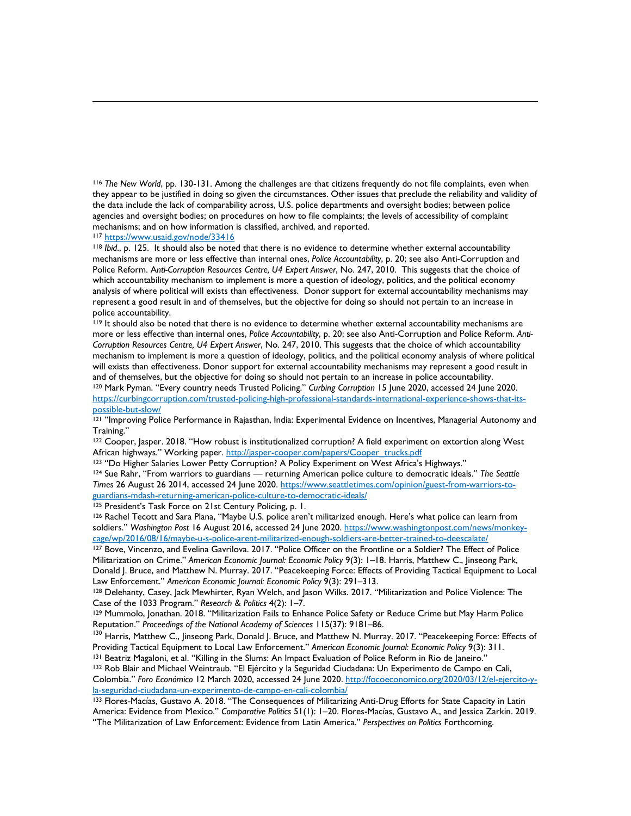<sup>116</sup>*The New World*, pp. 130-131. Among the challenges are that citizens frequently do not file complaints, even when they appear to be justified in doing so given the circumstances. Other issues that preclude the reliability and validity of the data include the lack of comparability across, U.S. police departments and oversight bodies; between police agencies and oversight bodies; on procedures on how to file complaints; the levels of accessibility of complaint mechanisms; and on how information is classified, archived, and reported.<br><sup>117</sup> https://www.usaid.gov/node/33416

 represent a good result in and of themselves, but the objective for doing so should not pertain to an increase in <sup>118</sup> Ibid., p. 125. It should also be noted that there is no evidence to determine whether external accountability mechanisms are more or less effective than internal ones, *Police Accountability*, p. 20; see also Anti-Corruption and Police Reform. A*nti-Corruption Resources Centre, U4 Expert Answer*, No. 247, 2010. This suggests that the choice of which accountability mechanism to implement is more a question of ideology, politics, and the political economy analysis of where political will exists than effectiveness. Donor support for external accountability mechanisms may police accountability.

 mechanism to implement is more a question of ideology, politics, and the political economy analysis of where political and of themselves, but the objective for doing so should not pertain to an increase in police accountability.<br><sup>120</sup> Mark Pyman. "Every country needs Trusted Policing." *Curbing Corruption* 15 June 2020, accessed 24 June 20 <sup>119</sup> It should also be noted that there is no evidence to determine whether external accountability mechanisms are more or less effective than internal ones, *Police Accountability*, p. 20; see also Anti-Corruption and Police Reform. *Anti-Corruption Resources Centre, U4 Expert Answer*, No. 247, 2010. This suggests that the choice of which accountability will exists than effectiveness. Donor support for external accountability mechanisms may represent a good result in

[https://curbingcorruption.com/trusted-policing-high-professional-standards-international-experience-shows-that-its-](https://curbingcorruption.com/trusted-policing-high-professional-standards-international-experience-shows-that-its-possible-but-slow/)

121 "Improving Police Performance in Rajasthan, India: Experimental Evidence on Incentives, Managerial Autonomy and Training."

<sup>122</sup> Cooper, Jasper. 2018. "How robust is institutionalized corruption? A field experiment on extortion along West<br>African highways." Working paper. http://jasper-cooper.com/papers/Cooper\_trucks.pdf

<sup>123</sup> "Do Higher Salaries Lower Petty Corruption? A Policy Experiment on West Africa's Highways."<br><sup>124</sup> Sue Rahr, "From warriors to guardians — returning American police culture to democratic ideals." The Seattle *Times* 26 August 26 2014, accessed 24 June 2020. [https://www.seattletimes.com/opinion/guest-from-warriors-to-](https://www.seattletimes.com/opinion/guest-from-warriors-to-guardians-mdash-returning-american-police-culture-to-democratic-ideals/)

<sup>125</sup> President's Task Force on 21st Century Policing, p. 1.<br><sup>126</sup> Rachel Tecott and Sara Plana, "Maybe U.S. police aren't militarized enough. Here's what police can learn from soldiers." *Washington Post* 16 August 2016, accessed 24 June 2020. [https://www.washingtonpost.com/news/monkey](https://www.washingtonpost.com/news/monkey-cage/wp/2016/08/16/maybe-u-s-police-arent-militarized-enough-soldiers-are-better-trained-to-deescalate/)cage/wp/2016/08/16/maybe-u-s-police-arent-militarized-enough-soldiers-are-better-trained-to-deescalate/<br><sup>127</sup> Bove, Vincenzo, and Evelina Gavrilova. 2017. "Police Officer on the Frontline or a Soldier? The Effect of Police

Militarization on Crime." *American Economic Journal: Economic Policy* 9(3): 1–18. Harris, Matthew C., Jinseong Park, Donald J. Bruce, and Matthew N. Murray. 2017. "Peacekeeping Force: Effects of Providing Tactical Equipment to Local<br>Law Enforcement." A*merican Economic Journal: Economic Policy* 9(3): 291–313.

Case of the 1033 Program." Research & Politics 4(2): 1-7. <sup>128</sup> Delehanty, Casey, Jack Mewhirter, Ryan Welch, and Jason Wilks. 2017. "Militarization and Police Violence: The

Case of the 1033 Program." *Research & Politics 4(*2): 1–7.<br><sup>129</sup> Mummolo, Jonathan. 2018. "Militarization Fails to Enhance Police Safety or Reduce Crime but May Harm Police

Reputation." *Proceedings of the National Academy of Sciences* 115(37): 9181–86. 130 Harris, Matthew C., Jinseong Park, Donald J. Bruce, and Matthew N. Murray. 2017. "Peacekeeping Force: Effects of 130 Harris, Matthew C.,

 Colombia." *Foro Económico* 12 March 2020, accessed 24 June 2020[. http://focoeconomico.org/2020/03/12/el-ejercito-y-](http://focoeconomico.org/2020/03/12/el-ejercito-y-la-seguridad-ciudadana-un-experimento-de-campo-en-cali-colombia/)<sup>131</sup> Beatriz Magaloni, et al. "Killing in the Slums: An Impact Evaluation of Police Reform in Rio de Janeiro."<br><sup>132</sup> Rob Blair and Michael Weintraub. "El Ejército y la Seguridad Ciudadana: Un Experimento de Campo en Cali, la-seguridad-ciudadana-un-experimento-de-campo-en-cali-colombia/<br><sup>133</sup> Flores-Macías, Gustavo A. 2018. "The Consequences of Militarizing Anti-Drug Efforts for State Capacity in Latin

America: Evidence from Mexico." *Comparative Politics* 51(1): 1–20. Flores-Macías, Gustavo A., and Jessica Zarkin. 2019. "The Militarization of Law Enforcement: Evidence from Latin America." *Perspectives on Politics* Forthcoming.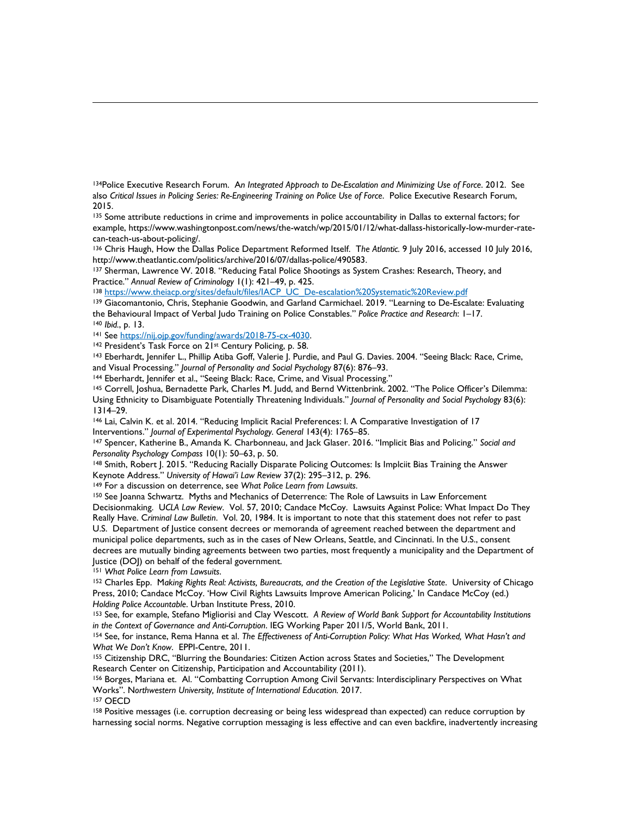134Police Executive Research Forum. A*n Integrated Approach to De-Escalation and Minimizing Use of Force*. 2012. See also *Critical Issues in Policing Series: Re-Engineering Training on Police Use of Force*. Police Executive Research Forum, 2015.

<sup>135</sup> Some attribute reductions in crime and improvements in police accountability in Dallas to external factors; for example, https://www.washingtonpost.com/news/the-watch/wp/2015/01/12/what-dallass-historically-low-murder-rate-

can-teach-us-about-policing/.<br><sup>136</sup> Chris Haugh, How the Dallas Police Department Reformed Itself. *The Atlantic.* 9 July 2016, accessed 10 July 2016,<br>http://www.theatlantic.com/politics/archive/2016/07/dallas-police/49058

<sup>137</sup> Sherman, Lawrence W. 2018. "Reducing Fatal Police Shootings as System Crashes: Research, Theory, and Practice." Annual Review of Criminology 1(1): 421–49, p. 425.

<sup>138</sup> https://www.theiacp.org/sites/default/files/IACP\_UC\_De-escalation%20Systematic%20Review.pdf<br><sup>139</sup> Giacomantonio, Chris, Stephanie Goodwin, and Garland Carmichael. 2019. "Learning to De-Escalate: Evaluating

<sup>140</sup> Ibid., p. 13.

the Behavioural Impact of Verbal Judo Training on Police Constables." Police Practice and Research: 1–17.<br>
140 Ibid., p. 13.<br>
141 See https://nij.ojp.gov/funding/awards/2018-75-cx-4030.<br>
142 President's Task Force on 21<sup>st</sup>

<sup>144</sup> Eberhardt, Jennifer et al., "Seeing Black: Race, Crime, and Visual Processing."<br><sup>145</sup> Correll, Joshua, Bernadette Park, Charles M. Judd, and Bernd Wittenbrink. 2002. "The Police Officer's Dilemma: Using Ethnicity to Disambiguate Potentially Threatening Individuals." *Journal of Personality and Social Psychology* 83(6): 1314–29.<br><sup>146</sup> Lai, Calvin K. et al. 2014. "Reducing Implicit Racial Preferences: I. A Comparative Investigation of 17

Interventions." *Journal of Experimental Psychology. General* 143(4): 1765–85. 147 Spencer, Katherine B., Amanda K. Charbonneau, and Jack Glaser. 2016. "Implicit Bias and Policing." *Social and 147 Spencer*, Katherine B.

*Personality Psychology Compass* 10(1): 50–63, p. 50.<br><sup>148</sup> Smith, Robert J. 2015. "Reducing Racially Disparate Policing Outcomes: Is Implciit Bias Training the Answer<br>Keynote Address." *University of Hawai'i Law Review* 3

<sup>149</sup> For a discussion on deterrence, see What Police Learn from Lawsuits.

 U.S. Department of Justice consent decrees or memoranda of agreement reached between the department and 150 See Joanna Schwartz. Myths and Mechanics of Deterrence: The Role of Lawsuits in Law Enforcement Decisionmaking. U*CLA Law Review*. Vol. 57, 2010; Candace McCoy. Lawsuits Against Police: What Impact Do They Really Have. C*riminal Law Bulletin*. Vol. 20, 1984. It is important to note that this statement does not refer to past municipal police departments, such as in the cases of New Orleans, Seattle, and Cincinnati. In the U.S., consent decrees are mutually binding agreements between two parties, most frequently a municipality and the Department of Justice (DOJ) on behalf of the federal government.<br><sup>151</sup> What Police Learn from Lawsuits.

<sup>151</sup> What Police Learn from Lawsuits.<br><sup>152</sup> Charles Epp. Making Rights Real: Activists, Bureaucrats, and the Creation of the Legislative State. University of Chicago Press, 2010; Candace McCoy. 'How Civil Rights Lawsuits Improve American Policing,' In Candace McCoy (ed.) *Holding Police Accountable*. Urban Institute Press, 2010.<br><sup>153</sup> See, for example, Stefano Migliorisi and Clay Wescott. *A Review of World Bank Support for Accountability Institutions* 

in the Context of Governance and Anti-Corruption. IEG Working Paper 2011/5, World Bank, 2011.<br><sup>154</sup> See, for instance, Rema Hanna et al. The Effectiveness of Anti-Corruption Policy: What Has Worked, What Hasn't and<br>What We

Research Center on Citizenship, Participation and Accountability (2011). <sup>155</sup> Citizenship DRC, "Blurring the Boundaries: Citizen Action across States and Societies," The Development

Works". Northwestern University, Institute of International Education. 2017. 157 OECD Works". Northwestern University, Institute of International Education. 2017.<br><sup>157</sup> OECD<br><sup>158</sup> Positive messages (i.e. corruption decreasing or being less widespread than expected) can reduce corruption by 156 Borges, Mariana et. Al. "Combatting Corruption Among Civil Servants: Interdisciplinary Perspectives on What

harnessing social norms. Negative corruption messaging is less effective and can even backfire, inadvertently increasing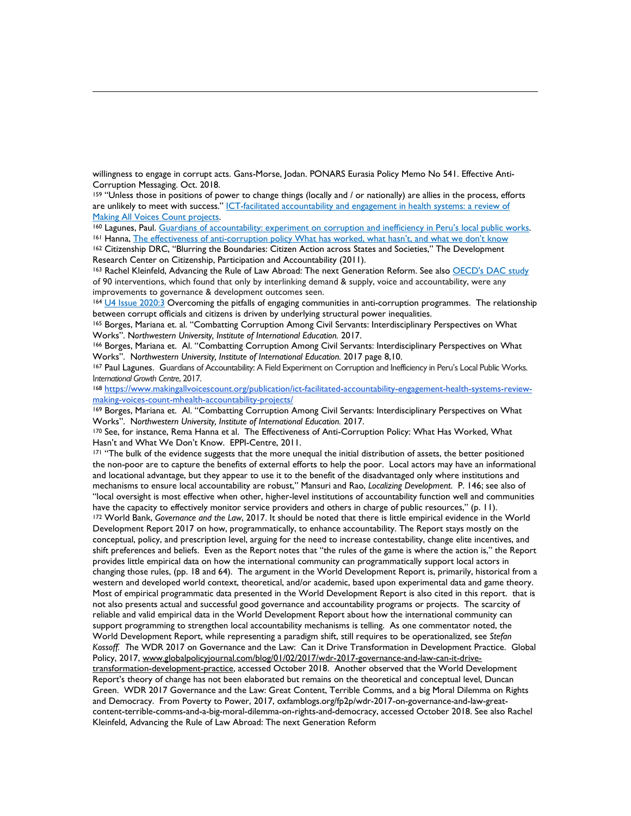willingness to engage in corrupt acts. Gans-Morse, Jodan. PONARS Eurasia Policy Memo No 541. Effective Anti-Corruption Messaging. Oct. 2018.

159 "Unless those in positions of power to change things (locally and / or nationally) are allies in the process, efforts are unlikely to meet with success." ICT-facilitated accountability and engagement in health systems: a review of

Research Center on Citizenship, Participation and Accountability (2011). Making All Voices Count projects.<br><sup>160</sup> Lagunes, Paul. <u>Guardians of accountability: experiment on corruption and inefficiency in Peru's local public works.<br><sup>161</sup> Hanna, <u>The effectiveness of anti-corruption policy What ha</u></u>

163 Rachel Kleinfeld, Advancing the Rule of Law Abroad: The next Generation Reform. See also OECD's DAC study of 90 interventions, which found that only by interlinking demand & supply, voice and accountability, were any improvements to governance & development outcomes seen.

<sup>164</sup> [U4 Issue 2020:3](https://www.u4.no/publications/overcoming-the-pitfalls-of-engaging-communities-in-anti-corruption-programmes) Overcoming the pitfalls of engaging communities in anti-corruption programmes. The relationship between corrupt officials and citizens is driven by underlying structural power inequalities.

165 Borges, Mariana et. al. "Combatting Corruption Among Civil Servants: Interdisciplinary Perspectives on What

Works". Northwestern University, Institute of International Education. 2017 page 8,10.<br><sup>167</sup> Paul Lagunes. Guardians of Accountability: A Field Experiment on Corruption and Inefficiency in Peru's Local Public Works. Works". Northwestern University, Institute of International Education. 2017.<br><sup>166</sup> Borges, Mariana et. Al. "Combatting Corruption Among Civil Servants: Interdisciplinary Perspectives on What<br>Works". Northwestern University

International Growth Centre, 2017.<br><sup>168</sup> [https://www.makingallvoicescount.org/publication/ict-facilitated-accountability-engagement-health-systems-review-](about:blank)

making-voices-count-mhealth-accountability-projects/<br><sup>169</sup> Borges, Mariana et. Al. "Combatting Corruption Among Civil Servants: Interdisciplinary Perspectives on What

Works". Northwestern University, Institute of International Education. 2017.

<sup>170</sup> See, for instance, Rema Hanna et al. The Effectiveness of Anti-Corruption Policy: What Has Worked, What<br>Hasn't and What We Don't Know. EPPI-Centre, 2011.

 the non-poor are to capture the benefits of external efforts to help the poor. Local actors may have an informational mechanisms to ensure local accountability are robust," Mansuri and Rao, *Localizing Development*. P. 146; see also of western and developed world context, theoretical, and/or academic, based upon experimental data and game theory. Report's theory of change has not been elaborated but remains on the theoretical and conceptual level, Duncan <sup>171</sup> "The bulk of the evidence suggests that the more unequal the initial distribution of assets, the better positioned and locational advantage, but they appear to use it to the benefit of the disadvantaged only where institutions and "local oversight is most effective when other, higher-level institutions of accountability function well and communities have the capacity to effectively monitor service providers and others in charge of public resources," (p. 11).<br><sup>172</sup> World Bank, Governance and the Law, 2017. It should be noted that there is little empirical evidence in t Development Report 2017 on how, programmatically, to enhance accountability. The Report stays mostly on the conceptual, policy, and prescription level, arguing for the need to increase contestability, change elite incentives, and shift preferences and beliefs. Even as the Report notes that "the rules of the game is where the action is," the Report provides little empirical data on how the international community can programmatically support local actors in changing those rules, (pp. 18 and 64). The argument in the World Development Report is, primarily, historical from a Most of empirical programmatic data presented in the World Development Report is also cited in this report, that is not also presents actual and successful good governance and accountability programs or projects. The scarcity of reliable and valid empirical data in the World Development Report about how the international community can support programming to strengthen local accountability mechanisms is telling. As one commentator noted, the World Development Report, while representing a paradigm shift, still requires to be operationalized, see *Stefan Kossoff. T*he WDR 2017 on Governance and the Law: Can it Drive Transformation in Development Practice. Global Policy, 2017[, www.globalpolicyjournal.com/blog/01/02/2017/wdr-2017-governance-and-law-can-it-drive](about:blank)[transformation-development-practice,](about:blank) accessed October 2018. Another observed that the World Development Green. WDR 2017 Governance and the Law: Great Content, Terrible Comms, and a big Moral Dilemma on Rights and Democracy. From Poverty to Power, 2017, oxfamblogs.org/fp2p/wdr-2017-on-governance-and-law-greatcontent-terrible-comms-and-a-big-moral-dilemma-on-rights-and-democracy, accessed October 2018. See also Rachel Kleinfeld, Advancing the Rule of Law Abroad: The next Generation Reform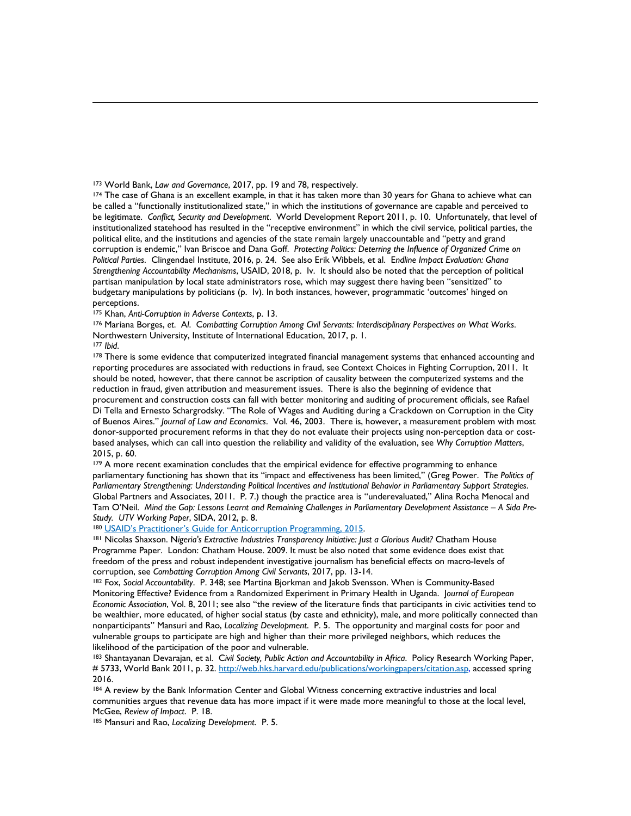be legitimate. *Conflict, Security and Development*. World Development Report 2011, p. 10. Unfortunately, that level of political elite, and the institutions and agencies of the state remain largely unaccountable and "petty and grand corruption is endemic," Ivan Briscoe and Dana Goff. *Protecting Politics: Deterring the Influence of Organized Crime on Strengthening Accountability Mechanisms*, USAID, 2018, p. Iv. It should also be noted that the perception of political <sup>173</sup> World Bank, *Law and Governance*, 2017, pp. 19 and 78, respectively.<br><sup>174</sup> The case of Ghana is an excellent example, in that it has taken more than 30 years for Ghana to achieve what can be called a "functionally institutionalized state," in which the institutions of governance are capable and perceived to institutionalized statehood has resulted in the "receptive environment" in which the civil service, political parties, the *Political Parties*. Clingendael Institute, 2016, p. 24. See also Erik Wibbels, et al. E*ndline Impact Evaluation: Ghana*  partisan manipulation by local state administrators rose, which may suggest there having been "sensitized" to budgetary manipulations by politicians (p. Iv). In both instances, however, programmatic 'outcomes' hinged on perceptions.<br><sup>175</sup> Khan, Anti-Corruption in Adverse Contexts, p. 13.

176 Mariana Borges, et. Al. Combatting Corruption Among Civil Servants: Interdisciplinary Perspectives on What Works. Northwestern University, Institute of International Education, 2017, p. 1.<br><sup>177</sup> *Ibid.*<br><sup>178</sup> There is some evidence that computerized integrated financial management systems that enhanced accounting and

<span id="page-70-0"></span>177 Ibid.

<span id="page-70-3"></span><span id="page-70-2"></span><span id="page-70-1"></span> reporting procedures are associated with reductions in fraud, see Context Choices in Fighting Corruption, 2011. It should be noted, however, that there cannot be ascription of causality between the computerized systems and the reduction in fraud, given attribution and measurement issues. There is also the beginning of evidence that procurement and construction costs can fall with better monitoring and auditing of procurement officials, see Rafael Di Tella and Ernesto Schargrodsky. "The Role of Wages and Auditing during a Crackdown on Corruption in the City of Buenos Aires." *Journal of Law and Economics*. Vol. 46, 2003. There is, however, a measurement problem with most donor-supported procurement reforms in that they do not evaluate their projects using non-perception data or costbased analyses, which can call into question the reliability and validity of the evaluation, see *Why Corruption Matters*, 2015, p. 60.

<span id="page-70-5"></span><span id="page-70-4"></span> parliamentary functioning has shown that its "impact and effectiveness has been limited," (Greg Power. T*he Politics of*  Tam O'Neil. *Mind the Gap: Lessons Learnt and Remaining Challenges in Parliamentary Development Assistance – A Sida Pre-*179 A more recent examination concludes that the empirical evidence for effective programming to enhance *Parliamentary Strengthening: Understanding Political Incentives and Institutional Behavior in Parliamentary Support Strategies*. Global Partners and Associates, 2011. P. 7.) though the practice area is "underevaluated," Alina Rocha Menocal and Study. UTV Working Paper, SIDA, 2012, p. 8.<br><sup>180</sup> <u>USAID's Practitioner's Guide for Anticorruption Programming, 2015</u>.<br><sup>181</sup> Nicolas Shaxson. Nigeria's Extractive Industries Transparency Initiative: Just a Glorious Audit?

<span id="page-70-6"></span>

Programme Paper. London: Chatham House. 2009. It must be also noted that some evidence does exist that freedom of the press and robust independent investigative journalism has beneficial effects on macro-levels of<br>corruption, see Combatting Corruption Among Civil Servants, 2017, pp. 13-14.

 Monitoring Effective? Evidence from a Randomized Experiment in Primary Health in Uganda. J*ournal of European*  <sup>182</sup> Fox, Social Accountability. P. 348; see Martina Bjorkman and Jakob Svensson. When is Community-Based *Economic Association*, Vol. 8, 2011; see also "the review of the literature finds that participants in civic activities tend to be wealthier, more educated, of higher social status (by caste and ethnicity), male, and more politically connected than nonparticipants" Mansuri and Rao, *Localizing Development*. P. 5. The opportunity and marginal costs for poor and vulnerable groups to participate are high and higher than their more privileged neighbors, which reduces the likelihood of the participation of the poor and vulnerable.<br><sup>183</sup> Shantayanan Devarajan, et al. *Civil Society, Public Action and Accountability in Africa*. Policy Research Working Paper,

# 5733, World Bank 2011, p. 32. [http://web.hks.harvard.edu/publications/workingpapers/citation.asp,](about:blank) accessed spring 2016.

184 A review by the Bank Information Center and Global Witness concerning extractive industries and local communities argues that revenue data has more impact if it were made more meaningful to those at the local level, McGee, *Review of Impact*. P. 18. 185 Mansuri and Rao, *Localizing Development*. P. 5.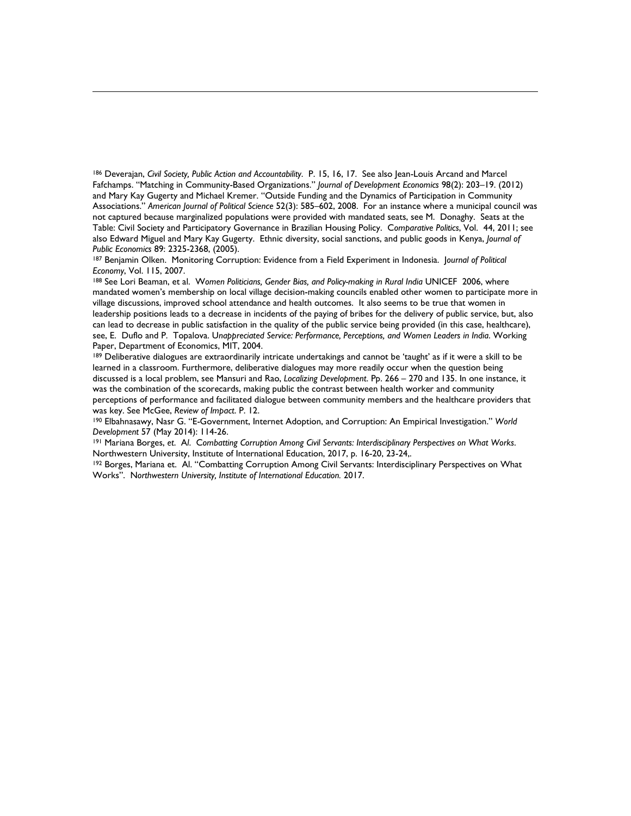<span id="page-71-1"></span><span id="page-71-0"></span> not captured because marginalized populations were provided with mandated seats, see M. Donaghy. Seats at the Table: Civil Society and Participatory Governance in Brazilian Housing Policy. C*omparative Politics*, Vol. 44, 2011; see 186 Deverajan, *Civil Society, Public Action and Accountability*. P. 15, 16, 17. See also Jean-Louis Arcand and Marcel Fafchamps. "Matching in Community-Based Organizations." *Journal of Development Economics* 98(2): 203–19. (2012) and Mary Kay Gugerty and Michael Kremer. "Outside Funding and the Dynamics of Participation in Community Associations." *American Journal of Political Science* 52(3): 585–602, 2008. For an instance where a municipal council was also Edward Miguel and Mary Kay Gugerty. Ethnic diversity, social sanctions, and public goods in Kenya, *Journal of* 

*Public Economics 8*9: 2325-2368, (2005).<br><sup>187</sup> Benjamin Olken. Monitoring Corruption: Evidence from a Field Experiment in Indonesia. Jo*urnal of Political*<br>*Economy,* Vol. 115, 2007.

<span id="page-71-2"></span>*Economy*, Vol. 115, 2007.<br><sup>188</sup> See Lori Beaman, et al. *Women Politicians, Gender Bias, and Policy-making in Rural India UNICEF 2006, where*  village discussions, improved school attendance and health outcomes. It also seems to be true that women in leadership positions leads to a decrease in incidents of the paying of bribes for the delivery of public service, but, also see, E. Duflo and P. Topalova. U*nappreciated Service: Performance, Perceptions, and Women Leaders in India*. Working mandated women's membership on local village decision-making councils enabled other women to participate more in can lead to decrease in public satisfaction in the quality of the public service being provided (in this case, healthcare), Paper, Department of Economics, MIT, 2004.

<span id="page-71-5"></span><span id="page-71-4"></span><span id="page-71-3"></span><sup>189</sup> Deliberative dialogues are extraordinarily intricate undertakings and cannot be 'taught' as if it were a skill to be learned in a classroom. Furthermore, deliberative dialogues may more readily occur when the question being discussed is a local problem, see Mansuri and Rao, *Localizing Development*. Pp. 266 – 270 and 135. In one instance, it was the combination of the scorecards, making public the contrast between health worker and community perceptions of performance and facilitated dialogue between community members and the healthcare providers that was key. See McGee, *Review of Impact. P. 12.*<br><sup>190</sup> Elbahnasawy, Nasr G. "E-Government, Internet Adoption, and Corruption: An Empirical Investigation." *World* 

*Development 57 (May 2014): 114-26.*<br><sup>191</sup> Mariana Borges, et. Al. Combatting Corruption Among Civil Servants: Interdisciplinary Perspectives on What Works.

Northwestern University, Institute of International Education, 2017, p. 16-20, 23-24,.<br><sup>192</sup> Borges, Mariana et. Al. "Combatting Corruption Among Civil Servants: Interdisciplinary Perspectives on What

<span id="page-71-12"></span><span id="page-71-11"></span><span id="page-71-10"></span><span id="page-71-9"></span><span id="page-71-8"></span><span id="page-71-7"></span><span id="page-71-6"></span>Works". N*orthwestern University, Institute of International Education.* 2017.